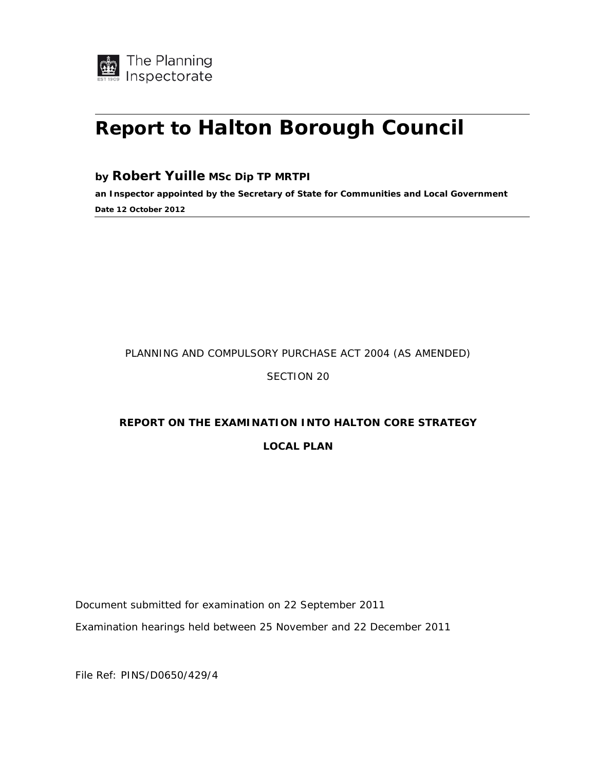

# **Report to Halton Borough Council**

#### **by Robert Yuille MSc Dip TP MRTPI**

**an Inspector appointed by the Secretary of State for Communities and Local Government Date 12 October 2012** 

### PLANNING AND COMPULSORY PURCHASE ACT 2004 (AS AMENDED)

#### SECTION 20

## **REPORT ON THE EXAMINATION INTO HALTON CORE STRATEGY LOCAL PLAN**

Document submitted for examination on 22 September 2011

Examination hearings held between 25 November and 22 December 2011

File Ref: PINS/D0650/429/4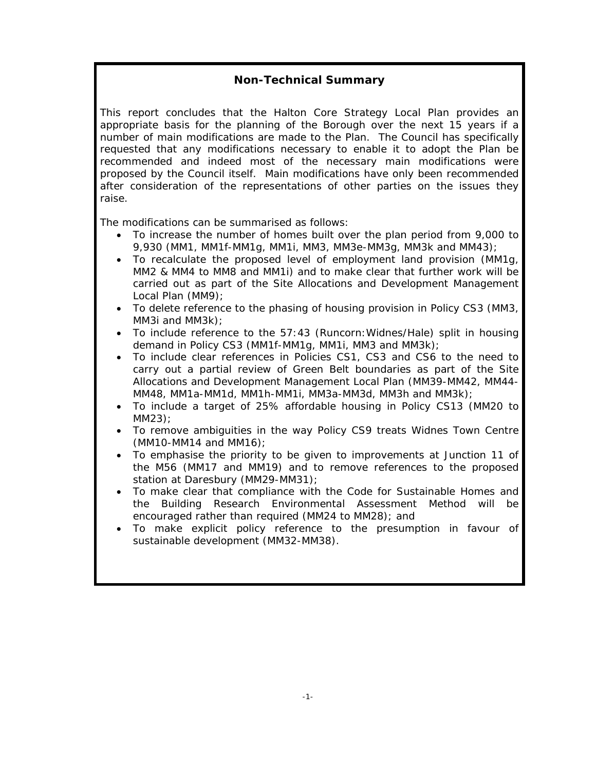### **Non-Technical Summary**

This report concludes that the Halton Core Strategy Local Plan provides an appropriate basis for the planning of the Borough over the next 15 years if a number of main modifications are made to the Plan. The Council has specifically requested that any modifications necessary to enable it to adopt the Plan be recommended and indeed most of the necessary main modifications were proposed by the Council itself. Main modifications have only been recommended after consideration of the representations of other parties on the issues they raise.

The modifications can be summarised as follows:

- To increase the number of homes built over the plan period from 9,000 to 9,930 (MM1, MM1f-MM1g, MM1i, MM3, MM3e-MM3g, MM3k and MM43);
- To recalculate the proposed level of employment land provision (MM1g, MM2 & MM4 to MM8 and MM1i) and to make clear that further work will be carried out as part of the Site Allocations and Development Management Local Plan (MM9);
- To delete reference to the phasing of housing provision in Policy CS3 (MM3, MM3i and MM3k);
- To include reference to the 57:43 (Runcorn:Widnes/Hale) split in housing demand in Policy CS3 (MM1f-MM1g, MM1i, MM3 and MM3k);
- To include clear references in Policies CS1, CS3 and CS6 to the need to carry out a partial review of Green Belt boundaries as part of the Site Allocations and Development Management Local Plan (MM39-MM42, MM44- MM48, MM1a-MM1d, MM1h-MM1i, MM3a-MM3d, MM3h and MM3k);
- To include a target of 25% affordable housing in Policy CS13 (MM20 to MM23);
- To remove ambiguities in the way Policy CS9 treats Widnes Town Centre (MM10-MM14 and MM16);
- To emphasise the priority to be given to improvements at Junction 11 of the M56 (MM17 and MM19) and to remove references to the proposed station at Daresbury (MM29-MM31);
- To make clear that compliance with the Code for Sustainable Homes and the Building Research Environmental Assessment Method will be encouraged rather than required (MM24 to MM28); and
- To make explicit policy reference to the presumption in favour of sustainable development (MM32-MM38).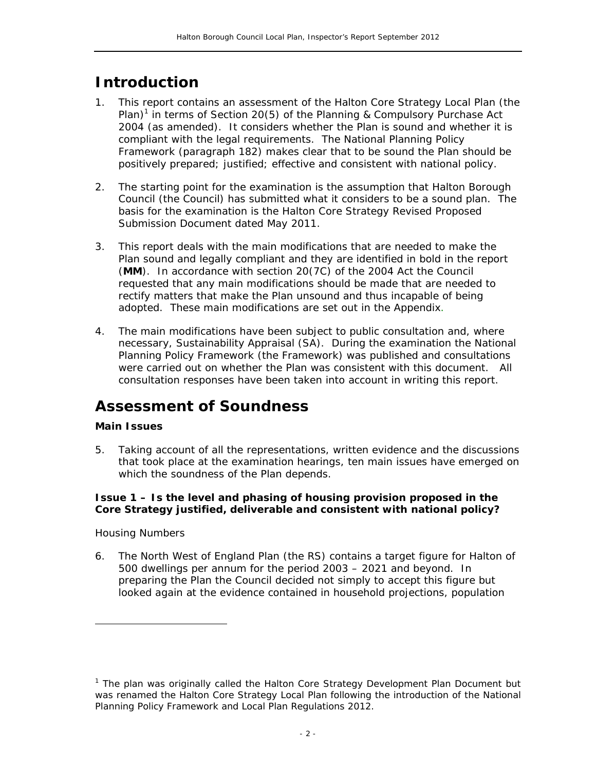### **Introduction**

- 1. This report contains an assessment of the Halton Core Strategy Local Plan (the Plan)<sup>1</sup> in terms of Section 20(5) of the Planning & Compulsory Purchase Act 2004 (as amended). It considers whether the Plan is sound and whether it is compliant with the legal requirements. The National Planning Policy Framework (paragraph 182) makes clear that to be sound the Plan should be positively prepared; justified; effective and consistent with national policy.
- 2. The starting point for the examination is the assumption that Halton Borough Council (the Council) has submitted what it considers to be a sound plan. The basis for the examination is the Halton Core Strategy Revised Proposed Submission Document dated May 2011.
- 3. This report deals with the main modifications that are needed to make the Plan sound and legally compliant and they are identified in bold in the report (**MM**). In accordance with section 20(7C) of the 2004 Act the Council requested that any main modifications should be made that are needed to rectify matters that make the Plan unsound and thus incapable of being adopted. These main modifications are set out in the Appendix.
- 4. The main modifications have been subject to public consultation and, where necessary, Sustainability Appraisal (SA). During the examination the National Planning Policy Framework (the Framework) was published and consultations were carried out on whether the Plan was consistent with this document. All consultation responses have been taken into account in writing this report.

### **Assessment of Soundness**

#### **Main Issues**

5. Taking account of all the representations, written evidence and the discussions that took place at the examination hearings, ten main issues have emerged on which the soundness of the Plan depends.

#### **Issue 1 – Is the level and phasing of housing provision proposed in the Core Strategy justified, deliverable and consistent with national policy?**

#### *Housing Numbers*

ł

6. The North West of England Plan (the RS) contains a target figure for Halton of 500 dwellings per annum for the period 2003 – 2021 and beyond. In preparing the Plan the Council decided not simply to accept this figure but looked again at the evidence contained in household projections, population

<sup>&</sup>lt;sup>1</sup> The plan was originally called the Halton Core Strategy Development Plan Document but was renamed the Halton Core Strategy Local Plan following the introduction of the National Planning Policy Framework and Local Plan Regulations 2012.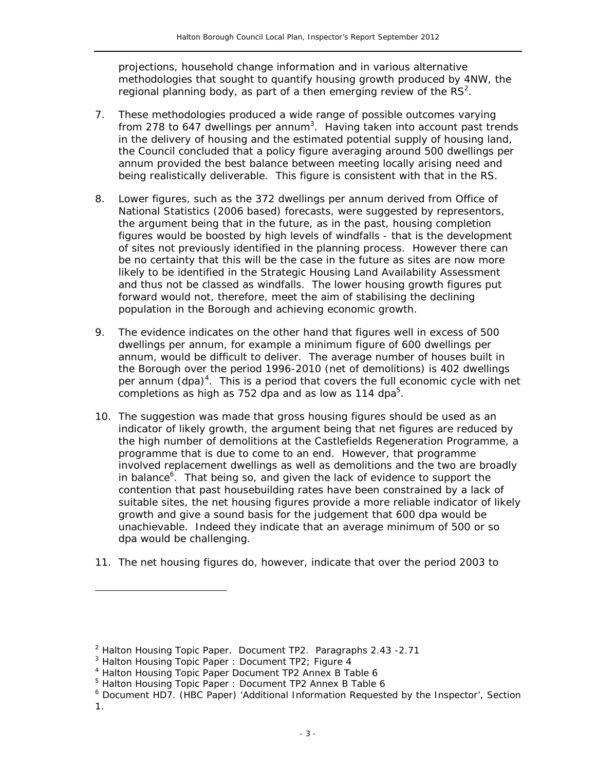projections, household change information and in various alternative methodologies that sought to quantify housing growth produced by 4NW, the regional planning body, as part of a then emerging review of the  $RS<sup>2</sup>$ .

- 7. These methodologies produced a wide range of possible outcomes varying from 278 to 647 dwellings per annum<sup>3</sup>. Having taken into account past trends in the delivery of housing and the estimated potential supply of housing land, the Council concluded that a policy figure averaging around 500 dwellings per annum provided the best balance between meeting locally arising need and being realistically deliverable. This figure is consistent with that in the RS.
- 8. Lower figures, such as the 372 dwellings per annum derived from Office of National Statistics (2006 based) forecasts, were suggested by representors, the argument being that in the future, as in the past, housing completion figures would be boosted by high levels of windfalls - that is the development of sites not previously identified in the planning process. However there can be no certainty that this will be the case in the future as sites are now more likely to be identified in the Strategic Housing Land Availability Assessment and thus not be classed as windfalls. The lower housing growth figures put forward would not, therefore, meet the aim of stabilising the declining population in the Borough and achieving economic growth.
- 9. The evidence indicates on the other hand that figures well in excess of 500 dwellings per annum, for example a minimum figure of 600 dwellings per annum, would be difficult to deliver. The average number of houses built in the Borough over the period 1996-2010 (net of demolitions) is 402 dwellings per annum (dpa)<sup>4</sup>. This is a period that covers the full economic cycle with net completions as high as 752 dpa and as low as 114 dpa $5$ .
- 10. The suggestion was made that gross housing figures should be used as an indicator of likely growth, the argument being that net figures are reduced by the high number of demolitions at the Castlefields Regeneration Programme, a programme that is due to come to an end. However, that programme involved replacement dwellings as well as demolitions and the two are broadly in balance<sup>6</sup>. That being so, and given the lack of evidence to support the contention that past housebuilding rates have been constrained by a lack of suitable sites, the net housing figures provide a more reliable indicator of likely growth and give a sound basis for the judgement that 600 dpa would be unachievable. Indeed they indicate that an average minimum of 500 or so dpa would be challenging.
- 11. The net housing figures do, however, indicate that over the period 2003 to

 $\overline{a}$ 

 $2$  Halton Housing Topic Paper. Document TP2. Paragraphs 2.43 -2.71

<sup>&</sup>lt;sup>3</sup> Halton Housing Topic Paper : Document TP2; Figure 4

<sup>4</sup> Halton Housing Topic Paper Document TP2 Annex B Table 6

<sup>&</sup>lt;sup>5</sup> Halton Housing Topic Paper : Document TP2 Annex B Table 6

<sup>&</sup>lt;sup>6</sup> Document HD7. (HBC Paper) 'Additional Information Requested by the Inspector', Section 1.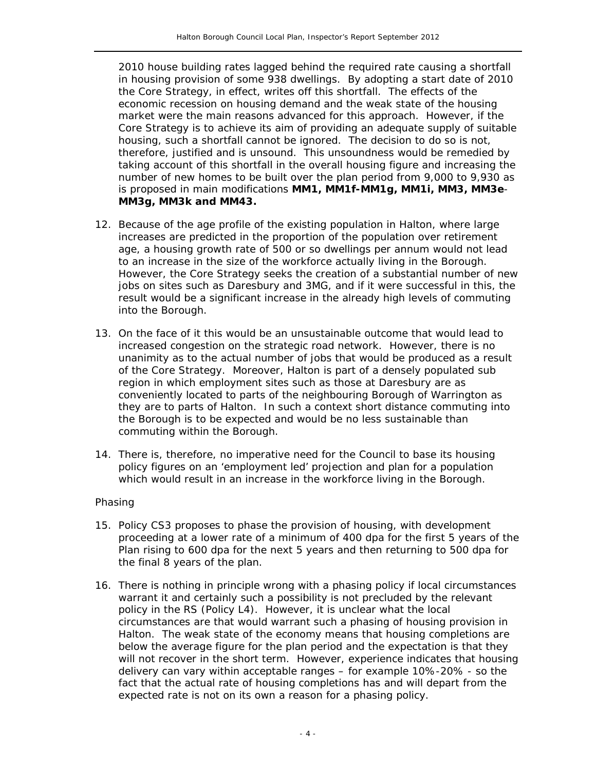2010 house building rates lagged behind the required rate causing a shortfall in housing provision of some 938 dwellings. By adopting a start date of 2010 the Core Strategy, in effect, writes off this shortfall. The effects of the economic recession on housing demand and the weak state of the housing market were the main reasons advanced for this approach. However, if the Core Strategy is to achieve its aim of providing an adequate supply of suitable housing, such a shortfall cannot be ignored. The decision to do so is not, therefore, justified and is unsound. This unsoundness would be remedied by taking account of this shortfall in the overall housing figure and increasing the number of new homes to be built over the plan period from 9,000 to 9,930 as is proposed in main modifications **MM1, MM1f-MM1g, MM1i, MM3, MM3e**-**MM3g, MM3k and MM43.**

- 12. Because of the age profile of the existing population in Halton, where large increases are predicted in the proportion of the population over retirement age, a housing growth rate of 500 or so dwellings per annum would not lead to an increase in the size of the workforce actually living in the Borough. However, the Core Strategy seeks the creation of a substantial number of new jobs on sites such as Daresbury and 3MG, and if it were successful in this, the result would be a significant increase in the already high levels of commuting into the Borough.
- 13. On the face of it this would be an unsustainable outcome that would lead to increased congestion on the strategic road network. However, there is no unanimity as to the actual number of jobs that would be produced as a result of the Core Strategy. Moreover, Halton is part of a densely populated sub region in which employment sites such as those at Daresbury are as conveniently located to parts of the neighbouring Borough of Warrington as they are to parts of Halton. In such a context short distance commuting into the Borough is to be expected and would be no less sustainable than commuting within the Borough.
- 14. There is, therefore, no imperative need for the Council to base its housing policy figures on an 'employment led' projection and plan for a population which would result in an increase in the workforce living in the Borough.

#### *Phasing*

- 15. Policy CS3 proposes to phase the provision of housing, with development proceeding at a lower rate of a minimum of 400 dpa for the first 5 years of the Plan rising to 600 dpa for the next 5 years and then returning to 500 dpa for the final 8 years of the plan.
- 16. There is nothing in principle wrong with a phasing policy if local circumstances warrant it and certainly such a possibility is not precluded by the relevant policy in the RS (Policy L4). However, it is unclear what the local circumstances are that would warrant such a phasing of housing provision in Halton. The weak state of the economy means that housing completions are below the average figure for the plan period and the expectation is that they will not recover in the short term. However, experience indicates that housing delivery can vary within acceptable ranges – for example 10%-20% - so the fact that the actual rate of housing completions has and will depart from the expected rate is not on its own a reason for a phasing policy.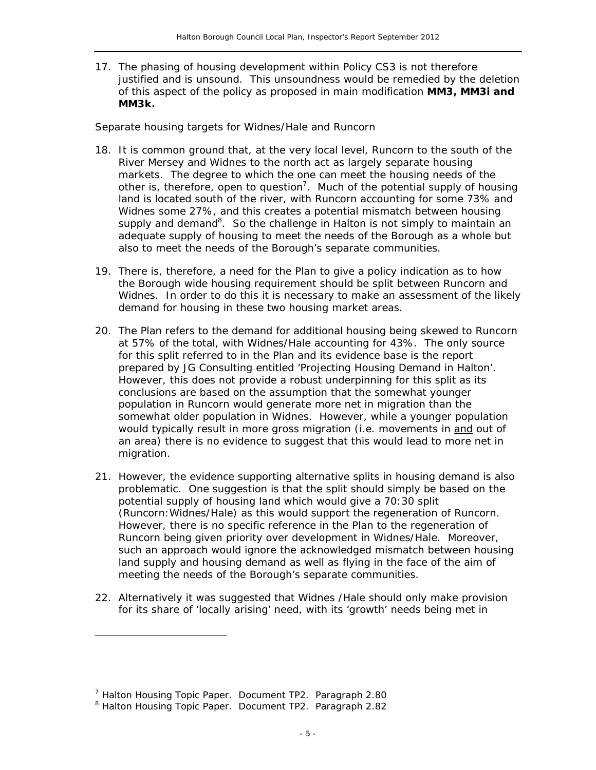17. The phasing of housing development within Policy CS3 is not therefore justified and is unsound. This unsoundness would be remedied by the deletion of this aspect of the policy as proposed in main modification **MM3, MM3i and MM3k.**

#### *Separate housing targets for Widnes/Hale and Runcorn*

- 18. It is common ground that, at the very local level, Runcorn to the south of the River Mersey and Widnes to the north act as largely separate housing markets. The degree to which the one can meet the housing needs of the other is, therefore, open to question<sup>7</sup>. Much of the potential supply of housing land is located south of the river, with Runcorn accounting for some 73% and Widnes some 27%, and this creates a potential mismatch between housing supply and demand<sup>8</sup>. So the challenge in Halton is not simply to maintain an adequate supply of housing to meet the needs of the Borough as a whole but also to meet the needs of the Borough's separate communities.
- 19. There is, therefore, a need for the Plan to give a policy indication as to how the Borough wide housing requirement should be split between Runcorn and Widnes. In order to do this it is necessary to make an assessment of the likely demand for housing in these two housing market areas.
- 20. The Plan refers to the demand for additional housing being skewed to Runcorn at 57% of the total, with Widnes/Hale accounting for 43%. The only source for this split referred to in the Plan and its evidence base is the report prepared by JG Consulting entitled '*Projecting Housing Demand in Halton*'. However, this does not provide a robust underpinning for this split as its conclusions are based on the assumption that the somewhat younger population in Runcorn would generate more net in migration than the somewhat older population in Widnes. However, while a younger population would typically result in more gross migration (i.e. movements in and out of an area) there is no evidence to suggest that this would lead to more net in migration.
- 21. However, the evidence supporting alternative splits in housing demand is also problematic. One suggestion is that the split should simply be based on the potential supply of housing land which would give a 70:30 split (Runcorn:Widnes/Hale) as this would support the regeneration of Runcorn. However, there is no specific reference in the Plan to the regeneration of Runcorn being given priority over development in Widnes/Hale. Moreover, such an approach would ignore the acknowledged mismatch between housing land supply and housing demand as well as flying in the face of the aim of meeting the needs of the Borough's separate communities.
- 22. Alternatively it was suggested that Widnes /Hale should only make provision for its share of 'locally arising' need, with its 'growth' needs being met in

 $\overline{a}$ 

<sup>&</sup>lt;sup>7</sup> Halton Housing Topic Paper. Document TP2. Paragraph 2.80

<sup>&</sup>lt;sup>8</sup> Halton Housing Topic Paper. Document TP2. Paragraph 2.82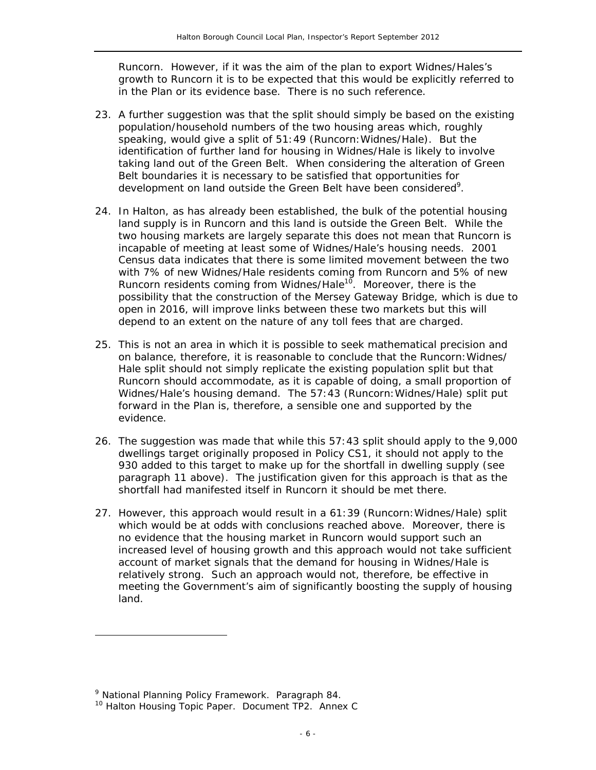Runcorn. However, if it was the aim of the plan to export Widnes/Hales's growth to Runcorn it is to be expected that this would be explicitly referred to in the Plan or its evidence base. There is no such reference.

- 23. A further suggestion was that the split should simply be based on the existing population/household numbers of the two housing areas which, roughly speaking, would give a split of 51:49 (Runcorn:Widnes/Hale). But the identification of further land for housing in Widnes/Hale is likely to involve taking land out of the Green Belt. When considering the alteration of Green Belt boundaries it is necessary to be satisfied that opportunities for development on land outside the Green Belt have been considered<sup>9</sup>.
- 24. In Halton, as has already been established, the bulk of the potential housing land supply is in Runcorn and this land is outside the Green Belt. While the two housing markets are largely separate this does not mean that Runcorn is incapable of meeting at least some of Widnes/Hale's housing needs. 2001 Census data indicates that there is some limited movement between the two with 7% of new Widnes/Hale residents coming from Runcorn and 5% of new Runcorn residents coming from Widnes/Hale<sup>10</sup>. Moreover, there is the possibility that the construction of the Mersey Gateway Bridge, which is due to open in 2016, will improve links between these two markets but this will depend to an extent on the nature of any toll fees that are charged.
- 25. This is not an area in which it is possible to seek mathematical precision and on balance, therefore, it is reasonable to conclude that the Runcorn:Widnes/ Hale split should not simply replicate the existing population split but that Runcorn should accommodate, as it is capable of doing, a small proportion of Widnes/Hale's housing demand. The 57:43 (Runcorn:Widnes/Hale) split put forward in the Plan is, therefore, a sensible one and supported by the evidence.
- 26. The suggestion was made that while this 57:43 split should apply to the 9,000 dwellings target originally proposed in Policy CS1, it should not apply to the 930 added to this target to make up for the shortfall in dwelling supply (see paragraph 11 above). The justification given for this approach is that as the shortfall had manifested itself in Runcorn it should be met there.
- 27. However, this approach would result in a 61:39 (Runcorn:Widnes/Hale) split which would be at odds with conclusions reached above. Moreover, there is no evidence that the housing market in Runcorn would support such an increased level of housing growth and this approach would not take sufficient account of market signals that the demand for housing in Widnes/Hale is relatively strong. Such an approach would not, therefore, be effective in meeting the Government's aim of significantly boosting the supply of housing land.

 $\overline{a}$ 

<sup>&</sup>lt;sup>9</sup> National Planning Policy Framework. Paragraph 84.

National Planning Policy Framework. Paragraph 84. 10 Halton Housing Topic Paper. Document TP2. Annex C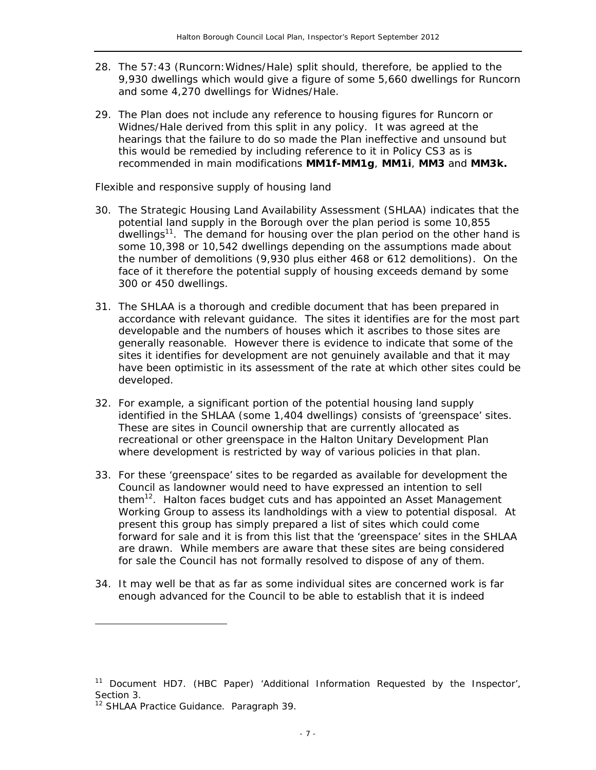- 28. The 57:43 (Runcorn:Widnes/Hale) split should, therefore, be applied to the 9,930 dwellings which would give a figure of some 5,660 dwellings for Runcorn and some 4,270 dwellings for Widnes/Hale.
- 29. The Plan does not include any reference to housing figures for Runcorn or Widnes/Hale derived from this split in any policy. It was agreed at the hearings that the failure to do so made the Plan ineffective and unsound but this would be remedied by including reference to it in Policy CS3 as is recommended in main modifications **MM1f-MM1g**, **MM1i**, **MM3** and **MM3k.**

#### *Flexible and responsive supply of housing land*

- 30. The Strategic Housing Land Availability Assessment (SHLAA) indicates that the potential land supply in the Borough over the plan period is some 10,855 dwellings<sup>11</sup>. The demand for housing over the plan period on the other hand is some 10,398 or 10,542 dwellings depending on the assumptions made about the number of demolitions (9,930 plus either 468 or 612 demolitions). On the face of it therefore the potential supply of housing exceeds demand by some 300 or 450 dwellings.
- 31. The SHLAA is a thorough and credible document that has been prepared in accordance with relevant guidance. The sites it identifies are for the most part developable and the numbers of houses which it ascribes to those sites are generally reasonable. However there is evidence to indicate that some of the sites it identifies for development are not genuinely available and that it may have been optimistic in its assessment of the rate at which other sites could be developed.
- 32. For example, a significant portion of the potential housing land supply identified in the SHLAA (some 1,404 dwellings) consists of 'greenspace' sites. These are sites in Council ownership that are currently allocated as recreational or other greenspace in the Halton Unitary Development Plan where development is restricted by way of various policies in that plan.
- 33. For these 'greenspace' sites to be regarded as available for development the Council as landowner would need to have expressed an intention to sell them $12$ . Halton faces budget cuts and has appointed an Asset Management Working Group to assess its landholdings with a view to potential disposal. At present this group has simply prepared a list of sites which could come forward for sale and it is from this list that the 'greenspace' sites in the SHLAA are drawn. While members are aware that these sites are being considered for sale the Council has not formally resolved to dispose of any of them.
- 34. It may well be that as far as some individual sites are concerned work is far enough advanced for the Council to be able to establish that it is indeed

ł

<sup>&</sup>lt;sup>11</sup> Document HD7. (HBC Paper) 'Additional Information Requested by the Inspector', Section 3.

<sup>&</sup>lt;sup>12</sup> SHLAA Practice Guidance. Paragraph 39.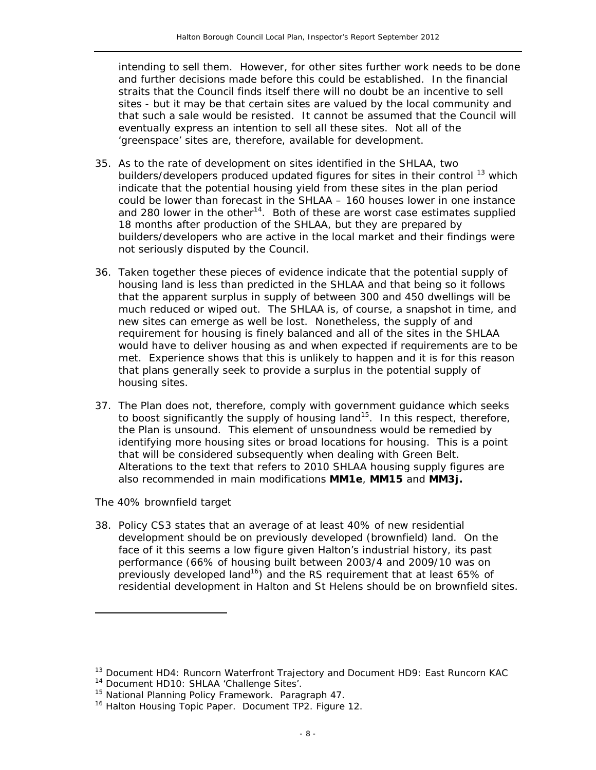intending to sell them. However, for other sites further work needs to be done and further decisions made before this could be established. In the financial straits that the Council finds itself there will no doubt be an incentive to sell sites - but it may be that certain sites are valued by the local community and that such a sale would be resisted. It cannot be assumed that the Council will eventually express an intention to sell all these sites. Not all of the 'greenspace' sites are, therefore, available for development.

- 35. As to the rate of development on sites identified in the SHLAA, two builders/developers produced updated figures for sites in their control <sup>13</sup> which indicate that the potential housing yield from these sites in the plan period could be lower than forecast in the SHLAA – 160 houses lower in one instance and 280 lower in the other<sup>14</sup>. Both of these are worst case estimates supplied 18 months after production of the SHLAA, but they are prepared by builders/developers who are active in the local market and their findings were not seriously disputed by the Council.
- 36. Taken together these pieces of evidence indicate that the potential supply of housing land is less than predicted in the SHLAA and that being so it follows that the apparent surplus in supply of between 300 and 450 dwellings will be much reduced or wiped out. The SHLAA is, of course, a snapshot in time, and new sites can emerge as well be lost. Nonetheless, the supply of and requirement for housing is finely balanced and all of the sites in the SHLAA would have to deliver housing as and when expected if requirements are to be met. Experience shows that this is unlikely to happen and it is for this reason that plans generally seek to provide a surplus in the potential supply of housing sites.
- 37. The Plan does not, therefore, comply with government guidance which seeks to boost significantly the supply of housing land<sup>15</sup>. In this respect, therefore, the Plan is unsound. This element of unsoundness would be remedied by identifying more housing sites or broad locations for housing. This is a point that will be considered subsequently when dealing with Green Belt. Alterations to the text that refers to 2010 SHLAA housing supply figures are also recommended in main modifications **MM1e**, **MM15** and **MM3j.**

#### *The 40% brownfield target*

 $\overline{a}$ 

38. Policy CS3 states that an average of at least 40% of new residential development should be on previously developed (brownfield) land. On the face of it this seems a low figure given Halton's industrial history, its past performance (66% of housing built between 2003/4 and 2009/10 was on previously developed land<sup>16</sup>) and the RS requirement that at least 65% of residential development in Halton and St Helens should be on brownfield sites.

<sup>&</sup>lt;sup>13</sup> Document HD4: Runcorn Waterfront Trajectory and Document HD9: East Runcorn KAC<br><sup>14</sup> Document HD10: SHLAA 'Challenge Sites'.<br><sup>15</sup> National Planning Policy Framework. Paragraph 47.<br><sup>16</sup> Halton Housing Topic Paper. Docum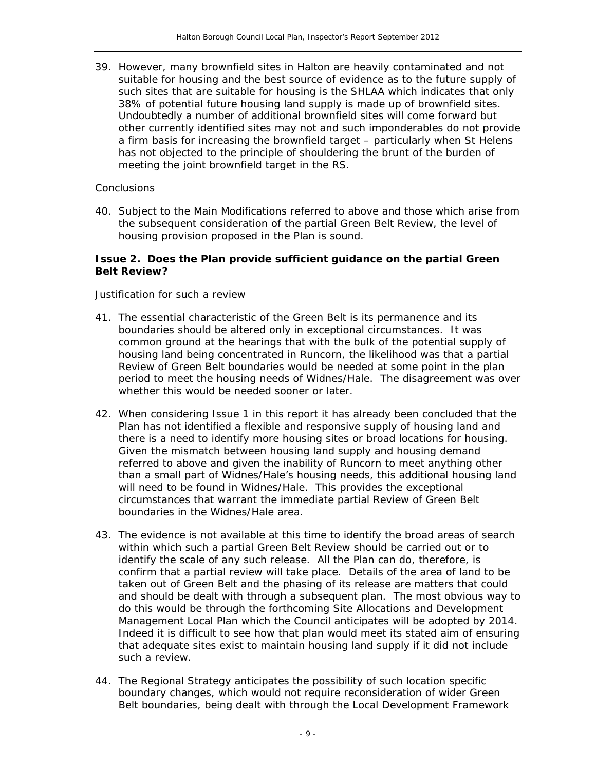39. However, many brownfield sites in Halton are heavily contaminated and not suitable for housing and the best source of evidence as to the future supply of such sites that are suitable for housing is the SHLAA which indicates that only 38% of potential future housing land supply is made up of brownfield sites. Undoubtedly a number of additional brownfield sites will come forward but other currently identified sites may not and such imponderables do not provide a firm basis for increasing the brownfield target – particularly when St Helens has not objected to the principle of shouldering the brunt of the burden of meeting the joint brownfield target in the RS.

#### *Conclusions*

40. Subject to the Main Modifications referred to above and those which arise from the subsequent consideration of the partial Green Belt Review, the level of housing provision proposed in the Plan is sound.

#### **Issue 2. Does the Plan provide sufficient guidance on the partial Green Belt Review?**

#### *Justification for such a review*

- 41. The essential characteristic of the Green Belt is its permanence and its boundaries should be altered only in exceptional circumstances. It was common ground at the hearings that with the bulk of the potential supply of housing land being concentrated in Runcorn, the likelihood was that a partial Review of Green Belt boundaries would be needed at some point in the plan period to meet the housing needs of Widnes/Hale. The disagreement was over whether this would be needed sooner or later.
- 42. When considering Issue 1 in this report it has already been concluded that the Plan has not identified a flexible and responsive supply of housing land and there is a need to identify more housing sites or broad locations for housing. Given the mismatch between housing land supply and housing demand referred to above and given the inability of Runcorn to meet anything other than a small part of Widnes/Hale's housing needs, this additional housing land will need to be found in Widnes/Hale. This provides the exceptional circumstances that warrant the immediate partial Review of Green Belt boundaries in the Widnes/Hale area.
- 43. The evidence is not available at this time to identify the broad areas of search within which such a partial Green Belt Review should be carried out or to identify the scale of any such release. All the Plan can do, therefore, is confirm that a partial review will take place. Details of the area of land to be taken out of Green Belt and the phasing of its release are matters that could and should be dealt with through a subsequent plan. The most obvious way to do this would be through the forthcoming Site Allocations and Development Management Local Plan which the Council anticipates will be adopted by 2014. Indeed it is difficult to see how that plan would meet its stated aim of ensuring that adequate sites exist to maintain housing land supply if it did not include such a review.
- 44. The Regional Strategy anticipates the possibility of such location specific boundary changes, which would not require reconsideration of wider Green Belt boundaries, being dealt with through the Local Development Framework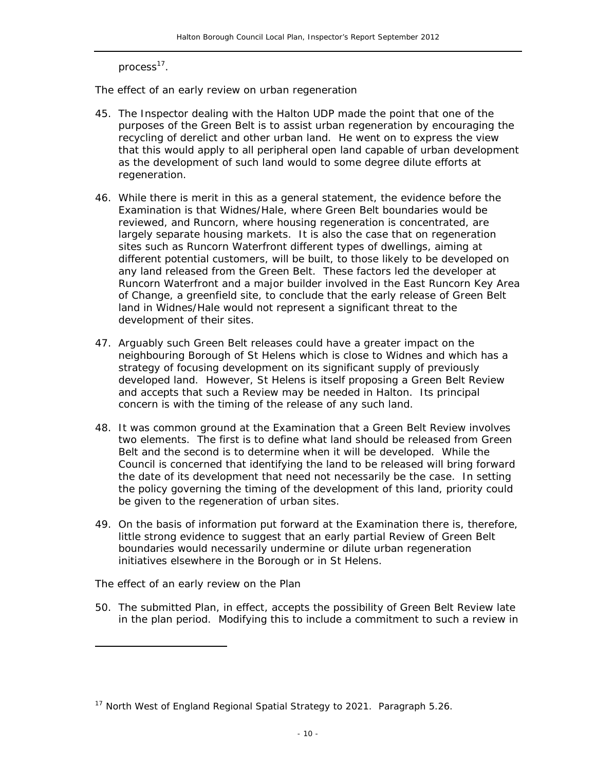process<sup>17</sup>.

*The effect of an early review on urban regeneration* 

- 45. The Inspector dealing with the Halton UDP made the point that one of the purposes of the Green Belt is to assist urban regeneration by encouraging the recycling of derelict and other urban land. He went on to express the view that this would apply to all peripheral open land capable of urban development as the development of such land would to some degree dilute efforts at regeneration.
- 46. While there is merit in this as a general statement, the evidence before the Examination is that Widnes/Hale, where Green Belt boundaries would be reviewed, and Runcorn, where housing regeneration is concentrated, are largely separate housing markets. It is also the case that on regeneration sites such as Runcorn Waterfront different types of dwellings, aiming at different potential customers, will be built, to those likely to be developed on any land released from the Green Belt. These factors led the developer at Runcorn Waterfront and a major builder involved in the East Runcorn Key Area of Change, a greenfield site, to conclude that the early release of Green Belt land in Widnes/Hale would not represent a significant threat to the development of their sites.
- 47. Arguably such Green Belt releases could have a greater impact on the neighbouring Borough of St Helens which is close to Widnes and which has a strategy of focusing development on its significant supply of previously developed land. However, St Helens is itself proposing a Green Belt Review and accepts that such a Review may be needed in Halton. Its principal concern is with the timing of the release of any such land.
- 48. It was common ground at the Examination that a Green Belt Review involves two elements. The first is to define what land should be released from Green Belt and the second is to determine when it will be developed. While the Council is concerned that identifying the land to be released will bring forward the date of its development that need not necessarily be the case. In setting the policy governing the timing of the development of this land, priority could be given to the regeneration of urban sites.
- 49. On the basis of information put forward at the Examination there is, therefore, little strong evidence to suggest that an early partial Review of Green Belt boundaries would necessarily undermine or dilute urban regeneration initiatives elsewhere in the Borough or in St Helens.

*The effect of an early review on the Plan* 

ł

50. The submitted Plan, in effect, accepts the possibility of Green Belt Review late in the plan period. Modifying this to include a commitment to such a review in

<sup>&</sup>lt;sup>17</sup> North West of England Regional Spatial Strategy to 2021. Paragraph 5.26.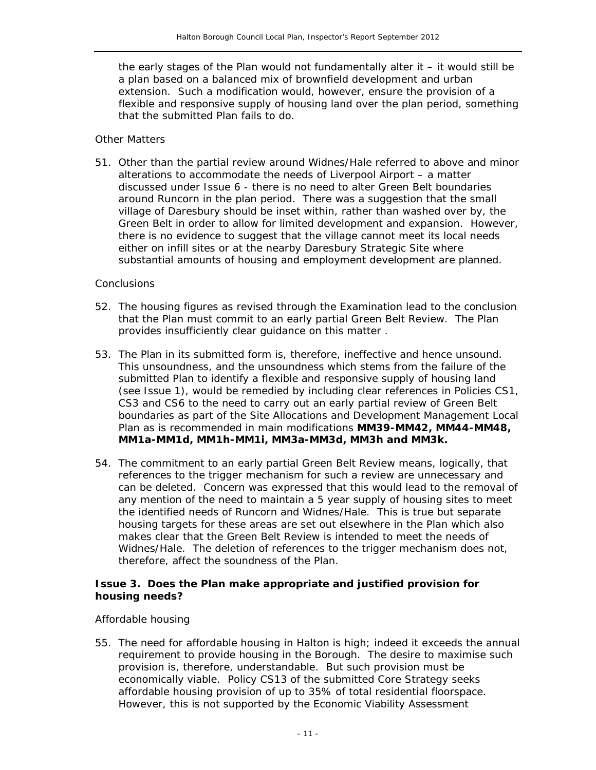the early stages of the Plan would not fundamentally alter it  $-$  it would still be a plan based on a balanced mix of brownfield development and urban extension. Such a modification would, however, ensure the provision of a flexible and responsive supply of housing land over the plan period, something that the submitted Plan fails to do.

#### *Other Matters*

51. Other than the partial review around Widnes/Hale referred to above and minor alterations to accommodate the needs of Liverpool Airport – a matter discussed under Issue 6 - there is no need to alter Green Belt boundaries around Runcorn in the plan period. There was a suggestion that the small village of Daresbury should be inset within, rather than washed over by, the Green Belt in order to allow for limited development and expansion. However, there is no evidence to suggest that the village cannot meet its local needs either on infill sites or at the nearby Daresbury Strategic Site where substantial amounts of housing and employment development are planned.

#### *Conclusions*

- 52. The housing figures as revised through the Examination lead to the conclusion that the Plan must commit to an early partial Green Belt Review. The Plan provides insufficiently clear guidance on this matter .
- 53. The Plan in its submitted form is, therefore, ineffective and hence unsound. This unsoundness, and the unsoundness which stems from the failure of the submitted Plan to identify a flexible and responsive supply of housing land (see Issue 1), would be remedied by including clear references in Policies CS1, CS3 and CS6 to the need to carry out an early partial review of Green Belt boundaries as part of the Site Allocations and Development Management Local Plan as is recommended in main modifications **MM39-MM42, MM44-MM48, MM1a-MM1d, MM1h-MM1i, MM3a-MM3d, MM3h and MM3k.**
- 54. The commitment to an early partial Green Belt Review means, logically, that references to the trigger mechanism for such a review are unnecessary and can be deleted. Concern was expressed that this would lead to the removal of any mention of the need to maintain a 5 year supply of housing sites to meet the identified needs of Runcorn and Widnes/Hale. This is true but separate housing targets for these areas are set out elsewhere in the Plan which also makes clear that the Green Belt Review is intended to meet the needs of Widnes/Hale. The deletion of references to the trigger mechanism does not, therefore, affect the soundness of the Plan.

#### **Issue 3. Does the Plan make appropriate and justified provision for housing needs?**

#### *Affordable housing*

55. The need for affordable housing in Halton is high; indeed it exceeds the annual requirement to provide housing in the Borough. The desire to maximise such provision is, therefore, understandable. But such provision must be economically viable. Policy CS13 of the submitted Core Strategy seeks affordable housing provision of up to 35% of total residential floorspace. However, this is not supported by the Economic Viability Assessment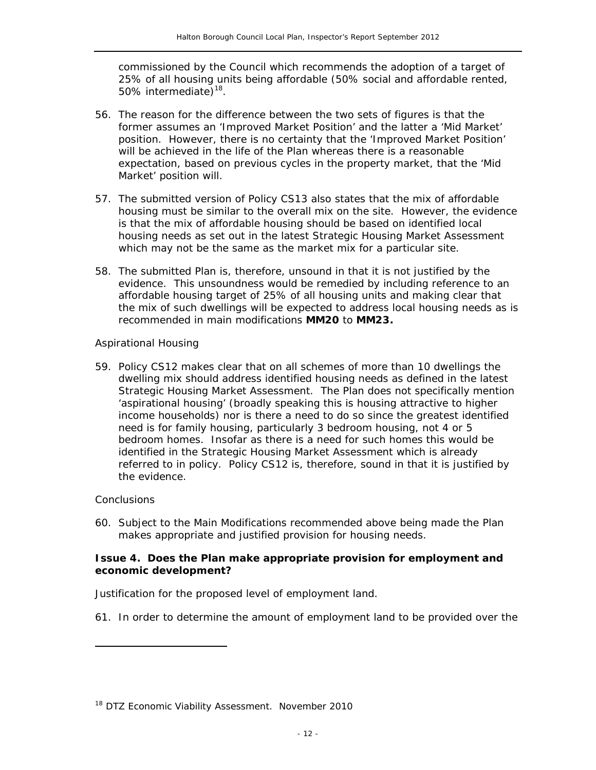commissioned by the Council which recommends the adoption of a target of 25% of all housing units being affordable (50% social and affordable rented, 50% intermediate)<sup>18</sup>.

- 56. The reason for the difference between the two sets of figures is that the former assumes an 'Improved Market Position' and the latter a 'Mid Market' position. However, there is no certainty that the 'Improved Market Position' will be achieved in the life of the Plan whereas there is a reasonable expectation, based on previous cycles in the property market, that the 'Mid Market' position will.
- 57. The submitted version of Policy CS13 also states that the mix of affordable housing must be similar to the overall mix on the site. However, the evidence is that the mix of affordable housing should be based on identified local housing needs as set out in the latest Strategic Housing Market Assessment which may not be the same as the market mix for a particular site.
- 58. The submitted Plan is, therefore, unsound in that it is not justified by the evidence. This unsoundness would be remedied by including reference to an affordable housing target of 25% of all housing units and making clear that the mix of such dwellings will be expected to address local housing needs as is recommended in main modifications **MM20** to **MM23.**

#### *Aspirational Housing*

59. Policy CS12 makes clear that on all schemes of more than 10 dwellings the dwelling mix should address identified housing needs as defined in the latest Strategic Housing Market Assessment. The Plan does not specifically mention 'aspirational housing' (broadly speaking this is housing attractive to higher income households) nor is there a need to do so since the greatest identified need is for family housing, particularly 3 bedroom housing, not 4 or 5 bedroom homes. Insofar as there is a need for such homes this would be identified in the Strategic Housing Market Assessment which is already referred to in policy. Policy CS12 is, therefore, sound in that it is justified by the evidence.

#### *Conclusions*

ł

60. Subject to the Main Modifications recommended above being made the Plan makes appropriate and justified provision for housing needs.

#### **Issue 4. Does the Plan make appropriate provision for employment and economic development?**

#### *Justification for the proposed level of employment land.*

61. In order to determine the amount of employment land to be provided over the

<sup>&</sup>lt;sup>18</sup> DTZ Economic Viability Assessment. November 2010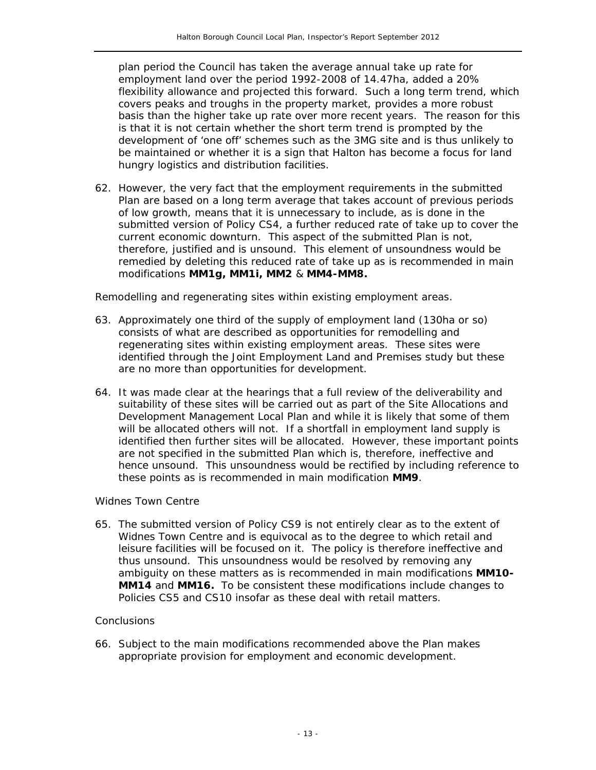plan period the Council has taken the average annual take up rate for employment land over the period 1992-2008 of 14.47ha, added a 20% flexibility allowance and projected this forward. Such a long term trend, which covers peaks and troughs in the property market, provides a more robust basis than the higher take up rate over more recent years. The reason for this is that it is not certain whether the short term trend is prompted by the development of 'one off' schemes such as the 3MG site and is thus unlikely to be maintained or whether it is a sign that Halton has become a focus for land hungry logistics and distribution facilities.

*62.* However, the very fact that the employment requirements in the submitted Plan are based on a long term average that takes account of previous periods of low growth, means that it is unnecessary to include, as is done in the submitted version of Policy CS4, a further reduced rate of take up to cover the current economic downturn. This aspect of the submitted Plan is not, therefore, justified and is unsound. This element of unsoundness would be remedied by deleting this reduced rate of take up as is recommended in main modifications **MM1g, MM1i, MM2** & **MM4-MM8.**

#### *Remodelling and regenerating sites within existing employment areas.*

- 63. Approximately one third of the supply of employment land (130ha or so) consists of what are described as opportunities for remodelling and regenerating sites within existing employment areas. These sites were identified through the Joint Employment Land and Premises study but these are no more than opportunities for development.
- 64. It was made clear at the hearings that a full review of the deliverability and suitability of these sites will be carried out as part of the Site Allocations and Development Management Local Plan and while it is likely that some of them will be allocated others will not. If a shortfall in employment land supply is identified then further sites will be allocated. However, these important points are not specified in the submitted Plan which is, therefore, ineffective and hence unsound. This unsoundness would be rectified by including reference to these points as is recommended in main modification **MM9**.

#### *Widnes Town Centre*

65. The submitted version of Policy CS9 is not entirely clear as to the extent of Widnes Town Centre and is equivocal as to the degree to which retail and leisure facilities will be focused on it. The policy is therefore ineffective and thus unsound. This unsoundness would be resolved by removing any ambiguity on these matters as is recommended in main modifications **MM10- MM14** and **MM16.** To be consistent these modifications include changes to Policies CS5 and CS10 insofar as these deal with retail matters.

#### *Conclusions*

66. Subject to the main modifications recommended above the Plan makes appropriate provision for employment and economic development.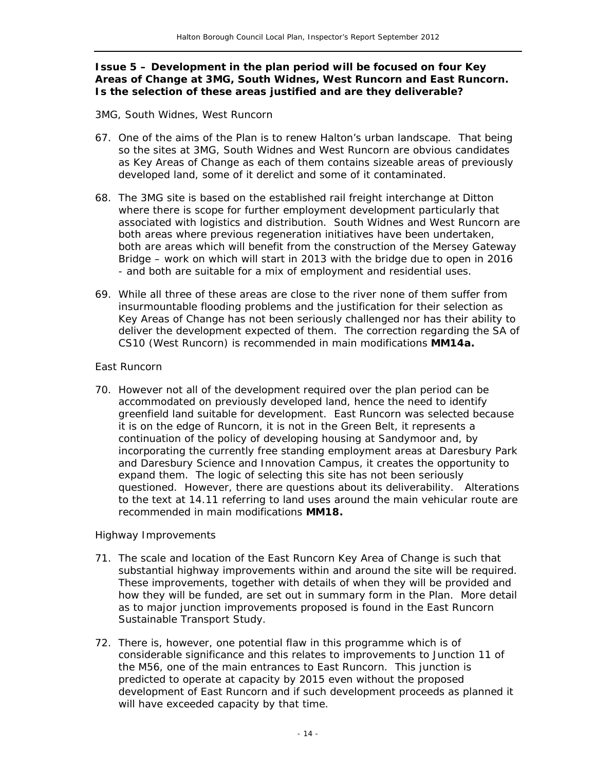#### **Issue 5 – Development in the plan period will be focused on four Key Areas of Change at 3MG, South Widnes, West Runcorn and East Runcorn. Is the selection of these areas justified and are they deliverable?**

#### *3MG, South Widnes, West Runcorn*

- 67. One of the aims of the Plan is to renew Halton's urban landscape. That being so the sites at 3MG, South Widnes and West Runcorn are obvious candidates as Key Areas of Change as each of them contains sizeable areas of previously developed land, some of it derelict and some of it contaminated.
- 68. The 3MG site is based on the established rail freight interchange at Ditton where there is scope for further employment development particularly that associated with logistics and distribution. South Widnes and West Runcorn are both areas where previous regeneration initiatives have been undertaken, both are areas which will benefit from the construction of the Mersey Gateway Bridge – work on which will start in 2013 with the bridge due to open in 2016 - and both are suitable for a mix of employment and residential uses.
- 69. While all three of these areas are close to the river none of them suffer from insurmountable flooding problems and the justification for their selection as Key Areas of Change has not been seriously challenged nor has their ability to deliver the development expected of them. The correction regarding the SA of CS10 (West Runcorn) is recommended in main modifications **MM14a.**

#### *East Runcorn*

70. However not all of the development required over the plan period can be accommodated on previously developed land, hence the need to identify greenfield land suitable for development. East Runcorn was selected because it is on the edge of Runcorn, it is not in the Green Belt, it represents a continuation of the policy of developing housing at Sandymoor and, by incorporating the currently free standing employment areas at Daresbury Park and Daresbury Science and Innovation Campus, it creates the opportunity to expand them. The logic of selecting this site has not been seriously questioned. However, there are questions about its deliverability. Alterations to the text at 14.11 referring to land uses around the main vehicular route are recommended in main modifications **MM18.**

#### *Highway Improvements*

- 71. The scale and location of the East Runcorn Key Area of Change is such that substantial highway improvements within and around the site will be required. These improvements, together with details of when they will be provided and how they will be funded, are set out in summary form in the Plan. More detail as to major junction improvements proposed is found in the East Runcorn Sustainable Transport Study.
- 72. There is, however, one potential flaw in this programme which is of considerable significance and this relates to improvements to Junction 11 of the M56, one of the main entrances to East Runcorn. This junction is predicted to operate at capacity by 2015 even without the proposed development of East Runcorn and if such development proceeds as planned it will have exceeded capacity by that time.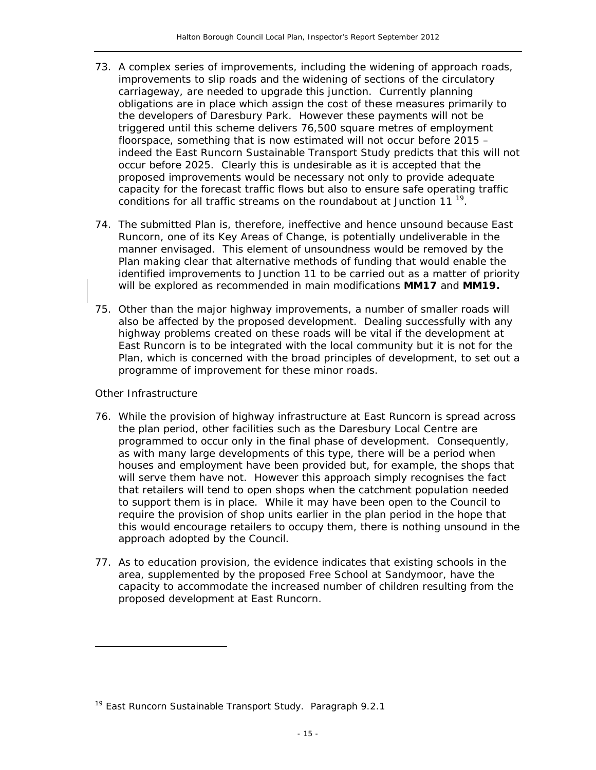- 73. A complex series of improvements, including the widening of approach roads, improvements to slip roads and the widening of sections of the circulatory carriageway, are needed to upgrade this junction. Currently planning obligations are in place which assign the cost of these measures primarily to the developers of Daresbury Park. However these payments will not be triggered until this scheme delivers 76,500 square metres of employment floorspace, something that is now estimated will not occur before 2015 – indeed the East Runcorn Sustainable Transport Study predicts that this will not occur before 2025. Clearly this is undesirable as it is accepted that the proposed improvements would be necessary not only to provide adequate capacity for the forecast traffic flows but also to ensure safe operating traffic conditions for all traffic streams on the roundabout at Junction 11 $<sup>19</sup>$ .</sup>
- 74. The submitted Plan is, therefore, ineffective and hence unsound because East Runcorn, one of its Key Areas of Change, is potentially undeliverable in the manner envisaged. This element of unsoundness would be removed by the Plan making clear that alternative methods of funding that would enable the identified improvements to Junction 11 to be carried out as a matter of priority will be explored as recommended in main modifications **MM17** and **MM19.**
- 75. Other than the major highway improvements, a number of smaller roads will also be affected by the proposed development. Dealing successfully with any highway problems created on these roads will be vital if the development at East Runcorn is to be integrated with the local community but it is not for the Plan, which is concerned with the broad principles of development, to set out a programme of improvement for these minor roads.

#### *Other Infrastructure*

ł

- 76. While the provision of highway infrastructure at East Runcorn is spread across the plan period, other facilities such as the Daresbury Local Centre are programmed to occur only in the final phase of development. Consequently, as with many large developments of this type, there will be a period when houses and employment have been provided but, for example, the shops that will serve them have not. However this approach simply recognises the fact that retailers will tend to open shops when the catchment population needed to support them is in place. While it may have been open to the Council to require the provision of shop units earlier in the plan period in the hope that this would encourage retailers to occupy them, there is nothing unsound in the approach adopted by the Council.
- 77. As to education provision, the evidence indicates that existing schools in the area, supplemented by the proposed Free School at Sandymoor, have the capacity to accommodate the increased number of children resulting from the proposed development at East Runcorn.

<sup>&</sup>lt;sup>19</sup> East Runcorn Sustainable Transport Study. Paragraph 9.2.1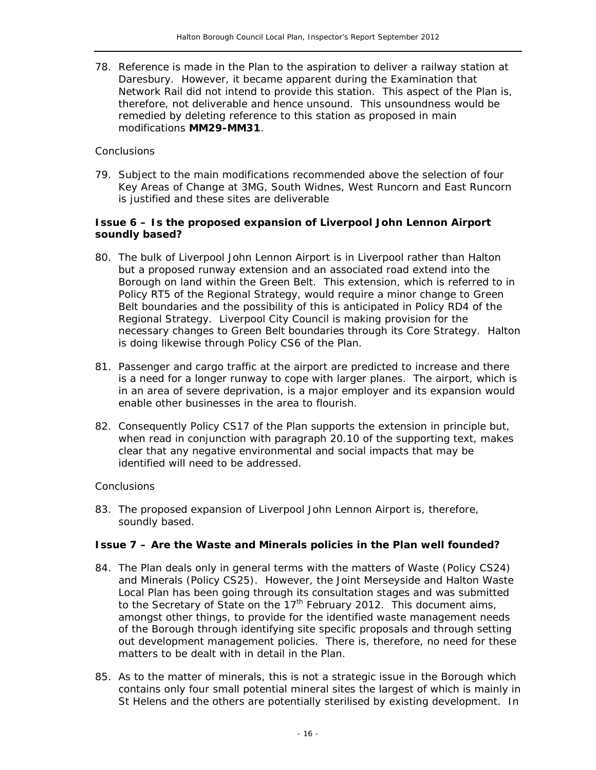78. Reference is made in the Plan to the aspiration to deliver a railway station at Daresbury. However, it became apparent during the Examination that Network Rail did not intend to provide this station. This aspect of the Plan is, therefore, not deliverable and hence unsound. This unsoundness would be remedied by deleting reference to this station as proposed in main modifications **MM29-MM31**.

#### *Conclusions*

79. Subject to the main modifications recommended above the selection of four Key Areas of Change at 3MG, South Widnes, West Runcorn and East Runcorn is justified and these sites are deliverable

#### **Issue 6 – Is the proposed expansion of Liverpool John Lennon Airport soundly based?**

- 80. The bulk of Liverpool John Lennon Airport is in Liverpool rather than Halton but a proposed runway extension and an associated road extend into the Borough on land within the Green Belt. This extension, which is referred to in Policy RT5 of the Regional Strategy, would require a minor change to Green Belt boundaries and the possibility of this is anticipated in Policy RD4 of the Regional Strategy. Liverpool City Council is making provision for the necessary changes to Green Belt boundaries through its Core Strategy. Halton is doing likewise through Policy CS6 of the Plan.
- 81. Passenger and cargo traffic at the airport are predicted to increase and there is a need for a longer runway to cope with larger planes. The airport, which is in an area of severe deprivation, is a major employer and its expansion would enable other businesses in the area to flourish.
- 82. Consequently Policy CS17 of the Plan supports the extension in principle but, when read in conjunction with paragraph 20.10 of the supporting text, makes clear that any negative environmental and social impacts that may be identified will need to be addressed.

#### *Conclusions*

83. The proposed expansion of Liverpool John Lennon Airport is, therefore, soundly based.

#### **Issue 7 – Are the Waste and Minerals policies in the Plan well founded?**

- 84. The Plan deals only in general terms with the matters of Waste (Policy CS24) and Minerals (Policy CS25). However, the Joint Merseyside and Halton Waste Local Plan has been going through its consultation stages and was submitted to the Secretary of State on the  $17<sup>th</sup>$  February 2012. This document aims, amongst other things, to provide for the identified waste management needs of the Borough through identifying site specific proposals and through setting out development management policies. There is, therefore, no need for these matters to be dealt with in detail in the Plan.
- 85. As to the matter of minerals, this is not a strategic issue in the Borough which contains only four small potential mineral sites the largest of which is mainly in St Helens and the others are potentially sterilised by existing development. In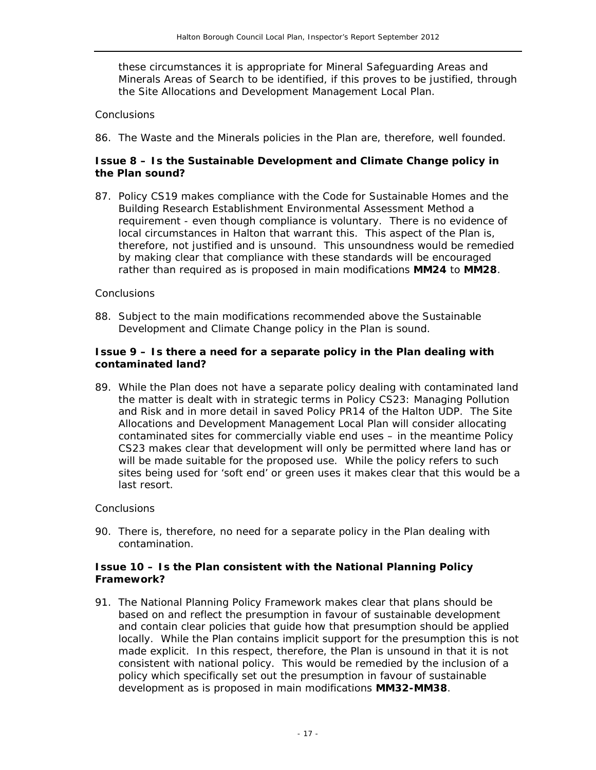these circumstances it is appropriate for Mineral Safeguarding Areas and Minerals Areas of Search to be identified, if this proves to be justified, through the Site Allocations and Development Management Local Plan.

#### *Conclusions*

86. The Waste and the Minerals policies in the Plan are, therefore, well founded.

#### **Issue 8 – Is the Sustainable Development and Climate Change policy in the Plan sound?**

87. Policy CS19 makes compliance with the Code for Sustainable Homes and the Building Research Establishment Environmental Assessment Method a requirement - even though compliance is voluntary. There is no evidence of local circumstances in Halton that warrant this. This aspect of the Plan is, therefore, not justified and is unsound. This unsoundness would be remedied by making clear that compliance with these standards will be encouraged rather than required as is proposed in main modifications **MM24** to **MM28**.

#### *Conclusions*

88. Subject to the main modifications recommended above the Sustainable Development and Climate Change policy in the Plan is sound.

#### **Issue 9 – Is there a need for a separate policy in the Plan dealing with contaminated land?**

89. While the Plan does not have a separate policy dealing with contaminated land the matter is dealt with in strategic terms in Policy CS23: Managing Pollution and Risk and in more detail in saved Policy PR14 of the Halton UDP. The Site Allocations and Development Management Local Plan will consider allocating contaminated sites for commercially viable end uses - in the meantime Policy CS23 makes clear that development will only be permitted where land has or will be made suitable for the proposed use. While the policy refers to such sites being used for 'soft end' or green uses it makes clear that this would be a last resort.

#### *Conclusions*

90. There is, therefore, no need for a separate policy in the Plan dealing with contamination.

#### **Issue 10 – Is the Plan consistent with the National Planning Policy Framework?**

91. The National Planning Policy Framework makes clear that plans should be based on and reflect the presumption in favour of sustainable development and contain clear policies that guide how that presumption should be applied locally. While the Plan contains implicit support for the presumption this is not made explicit. In this respect, therefore, the Plan is unsound in that it is not consistent with national policy. This would be remedied by the inclusion of a policy which specifically set out the presumption in favour of sustainable development as is proposed in main modifications **MM32-MM38**.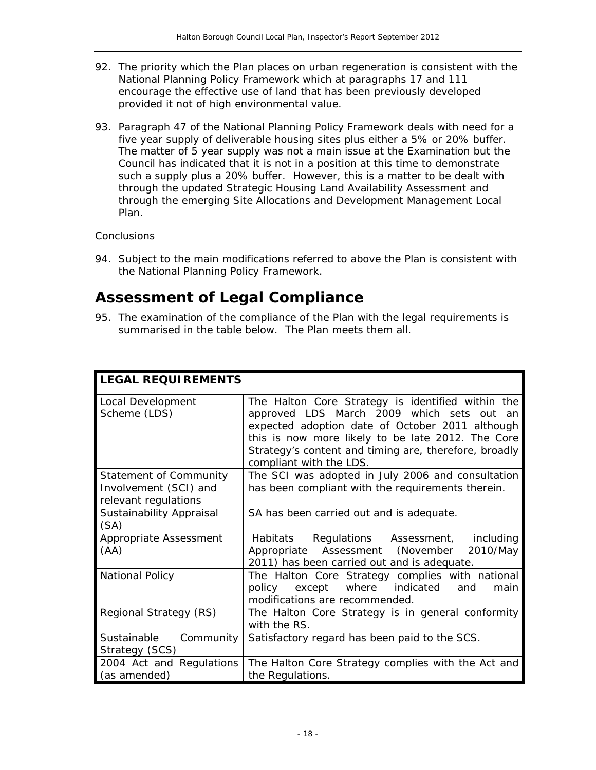- 92. The priority which the Plan places on urban regeneration is consistent with the National Planning Policy Framework which at paragraphs 17 and 111 encourage the effective use of land that has been previously developed provided it not of high environmental value.
- 93. Paragraph 47 of the National Planning Policy Framework deals with need for a five year supply of deliverable housing sites plus either a 5% or 20% buffer. The matter of 5 year supply was not a main issue at the Examination but the Council has indicated that it is not in a position at this time to demonstrate such a supply plus a 20% buffer. However, this is a matter to be dealt with through the updated Strategic Housing Land Availability Assessment and through the emerging Site Allocations and Development Management Local Plan.

#### **Conclusions**

94. Subject to the main modifications referred to above the Plan is consistent with the National Planning Policy Framework.

### **Assessment of Legal Compliance**

95. The examination of the compliance of the Plan with the legal requirements is summarised in the table below. The Plan meets them all.

| <b>LEGAL REQUIREMENTS</b>                                                      |                                                                                                                                                                                                                                                                                            |  |  |  |
|--------------------------------------------------------------------------------|--------------------------------------------------------------------------------------------------------------------------------------------------------------------------------------------------------------------------------------------------------------------------------------------|--|--|--|
| Local Development<br>Scheme (LDS)                                              | The Halton Core Strategy is identified within the<br>approved LDS March 2009 which sets out an<br>expected adoption date of October 2011 although<br>this is now more likely to be late 2012. The Core<br>Strategy's content and timing are, therefore, broadly<br>compliant with the LDS. |  |  |  |
| <b>Statement of Community</b><br>Involvement (SCI) and<br>relevant regulations | The SCI was adopted in July 2006 and consultation<br>has been compliant with the requirements therein.                                                                                                                                                                                     |  |  |  |
| Sustainability Appraisal<br>(SA)                                               | SA has been carried out and is adequate.                                                                                                                                                                                                                                                   |  |  |  |
| Appropriate Assessment<br>(AA)                                                 | Habitats Regulations Assessment, including<br>Appropriate Assessment (November 2010/May<br>2011) has been carried out and is adequate.                                                                                                                                                     |  |  |  |
| <b>National Policy</b>                                                         | The Halton Core Strategy complies with national<br>where<br>indicated<br>except<br>policy<br>main<br>and<br>modifications are recommended.                                                                                                                                                 |  |  |  |
| Regional Strategy (RS)                                                         | The Halton Core Strategy is in general conformity<br>with the RS.                                                                                                                                                                                                                          |  |  |  |
| Community<br>Sustainable<br>Strategy (SCS)                                     | Satisfactory regard has been paid to the SCS.                                                                                                                                                                                                                                              |  |  |  |
| 2004 Act and Regulations<br>(as amended)                                       | The Halton Core Strategy complies with the Act and<br>the Regulations.                                                                                                                                                                                                                     |  |  |  |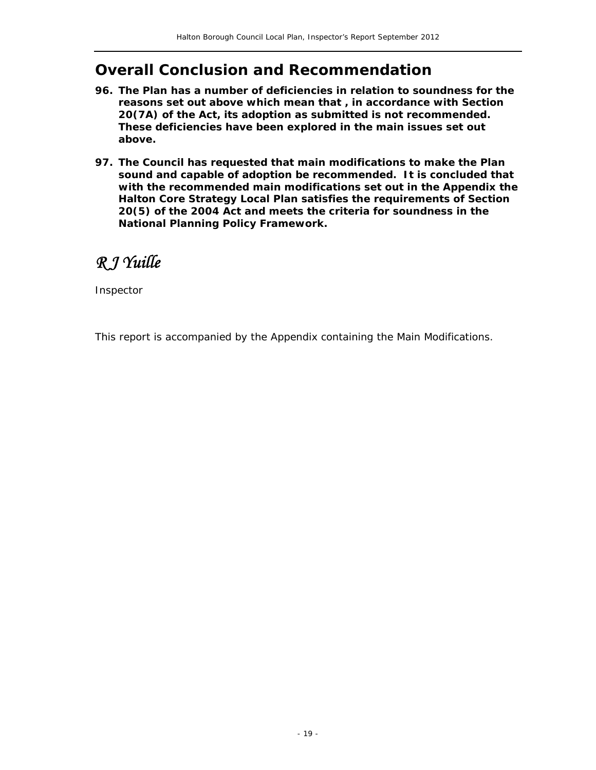### **Overall Conclusion and Recommendation**

- **96. The Plan has a number of deficiencies in relation to soundness for the reasons set out above which mean that , in accordance with Section 20(7A) of the Act, its adoption as submitted is not recommended. These deficiencies have been explored in the main issues set out above.**
- **97. The Council has requested that main modifications to make the Plan sound and capable of adoption be recommended. It is concluded that with the recommended main modifications set out in the Appendix the Halton Core Strategy Local Plan satisfies the requirements of Section 20(5) of the 2004 Act and meets the criteria for soundness in the National Planning Policy Framework.**

*R J Yuille* 

Inspector

This report is accompanied by the Appendix containing the Main Modifications.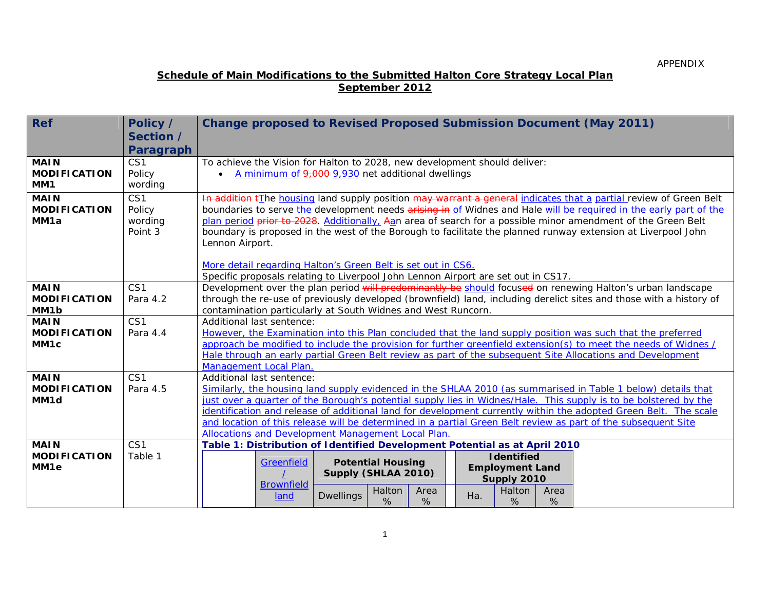#### **Schedule of Main Modifications to the Submitted Halton Core Strategy Local Plan September 2012**

| <b>Ref</b>                  | Policy /        | <b>Change proposed to Revised Proposed Submission Document (May 2011)</b>                                                                                                                                                        |  |  |  |  |  |  |
|-----------------------------|-----------------|----------------------------------------------------------------------------------------------------------------------------------------------------------------------------------------------------------------------------------|--|--|--|--|--|--|
|                             | Section /       |                                                                                                                                                                                                                                  |  |  |  |  |  |  |
|                             | Paragraph       |                                                                                                                                                                                                                                  |  |  |  |  |  |  |
| <b>MAIN</b>                 | CS <sub>1</sub> | To achieve the Vision for Halton to 2028, new development should deliver:                                                                                                                                                        |  |  |  |  |  |  |
| <b>MODIFICATION</b>         | Policy          | A minimum of 9,000 9,930 net additional dwellings<br>$\bullet$                                                                                                                                                                   |  |  |  |  |  |  |
| MM1                         | wording         |                                                                                                                                                                                                                                  |  |  |  |  |  |  |
| <b>MAIN</b>                 | CS1             | In addition the housing land supply position may warrant a general indicates that a partial review of Green Belt                                                                                                                 |  |  |  |  |  |  |
| <b>MODIFICATION</b>         | Policy          | boundaries to serve the development needs arising in of Widnes and Hale will be required in the early part of the                                                                                                                |  |  |  |  |  |  |
| MM1a                        | wording         | plan period prior to 2028. Additionally, Aan area of search for a possible minor amendment of the Green Belt                                                                                                                     |  |  |  |  |  |  |
|                             | Point 3         | boundary is proposed in the west of the Borough to facilitate the planned runway extension at Liverpool John                                                                                                                     |  |  |  |  |  |  |
|                             |                 | Lennon Airport.                                                                                                                                                                                                                  |  |  |  |  |  |  |
|                             |                 | More detail regarding Halton's Green Belt is set out in CS6.                                                                                                                                                                     |  |  |  |  |  |  |
|                             |                 | Specific proposals relating to Liverpool John Lennon Airport are set out in CS17.                                                                                                                                                |  |  |  |  |  |  |
| <b>MAIN</b>                 | CS <sub>1</sub> | Development over the plan period will predominantly be should focused on renewing Halton's urban landscape                                                                                                                       |  |  |  |  |  |  |
| <b>MODIFICATION</b>         | Para 4.2        | through the re-use of previously developed (brownfield) land, including derelict sites and those with a history of                                                                                                               |  |  |  |  |  |  |
| MM1b                        |                 | contamination particularly at South Widnes and West Runcorn.                                                                                                                                                                     |  |  |  |  |  |  |
| <b>MAIN</b>                 | CS <sub>1</sub> | Additional last sentence:                                                                                                                                                                                                        |  |  |  |  |  |  |
| <b>MODIFICATION</b>         | Para 4.4        | However, the Examination into this Plan concluded that the land supply position was such that the preferred                                                                                                                      |  |  |  |  |  |  |
| MM <sub>1c</sub>            |                 | approach be modified to include the provision for further greenfield extension(s) to meet the needs of Widnes /                                                                                                                  |  |  |  |  |  |  |
|                             |                 | Hale through an early partial Green Belt review as part of the subsequent Site Allocations and Development                                                                                                                       |  |  |  |  |  |  |
|                             |                 | Management Local Plan.                                                                                                                                                                                                           |  |  |  |  |  |  |
| <b>MAIN</b>                 | CS <sub>1</sub> | Additional last sentence:                                                                                                                                                                                                        |  |  |  |  |  |  |
| <b>MODIFICATION</b><br>MM1d | Para 4.5        | Similarly, the housing land supply evidenced in the SHLAA 2010 (as summarised in Table 1 below) details that<br>just over a quarter of the Borough's potential supply lies in Widnes/Hale. This supply is to be bolstered by the |  |  |  |  |  |  |
|                             |                 | identification and release of additional land for development currently within the adopted Green Belt. The scale                                                                                                                 |  |  |  |  |  |  |
|                             |                 | and location of this release will be determined in a partial Green Belt review as part of the subsequent Site                                                                                                                    |  |  |  |  |  |  |
|                             |                 | Allocations and Development Management Local Plan.                                                                                                                                                                               |  |  |  |  |  |  |
| <b>MAIN</b>                 | CS <sub>1</sub> | Table 1: Distribution of Identified Development Potential as at April 2010                                                                                                                                                       |  |  |  |  |  |  |
| <b>MODIFICATION</b>         | Table 1         | <b>I</b> dentified                                                                                                                                                                                                               |  |  |  |  |  |  |
| MM <sub>1e</sub>            |                 | <b>Potential Housing</b><br><b>Greenfield</b><br><b>Employment Land</b>                                                                                                                                                          |  |  |  |  |  |  |
|                             |                 | Supply (SHLAA 2010)<br>Supply 2010<br><b>Brownfield</b>                                                                                                                                                                          |  |  |  |  |  |  |
|                             |                 | Halton<br>Halton<br>Area<br>Area<br>land<br>Ha.<br><b>Dwellings</b>                                                                                                                                                              |  |  |  |  |  |  |
|                             |                 | %<br>%<br>%<br>%                                                                                                                                                                                                                 |  |  |  |  |  |  |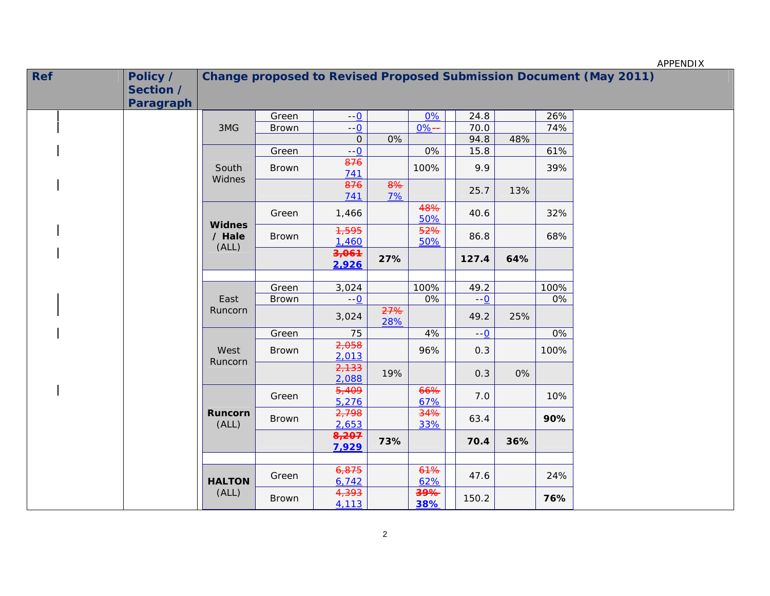|            |                                           |                         |              |                  |                     |            |       |     |      | APPENDIX                                                                  |
|------------|-------------------------------------------|-------------------------|--------------|------------------|---------------------|------------|-------|-----|------|---------------------------------------------------------------------------|
| <b>Ref</b> | Policy /<br>Section /<br><b>Paragraph</b> |                         |              |                  |                     |            |       |     |      | <b>Change proposed to Revised Proposed Submission Document (May 2011)</b> |
|            |                                           |                         | Green        | $--0$            |                     | 0%         | 24.8  |     | 26%  |                                                                           |
|            |                                           | 3MG                     | Brown        | $-\underline{0}$ |                     | $0% -$     | 70.0  |     | 74%  |                                                                           |
|            |                                           |                         |              | $\mbox{O}$       | 0%                  |            | 94.8  | 48% |      |                                                                           |
|            |                                           |                         | Green        | $--0$            |                     | 0%         | 15.8  |     | 61%  |                                                                           |
|            |                                           | South                   | <b>Brown</b> | 876<br>741       |                     | 100%       | 9.9   |     | 39%  |                                                                           |
|            |                                           | Widnes                  |              | 876<br>741       | $\frac{8}{6}$<br>7% |            | 25.7  | 13% |      |                                                                           |
|            |                                           | <b>Widnes</b>           | Green        | 1,466            |                     | 48%<br>50% | 40.6  |     | 32%  |                                                                           |
|            |                                           | / Hale<br>(ALL)         | <b>Brown</b> | 1,595<br>1,460   |                     | 52%<br>50% | 86.8  |     | 68%  |                                                                           |
|            |                                           |                         |              | 3,061<br>2,926   | 27%                 |            | 127.4 | 64% |      |                                                                           |
|            |                                           |                         |              |                  |                     |            |       |     |      |                                                                           |
|            | Runcorn                                   | East<br>Runcorn         | Green        | 3,024            |                     | 100%       | 49.2  |     | 100% |                                                                           |
|            |                                           |                         | Brown        | $-0$             |                     | 0%         | $-0$  |     | 0%   |                                                                           |
|            |                                           |                         |              | 3,024            | 27%<br>28%          |            | 49.2  | 25% |      |                                                                           |
|            |                                           |                         | Green        | 75               |                     | 4%         | $--0$ |     | 0%   |                                                                           |
|            |                                           | West                    | <b>Brown</b> | 2,058<br>2,013   |                     | 96%        | 0.3   |     | 100% |                                                                           |
|            |                                           |                         |              | 2,133<br>2,088   | 19%                 |            | 0.3   | 0%  |      |                                                                           |
|            |                                           |                         | Green        | 5,409<br>5,276   |                     | 66%<br>67% | 7.0   |     | 10%  |                                                                           |
|            |                                           | <b>Runcorn</b><br>(ALL) | <b>Brown</b> | 2,798<br>2,653   |                     | 34%<br>33% | 63.4  |     | 90%  |                                                                           |
|            |                                           |                         |              | 8,207<br>7,929   | 73%                 |            | 70.4  | 36% |      |                                                                           |
|            |                                           | <b>HALTON</b>           | Green        | 6,875<br>6,742   |                     | 61%<br>62% | 47.6  |     | 24%  |                                                                           |
|            |                                           | (ALL)                   | <b>Brown</b> | 4,393<br>4,113   |                     | 39%<br>38% | 150.2 |     | 76%  |                                                                           |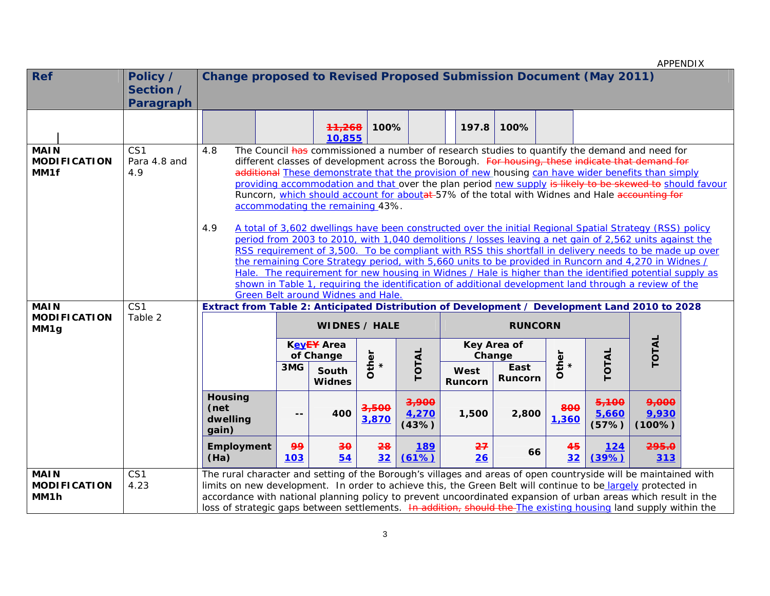|                                                        |                                           |                                                                                                                                                                                                                                                                                                                                                                                                                                                                      |                                                                                                                                                                                                                                                                                                                                                                                                                                                                                                                                                                                                                                                                                                                                                                                                                                                                                                                                                                                                                                                                                                                                                                                                                                                               |                                                   |                           |                                    |                           |                                       |              |                         | APPENDIX                 |  |
|--------------------------------------------------------|-------------------------------------------|----------------------------------------------------------------------------------------------------------------------------------------------------------------------------------------------------------------------------------------------------------------------------------------------------------------------------------------------------------------------------------------------------------------------------------------------------------------------|---------------------------------------------------------------------------------------------------------------------------------------------------------------------------------------------------------------------------------------------------------------------------------------------------------------------------------------------------------------------------------------------------------------------------------------------------------------------------------------------------------------------------------------------------------------------------------------------------------------------------------------------------------------------------------------------------------------------------------------------------------------------------------------------------------------------------------------------------------------------------------------------------------------------------------------------------------------------------------------------------------------------------------------------------------------------------------------------------------------------------------------------------------------------------------------------------------------------------------------------------------------|---------------------------------------------------|---------------------------|------------------------------------|---------------------------|---------------------------------------|--------------|-------------------------|--------------------------|--|
| <b>Ref</b>                                             | Policy /<br>Section /<br><b>Paragraph</b> | <b>Change proposed to Revised Proposed Submission Document (May 2011)</b>                                                                                                                                                                                                                                                                                                                                                                                            |                                                                                                                                                                                                                                                                                                                                                                                                                                                                                                                                                                                                                                                                                                                                                                                                                                                                                                                                                                                                                                                                                                                                                                                                                                                               |                                                   |                           |                                    |                           |                                       |              |                         |                          |  |
|                                                        |                                           |                                                                                                                                                                                                                                                                                                                                                                                                                                                                      |                                                                                                                                                                                                                                                                                                                                                                                                                                                                                                                                                                                                                                                                                                                                                                                                                                                                                                                                                                                                                                                                                                                                                                                                                                                               | 11,268<br>10,855                                  | 100%                      |                                    | 197.8                     | 100%                                  |              |                         |                          |  |
| <b>MAIN</b><br><b>MODIFICATION</b><br>MM1f             | CS1<br>Para 4.8 and<br>4.9                | 4.8<br>4.9                                                                                                                                                                                                                                                                                                                                                                                                                                                           | The Council has commissioned a number of research studies to quantify the demand and need for<br>different classes of development across the Borough. For housing, these indicate that demand for<br>additional These demonstrate that the provision of new housing can have wider benefits than simply<br>providing accommodation and that over the plan period new supply is likely to be skewed to should favour<br>Runcorn, which should account for aboutat-57% of the total with Widnes and Hale accounting for<br>accommodating the remaining 43%.<br>A total of 3,602 dwellings have been constructed over the initial Regional Spatial Strategy (RSS) policy<br>period from 2003 to 2010, with 1,040 demolitions / losses leaving a net gain of 2,562 units against the<br>RSS requirement of 3,500. To be compliant with RSS this shortfall in delivery needs to be made up over<br>the remaining Core Strategy period, with 5,660 units to be provided in Runcorn and 4,270 in Widnes /<br>Hale. The requirement for new housing in Widnes / Hale is higher than the identified potential supply as<br>shown in Table 1, requiring the identification of additional development land through a review of the<br>Green Belt around Widnes and Hale. |                                                   |                           |                                    |                           |                                       |              |                         |                          |  |
| <b>MAIN</b><br><b>MODIFICATION</b><br>MM <sub>1g</sub> | CS1<br>Table 2                            | Extract from Table 2: Anticipated Distribution of Development / Development Land 2010 to 2028                                                                                                                                                                                                                                                                                                                                                                        |                                                                                                                                                                                                                                                                                                                                                                                                                                                                                                                                                                                                                                                                                                                                                                                                                                                                                                                                                                                                                                                                                                                                                                                                                                                               | <b>WIDNES / HALE</b>                              |                           |                                    |                           | <b>RUNCORN</b>                        |              |                         |                          |  |
|                                                        |                                           |                                                                                                                                                                                                                                                                                                                                                                                                                                                                      | 3MG                                                                                                                                                                                                                                                                                                                                                                                                                                                                                                                                                                                                                                                                                                                                                                                                                                                                                                                                                                                                                                                                                                                                                                                                                                                           | KevEY Area<br>of Change<br>South<br><b>Widnes</b> | Other<br>*                | TOTAL                              | Change<br>West<br>Runcorn | Key Area of<br>East<br><b>Runcorn</b> | Other<br>*   | TOTAL                   | TOTAL                    |  |
|                                                        |                                           | <b>Housing</b><br>(net<br>dwelling<br>gain)                                                                                                                                                                                                                                                                                                                                                                                                                          | $- -$                                                                                                                                                                                                                                                                                                                                                                                                                                                                                                                                                                                                                                                                                                                                                                                                                                                                                                                                                                                                                                                                                                                                                                                                                                                         | 400                                               | <del>3,500</del><br>3,870 | <del>3,900</del><br>4,270<br>(43%) | 1,500                     | 2,800                                 | 800<br>1,360 | 5,100<br>5,660<br>(57%) | 9,000<br>9,930<br>(100%) |  |
|                                                        |                                           | <b>Employment</b><br>(Ha)                                                                                                                                                                                                                                                                                                                                                                                                                                            | 99<br><b>103</b>                                                                                                                                                                                                                                                                                                                                                                                                                                                                                                                                                                                                                                                                                                                                                                                                                                                                                                                                                                                                                                                                                                                                                                                                                                              | $\overline{30}$<br>54                             | 28<br>32                  | <u>189</u><br>(61%)                | 27<br>26                  | 66                                    | 45<br>32     | <u>124</u><br>(39%)     | 295.0<br>313             |  |
| <b>MAIN</b><br><b>MODIFICATION</b><br>MM1h             | CS1<br>4.23                               | The rural character and setting of the Borough's villages and areas of open countryside will be maintained with<br>limits on new development. In order to achieve this, the Green Belt will continue to be largely protected in<br>accordance with national planning policy to prevent uncoordinated expansion of urban areas which result in the<br>loss of strategic gaps between settlements. In addition, should the The existing housing land supply within the |                                                                                                                                                                                                                                                                                                                                                                                                                                                                                                                                                                                                                                                                                                                                                                                                                                                                                                                                                                                                                                                                                                                                                                                                                                                               |                                                   |                           |                                    |                           |                                       |              |                         |                          |  |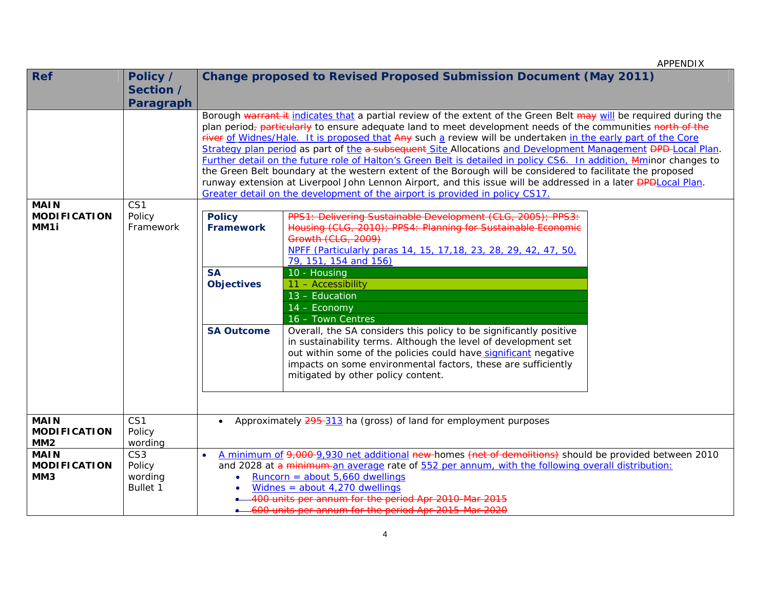| <b>Ref</b>                         | Policy /                  |                   | <b>Change proposed to Revised Proposed Submission Document (May 2011)</b>                                                                                                                                  |  |  |  |  |  |  |
|------------------------------------|---------------------------|-------------------|------------------------------------------------------------------------------------------------------------------------------------------------------------------------------------------------------------|--|--|--|--|--|--|
|                                    | Section /                 |                   |                                                                                                                                                                                                            |  |  |  |  |  |  |
|                                    | <b>Paragraph</b>          |                   |                                                                                                                                                                                                            |  |  |  |  |  |  |
|                                    |                           |                   | Borough warrant it indicates that a partial review of the extent of the Green Belt may will be required during the                                                                                         |  |  |  |  |  |  |
|                                    |                           |                   | plan period <sub>7</sub> particularly to ensure adequate land to meet development needs of the communities north of the                                                                                    |  |  |  |  |  |  |
|                                    |                           |                   | river of Widnes/Hale. It is proposed that Any such a review will be undertaken in the early part of the Core                                                                                               |  |  |  |  |  |  |
|                                    |                           |                   | Strategy plan period as part of the a subsequent Site Allocations and Development Management PPP-Local Plan.                                                                                               |  |  |  |  |  |  |
|                                    |                           |                   | Further detail on the future role of Halton's Green Belt is detailed in policy CS6. In addition, Mminor changes to                                                                                         |  |  |  |  |  |  |
|                                    |                           |                   | the Green Belt boundary at the western extent of the Borough will be considered to facilitate the proposed                                                                                                 |  |  |  |  |  |  |
|                                    |                           |                   | runway extension at Liverpool John Lennon Airport, and this issue will be addressed in a later <b>DPD</b> Local Plan.                                                                                      |  |  |  |  |  |  |
|                                    |                           |                   | Greater detail on the development of the airport is provided in policy CS17.                                                                                                                               |  |  |  |  |  |  |
| <b>MAIN</b>                        | CS <sub>1</sub>           |                   |                                                                                                                                                                                                            |  |  |  |  |  |  |
| <b>MODIFICATION</b>                | Policy                    | <b>Policy</b>     | PPS1: Delivering Sustainable Development (CLG, 2005                                                                                                                                                        |  |  |  |  |  |  |
| MM1i                               | Framework                 | <b>Framework</b>  | Housing (CLG, 2010): PPS4: Planning for Sustainable Economic                                                                                                                                               |  |  |  |  |  |  |
|                                    |                           |                   | Growth (CLG, 2009)<br>NPFF (Particularly paras 14, 15, 17, 18, 23, 28, 29, 42, 47, 50,                                                                                                                     |  |  |  |  |  |  |
|                                    |                           |                   | 79, 151, 154 and 156)                                                                                                                                                                                      |  |  |  |  |  |  |
|                                    |                           | <b>SA</b>         | 10 - Housing                                                                                                                                                                                               |  |  |  |  |  |  |
|                                    |                           | <b>Objectives</b> | 11 - Accessibility                                                                                                                                                                                         |  |  |  |  |  |  |
|                                    |                           |                   | 13 - Education                                                                                                                                                                                             |  |  |  |  |  |  |
|                                    |                           |                   | 14 - Economy                                                                                                                                                                                               |  |  |  |  |  |  |
|                                    |                           |                   | 16 - Town Centres                                                                                                                                                                                          |  |  |  |  |  |  |
|                                    |                           | <b>SA Outcome</b> | Overall, the SA considers this policy to be significantly positive                                                                                                                                         |  |  |  |  |  |  |
|                                    |                           |                   | in sustainability terms. Although the level of development set                                                                                                                                             |  |  |  |  |  |  |
|                                    |                           |                   | out within some of the policies could have significant negative                                                                                                                                            |  |  |  |  |  |  |
|                                    |                           |                   | impacts on some environmental factors, these are sufficiently                                                                                                                                              |  |  |  |  |  |  |
|                                    |                           |                   | mitigated by other policy content.                                                                                                                                                                         |  |  |  |  |  |  |
|                                    |                           |                   |                                                                                                                                                                                                            |  |  |  |  |  |  |
|                                    |                           |                   |                                                                                                                                                                                                            |  |  |  |  |  |  |
|                                    |                           |                   |                                                                                                                                                                                                            |  |  |  |  |  |  |
| <b>MAIN</b>                        | CS <sub>1</sub>           |                   | Approximately 295-313 ha (gross) of land for employment purposes                                                                                                                                           |  |  |  |  |  |  |
| <b>MODIFICATION</b>                | Policy                    |                   |                                                                                                                                                                                                            |  |  |  |  |  |  |
| MM <sub>2</sub>                    | wording                   |                   |                                                                                                                                                                                                            |  |  |  |  |  |  |
| <b>MAIN</b><br><b>MODIFICATION</b> | CS <sub>3</sub><br>Policy |                   | A minimum of 9,000-9,930 net additional new-homes (net of demolitions) should be provided between 2010<br>and 2028 at a minimum an average rate of 552 per annum, with the following overall distribution: |  |  |  |  |  |  |
| MM <sub>3</sub>                    | wording                   | $\bullet$         | Runcorn = about $5,660$ dwellings                                                                                                                                                                          |  |  |  |  |  |  |
|                                    | <b>Bullet 1</b>           |                   | Widnes = about $4,270$ dwellings                                                                                                                                                                           |  |  |  |  |  |  |
|                                    |                           |                   | 400 units per annum for the period Apr 2010-Mar 2015                                                                                                                                                       |  |  |  |  |  |  |
|                                    |                           |                   | -600 units per annum for the period Apr 2015-Mar 2020                                                                                                                                                      |  |  |  |  |  |  |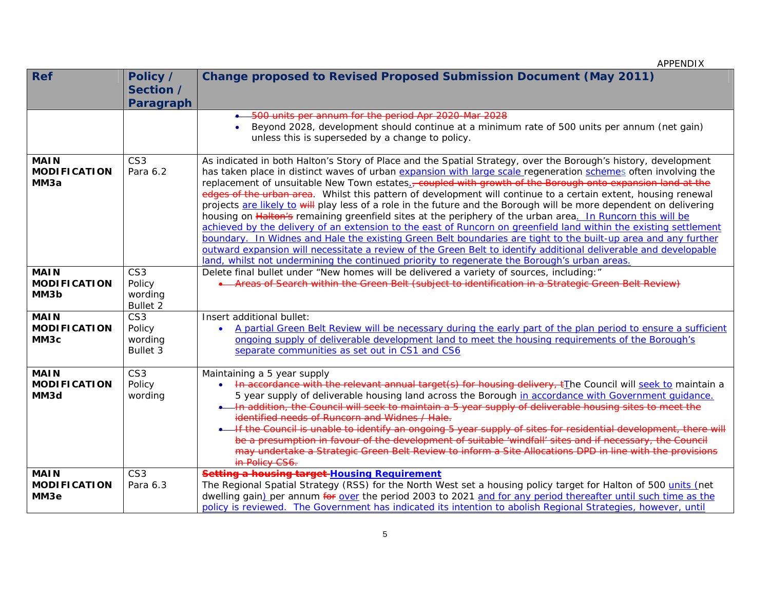| <b>Ref</b>          | Policy /        | <b>Change proposed to Revised Proposed Submission Document (May 2011)</b>                                                                                                                                                       |
|---------------------|-----------------|---------------------------------------------------------------------------------------------------------------------------------------------------------------------------------------------------------------------------------|
|                     | Section /       |                                                                                                                                                                                                                                 |
|                     | Paragraph       |                                                                                                                                                                                                                                 |
|                     |                 | • 500 units per annum for the period Apr 2020-Mar 2028                                                                                                                                                                          |
|                     |                 | Beyond 2028, development should continue at a minimum rate of 500 units per annum (net gain)                                                                                                                                    |
|                     |                 | unless this is superseded by a change to policy.                                                                                                                                                                                |
|                     |                 |                                                                                                                                                                                                                                 |
| <b>MAIN</b>         | CS <sub>3</sub> | As indicated in both Halton's Story of Place and the Spatial Strategy, over the Borough's history, development                                                                                                                  |
| <b>MODIFICATION</b> | Para 6.2        | has taken place in distinct waves of urban expansion with large scale regeneration schemes often involving the                                                                                                                  |
| MM3a                |                 | replacement of unsuitable New Town estates. coupled with growth of the Borough onto expansion land at the                                                                                                                       |
|                     |                 | edges of the urban area. Whilst this pattern of development will continue to a certain extent, housing renewal                                                                                                                  |
|                     |                 | projects are likely to will play less of a role in the future and the Borough will be more dependent on delivering                                                                                                              |
|                     |                 | housing on Halton's remaining greenfield sites at the periphery of the urban area. In Runcorn this will be<br>achieved by the delivery of an extension to the east of Runcorn on greenfield land within the existing settlement |
|                     |                 | boundary. In Widnes and Hale the existing Green Belt boundaries are tight to the built-up area and any further                                                                                                                  |
|                     |                 | outward expansion will necessitate a review of the Green Belt to identify additional deliverable and developable                                                                                                                |
|                     |                 | land, whilst not undermining the continued priority to regenerate the Borough's urban areas.                                                                                                                                    |
| <b>MAIN</b>         | CS <sub>3</sub> | Delete final bullet under "New homes will be delivered a variety of sources, including:"                                                                                                                                        |
| <b>MODIFICATION</b> | Policy          | • Areas of Search within the Green Belt (subject to identification in a Strategic Green Belt Review)                                                                                                                            |
| MM3b                | wording         |                                                                                                                                                                                                                                 |
|                     | Bullet 2        |                                                                                                                                                                                                                                 |
| <b>MAIN</b>         | CS <sub>3</sub> | Insert additional bullet:                                                                                                                                                                                                       |
| <b>MODIFICATION</b> | Policy          | A partial Green Belt Review will be necessary during the early part of the plan period to ensure a sufficient<br>$\bullet$                                                                                                      |
| MM3c                | wording         | ongoing supply of deliverable development land to meet the housing requirements of the Borough's                                                                                                                                |
|                     | Bullet 3        | separate communities as set out in CS1 and CS6                                                                                                                                                                                  |
| <b>MAIN</b>         | CS <sub>3</sub> | Maintaining a 5 year supply                                                                                                                                                                                                     |
| <b>MODIFICATION</b> | Policy          | In accordance with the relevant annual target(s) for housing delivery, t <sup>T</sup> he Council will seek to maintain a<br>$\bullet$                                                                                           |
| MM3d                | wording         | 5 year supply of deliverable housing land across the Borough in accordance with Government quidance.                                                                                                                            |
|                     |                 | . In addition, the Council will seek to maintain a 5 year supply of deliverable housing sites to meet the                                                                                                                       |
|                     |                 | identified needs of Runcorn and Widnes / Hale.                                                                                                                                                                                  |
|                     |                 | • If the Council is unable to identify an ongoing 5 year supply of sites for residential development, there will                                                                                                                |
|                     |                 | be a presumption in favour of the development of suitable 'windfall' sites and if necessary, the Council                                                                                                                        |
|                     |                 | may undertake a Strategic Green Belt Review to inform a Site Allocations DPD in line with the provisions                                                                                                                        |
|                     |                 | in Policy CS6.                                                                                                                                                                                                                  |
| <b>MAIN</b>         | CS <sub>3</sub> | Setting a housing target-Housing Requirement                                                                                                                                                                                    |
| <b>MODIFICATION</b> | Para 6.3        | The Regional Spatial Strategy (RSS) for the North West set a housing policy target for Halton of 500 units (net                                                                                                                 |
| MM3e                |                 | dwelling gain) per annum for over the period 2003 to 2021 and for any period thereafter until such time as the                                                                                                                  |
|                     |                 | policy is reviewed. The Government has indicated its intention to abolish Regional Strategies, however, until                                                                                                                   |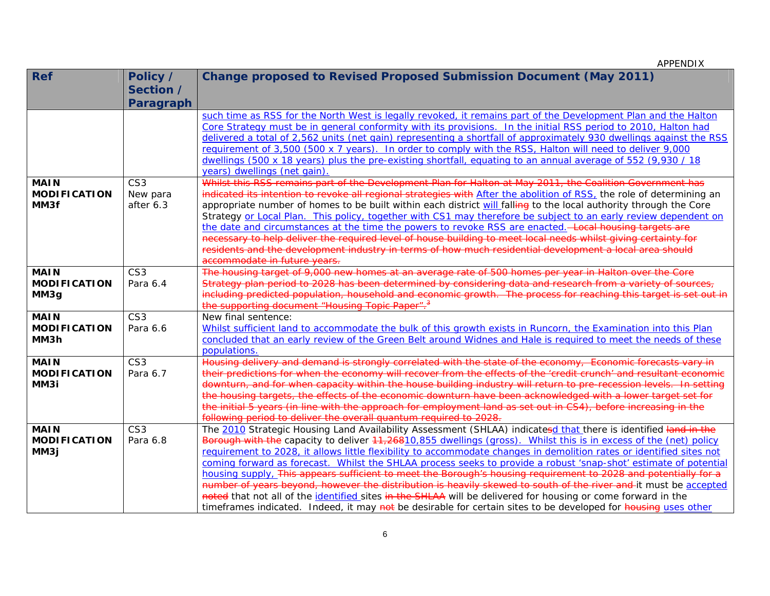| <b>Ref</b>          | Policy /        | <b>Change proposed to Revised Proposed Submission Document (May 2011)</b>                                             |
|---------------------|-----------------|-----------------------------------------------------------------------------------------------------------------------|
|                     | Section /       |                                                                                                                       |
|                     | Paragraph       |                                                                                                                       |
|                     |                 | such time as RSS for the North West is legally revoked, it remains part of the Development Plan and the Halton        |
|                     |                 | Core Strategy must be in general conformity with its provisions. In the initial RSS period to 2010, Halton had        |
|                     |                 | delivered a total of 2,562 units (net gain) representing a shortfall of approximately 930 dwellings against the RSS   |
|                     |                 | requirement of 3,500 (500 x 7 years). In order to comply with the RSS, Halton will need to deliver 9,000              |
|                     |                 | dwellings (500 x 18 years) plus the pre-existing shortfall, equating to an annual average of 552 (9,930 / 18          |
|                     |                 | years) dwellings (net gain)                                                                                           |
| <b>MAIN</b>         | CS <sub>3</sub> | Whilst this RSS remains part of the Development Plan for Halton at May 2011, the Coalition Government has             |
| <b>MODIFICATION</b> | New para        | indicated its intention to revoke all regional strategies with After the abolition of RSS, the role of determining an |
| MM3f                | after 6.3       | appropriate number of homes to be built within each district will falling to the local authority through the Core     |
|                     |                 | Strategy or Local Plan. This policy, together with CS1 may therefore be subject to an early review dependent on       |
|                     |                 | the date and circumstances at the time the powers to revoke RSS are enacted. - Local housing targets are              |
|                     |                 | necessary to help deliver the required level of house building to meet local needs whilst giving certainty for        |
|                     |                 | residents and the development industry in terms of how much residential development a local area should               |
|                     |                 | accommodate in future years.                                                                                          |
| <b>MAIN</b>         | CS <sub>3</sub> | The housing target of 9,000 new homes at an average rate of 500 homes per year in Halton over the Core                |
| <b>MODIFICATION</b> | Para 6.4        | Strategy plan period to 2028 has been determined by considering data and research from a variety of sources,          |
| MM3g                |                 | including predicted population, household and economic growth. The process for reaching this target is set out in     |
|                     |                 | the supporting document "Housing Topic Paper". <sup>3</sup>                                                           |
| <b>MAIN</b>         | CS <sub>3</sub> | New final sentence:                                                                                                   |
| <b>MODIFICATION</b> | Para 6.6        | Whilst sufficient land to accommodate the bulk of this growth exists in Runcorn, the Examination into this Plan       |
| MM3h                |                 | concluded that an early review of the Green Belt around Widnes and Hale is required to meet the needs of these        |
|                     |                 | populations.                                                                                                          |
| <b>MAIN</b>         | CS <sub>3</sub> | Housing delivery and demand is strongly correlated with the state of the economy, Economic forecasts vary in          |
| <b>MODIFICATION</b> | Para 6.7        | their predictions for when the economy will recover from the effects of the 'credit crunch' and resultant economic    |
| MM3i                |                 | downturn, and for when capacity within the house building industry will return to pre-recession levels. In setting    |
|                     |                 | the housing targets, the effects of the economic downturn have been acknowledged with a lower target set for          |
|                     |                 | the initial 5 years (in line with the approach for employment land as set out in CS4), before increasing in the       |
|                     |                 | following period to deliver the overall quantum required to 2028.                                                     |
| <b>MAIN</b>         | CS <sub>3</sub> | The 2010 Strategic Housing Land Availability Assessment (SHLAA) indicatesd that there is identified land in the       |
| <b>MODIFICATION</b> | Para 6.8        | Borough with the capacity to deliver 44,26810,855 dwellings (gross). Whilst this is in excess of the (net) policy     |
| MM3j                |                 | requirement to 2028, it allows little flexibility to accommodate changes in demolition rates or identified sites not  |
|                     |                 | coming forward as forecast. Whilst the SHLAA process seeks to provide a robust 'snap-shot' estimate of potential      |
|                     |                 | housing supply, This appears sufficient to meet the Borough's housing requirement to 2028 and potentially for a       |
|                     |                 | number of years beyond, however the distribution is heavily skewed to south of the river and it must be accepted      |
|                     |                 | noted that not all of the identified sites in the SHLAA will be delivered for housing or come forward in the          |
|                     |                 | timeframes indicated. Indeed, it may not be desirable for certain sites to be developed for housing uses other        |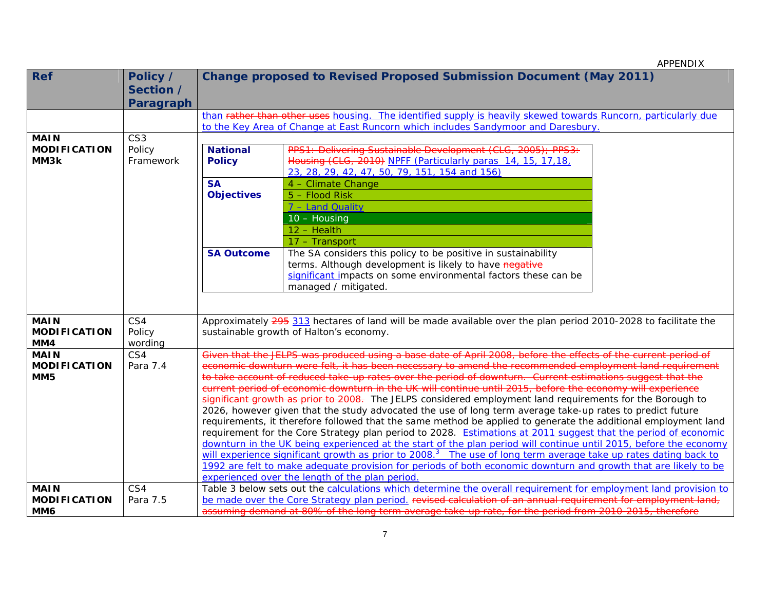| <b>Ref</b>                                            | Policy /<br>Section /<br>Paragraph | <b>Change proposed to Revised Proposed Submission Document (May 2011)</b>                                                                                                                                                                                                                                                                                                                                                                                                                                                                                                                                                                                                                                                                                                                                                                                                                                                                                                                                                                                                                                                                                                                                                                                                                                                                    |                                                                                                                                                                                                                                                                                                                                             |  |  |  |  |
|-------------------------------------------------------|------------------------------------|----------------------------------------------------------------------------------------------------------------------------------------------------------------------------------------------------------------------------------------------------------------------------------------------------------------------------------------------------------------------------------------------------------------------------------------------------------------------------------------------------------------------------------------------------------------------------------------------------------------------------------------------------------------------------------------------------------------------------------------------------------------------------------------------------------------------------------------------------------------------------------------------------------------------------------------------------------------------------------------------------------------------------------------------------------------------------------------------------------------------------------------------------------------------------------------------------------------------------------------------------------------------------------------------------------------------------------------------|---------------------------------------------------------------------------------------------------------------------------------------------------------------------------------------------------------------------------------------------------------------------------------------------------------------------------------------------|--|--|--|--|
|                                                       |                                    |                                                                                                                                                                                                                                                                                                                                                                                                                                                                                                                                                                                                                                                                                                                                                                                                                                                                                                                                                                                                                                                                                                                                                                                                                                                                                                                                              | than rather than other uses housing. The identified supply is heavily skewed towards Runcorn, particularly due<br>to the Key Area of Change at East Runcorn which includes Sandymoor and Daresbury.                                                                                                                                         |  |  |  |  |
| <b>MAIN</b><br><b>MODIFICATION</b>                    | CS <sub>3</sub><br>Policy          | <b>National</b>                                                                                                                                                                                                                                                                                                                                                                                                                                                                                                                                                                                                                                                                                                                                                                                                                                                                                                                                                                                                                                                                                                                                                                                                                                                                                                                              | PPS1: Delivering Sustainable Development (CLG, 2005); PPS3:                                                                                                                                                                                                                                                                                 |  |  |  |  |
| MM3k                                                  | Framework                          | <b>Policy</b>                                                                                                                                                                                                                                                                                                                                                                                                                                                                                                                                                                                                                                                                                                                                                                                                                                                                                                                                                                                                                                                                                                                                                                                                                                                                                                                                | Housing (CLG, 2010) NPFF (Particularly paras 14, 15, 17, 18,<br>23, 28, 29, 42, 47, 50, 79, 151, 154 and 156)                                                                                                                                                                                                                               |  |  |  |  |
|                                                       |                                    | <b>SA</b><br><b>Objectives</b>                                                                                                                                                                                                                                                                                                                                                                                                                                                                                                                                                                                                                                                                                                                                                                                                                                                                                                                                                                                                                                                                                                                                                                                                                                                                                                               | 4 - Climate Change<br>5 - Flood Risk<br>7 - Land Quality                                                                                                                                                                                                                                                                                    |  |  |  |  |
|                                                       |                                    |                                                                                                                                                                                                                                                                                                                                                                                                                                                                                                                                                                                                                                                                                                                                                                                                                                                                                                                                                                                                                                                                                                                                                                                                                                                                                                                                              | 10 - Housing<br>12 - Health<br>17 - Transport                                                                                                                                                                                                                                                                                               |  |  |  |  |
|                                                       |                                    | <b>SA Outcome</b>                                                                                                                                                                                                                                                                                                                                                                                                                                                                                                                                                                                                                                                                                                                                                                                                                                                                                                                                                                                                                                                                                                                                                                                                                                                                                                                            | The SA considers this policy to be positive in sustainability<br>terms. Although development is likely to have negative<br>significant impacts on some environmental factors these can be<br>managed / mitigated.                                                                                                                           |  |  |  |  |
| <b>MAIN</b><br><b>MODIFICATION</b><br>MM4             | CS4<br>Policy<br>wording           |                                                                                                                                                                                                                                                                                                                                                                                                                                                                                                                                                                                                                                                                                                                                                                                                                                                                                                                                                                                                                                                                                                                                                                                                                                                                                                                                              | Approximately 295 313 hectares of land will be made available over the plan period 2010-2028 to facilitate the<br>sustainable growth of Halton's economy.                                                                                                                                                                                   |  |  |  |  |
| <b>MAIN</b><br><b>MODIFICATION</b><br>MM <sub>5</sub> | CS4<br>Para 7.4                    | Given that the JELPS was produced using a base date of April 2008, before the effects of the current period of<br>economic downturn were felt, it has been necessary to amend the recommended employment land requirement<br>to take account of reduced take-up rates over the period of downturn. Current estimations suggest that the<br>current period of economic downturn in the UK will continue until 2015, before the economy will experience<br>significant growth as prior to 2008. The JELPS considered employment land requirements for the Borough to<br>2026, however given that the study advocated the use of long term average take-up rates to predict future<br>requirements, it therefore followed that the same method be applied to generate the additional employment land<br>requirement for the Core Strategy plan period to 2028. Estimations at 2011 suggest that the period of economic<br>downturn in the UK being experienced at the start of the plan period will continue until 2015, before the economy<br>will experience significant growth as prior to 2008. <sup>3</sup> The use of long term average take up rates dating back to<br>1992 are felt to make adequate provision for periods of both economic downturn and growth that are likely to be<br>experienced over the length of the plan period |                                                                                                                                                                                                                                                                                                                                             |  |  |  |  |
| <b>MAIN</b><br><b>MODIFICATION</b><br>MM6             | CS4<br>Para 7.5                    |                                                                                                                                                                                                                                                                                                                                                                                                                                                                                                                                                                                                                                                                                                                                                                                                                                                                                                                                                                                                                                                                                                                                                                                                                                                                                                                                              | Table 3 below sets out the calculations which determine the overall requirement for employment land provision to<br>be made over the Core Strategy plan period, revised calculation of an annual requirement for employment land,<br>assuming demand at 80% of the long term average take-up rate, for the period from 2010-2015, therefore |  |  |  |  |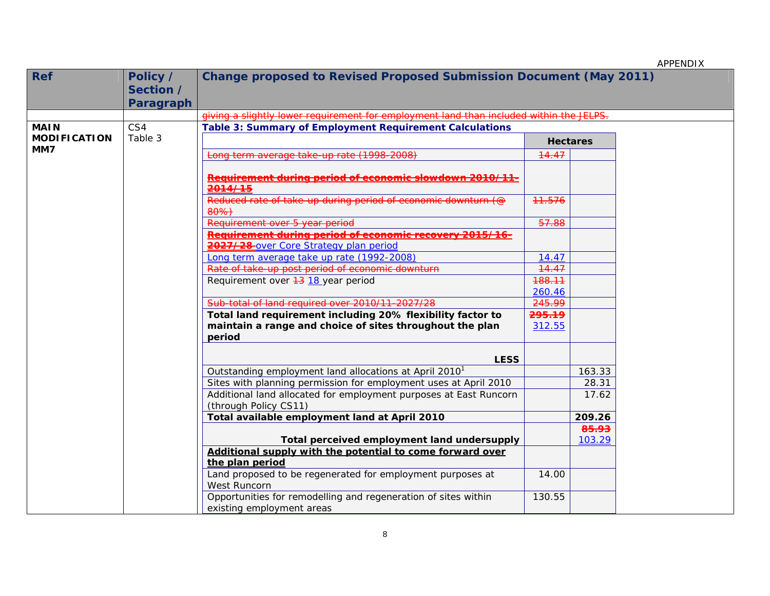| <b>Ref</b>          | Policy /  | <b>Change proposed to Revised Proposed Submission Document (May 2011)</b>                   |        |                 |  |  |
|---------------------|-----------|---------------------------------------------------------------------------------------------|--------|-----------------|--|--|
|                     | Section / |                                                                                             |        |                 |  |  |
|                     | Paragraph |                                                                                             |        |                 |  |  |
|                     |           | giving a slightly lower requirement for employment land than included within the JELPS.     |        |                 |  |  |
| <b>MAIN</b>         | CS4       | <b>Table 3: Summary of Employment Requirement Calculations</b>                              |        |                 |  |  |
| <b>MODIFICATION</b> | Table 3   |                                                                                             |        | <b>Hectares</b> |  |  |
| MM7                 |           | Long term average take-up rate (1998-2008)                                                  | 14.47  |                 |  |  |
|                     |           | Requirement during period of economic slowdown 2010/11-                                     |        |                 |  |  |
|                     |           | 2014/15                                                                                     |        |                 |  |  |
|                     |           | Reduced rate of take-up during period of economic downturn (@<br>80%)                       | 11.576 |                 |  |  |
|                     |           | Requirement over 5 year period                                                              | 57.88  |                 |  |  |
|                     |           | Requirement during period of economic recovery 2015/16-                                     |        |                 |  |  |
|                     |           | 2027/28-over Core Strategy plan period                                                      |        |                 |  |  |
|                     |           | Long term average take up rate (1992-2008)                                                  | 14.47  |                 |  |  |
|                     |           | Rate of take-up post period of economic downturn                                            | 14.47  |                 |  |  |
|                     |           | Requirement over <del>13</del> 18 year period                                               | 188.11 |                 |  |  |
|                     |           |                                                                                             | 260.46 |                 |  |  |
|                     |           | Sub-total of land required over 2010/11-2027/28                                             | 245.99 |                 |  |  |
|                     |           | Total land requirement including 20% flexibility factor to                                  | 295.19 |                 |  |  |
|                     |           | maintain a range and choice of sites throughout the plan                                    | 312.55 |                 |  |  |
|                     |           | period                                                                                      |        |                 |  |  |
|                     |           | <b>LESS</b>                                                                                 |        |                 |  |  |
|                     |           | Outstanding employment land allocations at April 2010 <sup>1</sup>                          |        | 163.33          |  |  |
|                     |           | Sites with planning permission for employment uses at April 2010                            |        | 28.31           |  |  |
|                     |           | Additional land allocated for employment purposes at East Runcorn                           |        | 17.62           |  |  |
|                     |           | (through Policy CS11)                                                                       |        |                 |  |  |
|                     |           | Total available employment land at April 2010                                               |        | 209.26          |  |  |
|                     |           |                                                                                             |        | 85.93           |  |  |
|                     |           | Total perceived employment land undersupply                                                 |        | 103.29          |  |  |
|                     |           | Additional supply with the potential to come forward over                                   |        |                 |  |  |
|                     |           | the plan period                                                                             |        |                 |  |  |
|                     |           | Land proposed to be regenerated for employment purposes at<br>West Runcorn                  | 14.00  |                 |  |  |
|                     |           | Opportunities for remodelling and regeneration of sites within<br>existing employment areas | 130.55 |                 |  |  |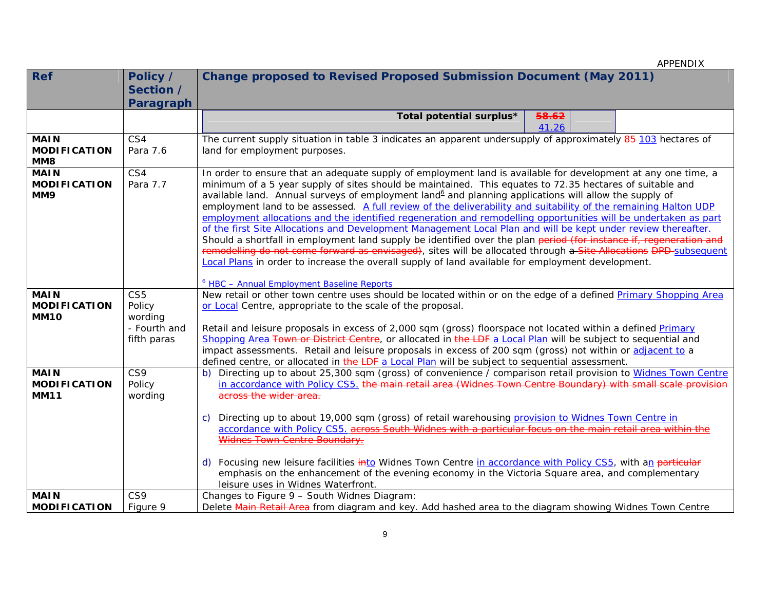| <b>Ref</b>                                        | Policy /<br>Section /<br>Paragraph                                  | Change proposed to Revised Proposed Submission Document (May 2011)                                                                                                                                                                                                                                                                                                                                                                                                                                                                                                                                                                                                                                                                                                                                                                                                                                                                                                                                                                                                                                            |
|---------------------------------------------------|---------------------------------------------------------------------|---------------------------------------------------------------------------------------------------------------------------------------------------------------------------------------------------------------------------------------------------------------------------------------------------------------------------------------------------------------------------------------------------------------------------------------------------------------------------------------------------------------------------------------------------------------------------------------------------------------------------------------------------------------------------------------------------------------------------------------------------------------------------------------------------------------------------------------------------------------------------------------------------------------------------------------------------------------------------------------------------------------------------------------------------------------------------------------------------------------|
|                                                   |                                                                     | 58.62<br>Total potential surplus*<br>41.26                                                                                                                                                                                                                                                                                                                                                                                                                                                                                                                                                                                                                                                                                                                                                                                                                                                                                                                                                                                                                                                                    |
| <b>MAIN</b><br><b>MODIFICATION</b><br>MM8         | CS4<br>Para 7.6                                                     | The current supply situation in table 3 indicates an apparent undersupply of approximately 85-103 hectares of<br>land for employment purposes.                                                                                                                                                                                                                                                                                                                                                                                                                                                                                                                                                                                                                                                                                                                                                                                                                                                                                                                                                                |
| <b>MAIN</b><br><b>MODIFICATION</b><br>MM9         | CS4<br>Para 7.7                                                     | In order to ensure that an adequate supply of employment land is available for development at any one time, a<br>minimum of a 5 year supply of sites should be maintained. This equates to 72.35 hectares of suitable and<br>available land. Annual surveys of employment land <sup>6</sup> and planning applications will allow the supply of<br>employment land to be assessed. A full review of the deliverability and suitability of the remaining Halton UDP<br>employment allocations and the identified regeneration and remodelling opportunities will be undertaken as part<br>of the first Site Allocations and Development Management Local Plan and will be kept under review thereafter.<br>Should a shortfall in employment land supply be identified over the plan period (for instance if, regeneration and<br>remodelling do not come forward as envisaged), sites will be allocated through a Site Allocations DPD subsequent<br>Local Plans in order to increase the overall supply of land available for employment development.<br><sup>6</sup> HBC - Annual Employment Baseline Reports |
| <b>MAIN</b><br><b>MODIFICATION</b><br><b>MM10</b> | CS <sub>5</sub><br>Policy<br>wording<br>- Fourth and<br>fifth paras | New retail or other town centre uses should be located within or on the edge of a defined Primary Shopping Area<br>or Local Centre, appropriate to the scale of the proposal.<br>Retail and leisure proposals in excess of 2,000 sqm (gross) floorspace not located within a defined Primary<br>Shopping Area Town or District Centre, or allocated in the LDF a Local Plan will be subject to sequential and<br>impact assessments. Retail and leisure proposals in excess of 200 sqm (gross) not within or adjacent to a<br>defined centre, or allocated in the LDF a Local Plan will be subject to sequential assessment.                                                                                                                                                                                                                                                                                                                                                                                                                                                                                  |
| <b>MAIN</b><br><b>MODIFICATION</b><br><b>MM11</b> | CS9<br>Policy<br>wording                                            | b) Directing up to about 25,300 sqm (gross) of convenience / comparison retail provision to Widnes Town Centre<br>in accordance with Policy CS5. the main retail area (Widnes Town Centre Boundary) with small scale provision<br>across the wider area.<br>Directing up to about 19,000 sqm (gross) of retail warehousing provision to Widnes Town Centre in<br>C)<br>accordance with Policy CS5. across South Widnes with a particular focus on the main retail area within the<br>Widnes Town Centre Boundary.<br>d) Focusing new leisure facilities into Widnes Town Centre in accordance with Policy CS5, with an particular<br>emphasis on the enhancement of the evening economy in the Victoria Square area, and complementary<br>leisure uses in Widnes Waterfront.                                                                                                                                                                                                                                                                                                                                  |
| <b>MAIN</b><br><b>MODIFICATION</b>                | CS9<br>Figure 9                                                     | Changes to Figure 9 - South Widnes Diagram:<br>Delete Main Retail Area from diagram and key. Add hashed area to the diagram showing Widnes Town Centre                                                                                                                                                                                                                                                                                                                                                                                                                                                                                                                                                                                                                                                                                                                                                                                                                                                                                                                                                        |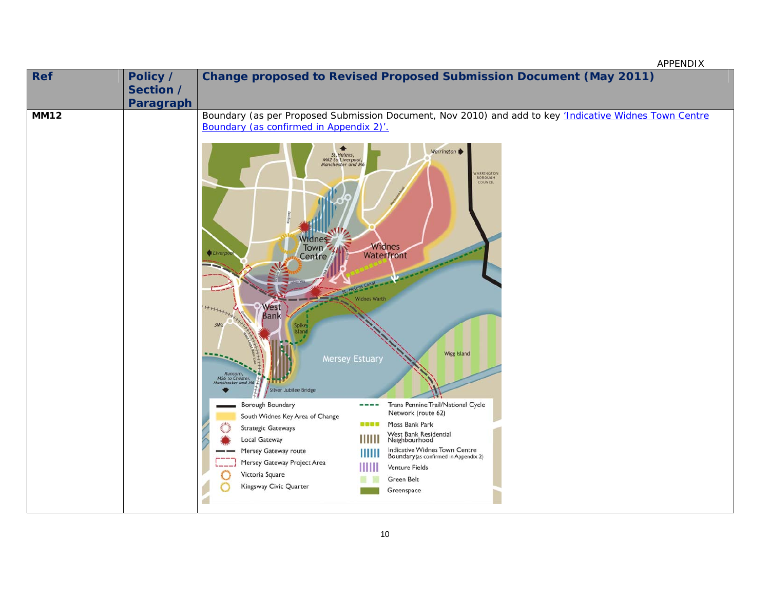| Ref         | Policy /<br>Section /<br>Paragraph | <b>Change proposed to Revised Proposed Submission Document (May 2011)</b>                                                                                                                                                                                                                                                                                                                                                                                                                                                                                                                                                                                                                                                                                                                                                                                                                                                                                                                                                             |
|-------------|------------------------------------|---------------------------------------------------------------------------------------------------------------------------------------------------------------------------------------------------------------------------------------------------------------------------------------------------------------------------------------------------------------------------------------------------------------------------------------------------------------------------------------------------------------------------------------------------------------------------------------------------------------------------------------------------------------------------------------------------------------------------------------------------------------------------------------------------------------------------------------------------------------------------------------------------------------------------------------------------------------------------------------------------------------------------------------|
| <b>MM12</b> |                                    | Boundary (as per Proposed Submission Document, Nov 2010) and add to key 'Indicative Widnes Town Centre<br>Boundary (as confirmed in Appendix 2)'.<br>Warrington<br>St. Helens,<br>M62 to Liverpool,<br>Manchester and M6<br>VARRINGTON<br><b>BOROUGH</b><br>COUNCIL<br>Vidnes<br>Widnes<br>Town<br><b>Liverp</b><br>Waterfront<br>Centre<br><b>Widnes Warth</b><br>West<br>HHHHH<br>Bank<br>3 <sub>MG</sub><br><b>Wigg Island</b><br><b>Mersey Estuary</b><br>Runcorn,<br>M56 to Chester,<br>Manchester and M6<br>Silver Jubilee Bridge<br>Borough Boundary<br>Trans Pennine Trail/National Cycle<br>Network (route 62)<br>South Widnes Key Area of Change<br>Moss Bank Park<br><br><b>Strategic Gateways</b><br>West Bank Residential<br>Neighbourhood<br>ШШ<br><b>Local Gateway</b><br>Indicative Widnes Town Centre<br>Boundary (as confirmed in Appendix 2)<br>Mersey Gateway route<br>ШШ<br>Mersey Gateway Project Area<br><b>Venture Fields</b><br>Victoria Square<br><b>Green Belt</b><br>Kingsway Civic Quarter<br>Greenspace |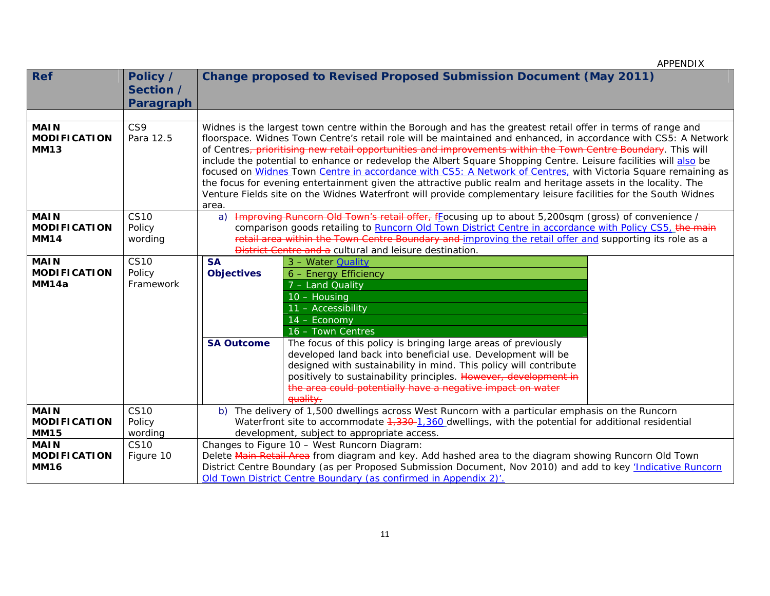| <b>Ref</b>                                        | Policy /<br>Section /              |                                                                                                                                                                                                                                                                                                                                                                                          | <b>Change proposed to Revised Proposed Submission Document (May 2011)</b>                                                                                                                                                                                                                                                                                                                                                                                                                                                                                                                                                                                                                                                                                                                                                  |  |  |  |  |
|---------------------------------------------------|------------------------------------|------------------------------------------------------------------------------------------------------------------------------------------------------------------------------------------------------------------------------------------------------------------------------------------------------------------------------------------------------------------------------------------|----------------------------------------------------------------------------------------------------------------------------------------------------------------------------------------------------------------------------------------------------------------------------------------------------------------------------------------------------------------------------------------------------------------------------------------------------------------------------------------------------------------------------------------------------------------------------------------------------------------------------------------------------------------------------------------------------------------------------------------------------------------------------------------------------------------------------|--|--|--|--|
|                                                   | Paragraph                          |                                                                                                                                                                                                                                                                                                                                                                                          |                                                                                                                                                                                                                                                                                                                                                                                                                                                                                                                                                                                                                                                                                                                                                                                                                            |  |  |  |  |
|                                                   |                                    |                                                                                                                                                                                                                                                                                                                                                                                          |                                                                                                                                                                                                                                                                                                                                                                                                                                                                                                                                                                                                                                                                                                                                                                                                                            |  |  |  |  |
| <b>MAIN</b><br><b>MODIFICATION</b><br><b>MM13</b> | CS9<br>Para 12.5                   | area.                                                                                                                                                                                                                                                                                                                                                                                    | Widnes is the largest town centre within the Borough and has the greatest retail offer in terms of range and<br>floorspace. Widnes Town Centre's retail role will be maintained and enhanced, in accordance with CS5: A Network<br>of Centres, prioritising new retail opportunities and improvements within the Town Centre Boundary. This will<br>include the potential to enhance or redevelop the Albert Square Shopping Centre. Leisure facilities will also be<br>focused on Widnes Town Centre in accordance with CS5: A Network of Centres, with Victoria Square remaining as<br>the focus for evening entertainment given the attractive public realm and heritage assets in the locality. The<br>Venture Fields site on the Widnes Waterfront will provide complementary leisure facilities for the South Widnes |  |  |  |  |
| <b>MAIN</b><br><b>MODIFICATION</b><br><b>MM14</b> | <b>CS10</b><br>Policy<br>wording   | Improving Runcorn Old Town's retail offer, fLocusing up to about 5,200sqm (gross) of convenience /<br>a)<br>comparison goods retailing to Runcorn Old Town District Centre in accordance with Policy CS5, the main<br>retail area within the Town Centre Boundary and improving the retail offer and supporting its role as a<br>District Centre and a cultural and leisure destination. |                                                                                                                                                                                                                                                                                                                                                                                                                                                                                                                                                                                                                                                                                                                                                                                                                            |  |  |  |  |
| <b>MAIN</b><br><b>MODIFICATION</b><br>MM14a       | <b>CS10</b><br>Policy<br>Framework | <b>SA</b><br><b>Objectives</b>                                                                                                                                                                                                                                                                                                                                                           | 3 - Water <b>Quality</b><br>6 - Energy Efficiency<br>7 - Land Quality<br>10 - Housing<br>11 - Accessibility<br>14 - Economy<br>16 - Town Centres                                                                                                                                                                                                                                                                                                                                                                                                                                                                                                                                                                                                                                                                           |  |  |  |  |
|                                                   |                                    | <b>SA Outcome</b>                                                                                                                                                                                                                                                                                                                                                                        | The focus of this policy is bringing large areas of previously<br>developed land back into beneficial use. Development will be<br>designed with sustainability in mind. This policy will contribute<br>positively to sustainability principles. However, development in<br>the area could potentially have a negative impact on water<br>quality.                                                                                                                                                                                                                                                                                                                                                                                                                                                                          |  |  |  |  |
| <b>MAIN</b>                                       | <b>CS10</b>                        |                                                                                                                                                                                                                                                                                                                                                                                          | b) The delivery of 1,500 dwellings across West Runcorn with a particular emphasis on the Runcorn                                                                                                                                                                                                                                                                                                                                                                                                                                                                                                                                                                                                                                                                                                                           |  |  |  |  |
| <b>MODIFICATION</b>                               | Policy                             |                                                                                                                                                                                                                                                                                                                                                                                          | Waterfront site to accommodate 4,330-1,360 dwellings, with the potential for additional residential                                                                                                                                                                                                                                                                                                                                                                                                                                                                                                                                                                                                                                                                                                                        |  |  |  |  |
| <b>MM15</b>                                       | wording                            |                                                                                                                                                                                                                                                                                                                                                                                          | development, subject to appropriate access.                                                                                                                                                                                                                                                                                                                                                                                                                                                                                                                                                                                                                                                                                                                                                                                |  |  |  |  |
| <b>MAIN</b>                                       | <b>CS10</b>                        |                                                                                                                                                                                                                                                                                                                                                                                          | Changes to Figure 10 - West Runcorn Diagram:                                                                                                                                                                                                                                                                                                                                                                                                                                                                                                                                                                                                                                                                                                                                                                               |  |  |  |  |
| <b>MODIFICATION</b>                               | Figure 10                          |                                                                                                                                                                                                                                                                                                                                                                                          | Delete Main Retail Area from diagram and key. Add hashed area to the diagram showing Runcorn Old Town                                                                                                                                                                                                                                                                                                                                                                                                                                                                                                                                                                                                                                                                                                                      |  |  |  |  |
| <b>MM16</b>                                       |                                    |                                                                                                                                                                                                                                                                                                                                                                                          | District Centre Boundary (as per Proposed Submission Document, Nov 2010) and add to key <i>'Indicative Runcorn</i>                                                                                                                                                                                                                                                                                                                                                                                                                                                                                                                                                                                                                                                                                                         |  |  |  |  |
|                                                   |                                    |                                                                                                                                                                                                                                                                                                                                                                                          | Old Town District Centre Boundary (as confirmed in Appendix 2)'                                                                                                                                                                                                                                                                                                                                                                                                                                                                                                                                                                                                                                                                                                                                                            |  |  |  |  |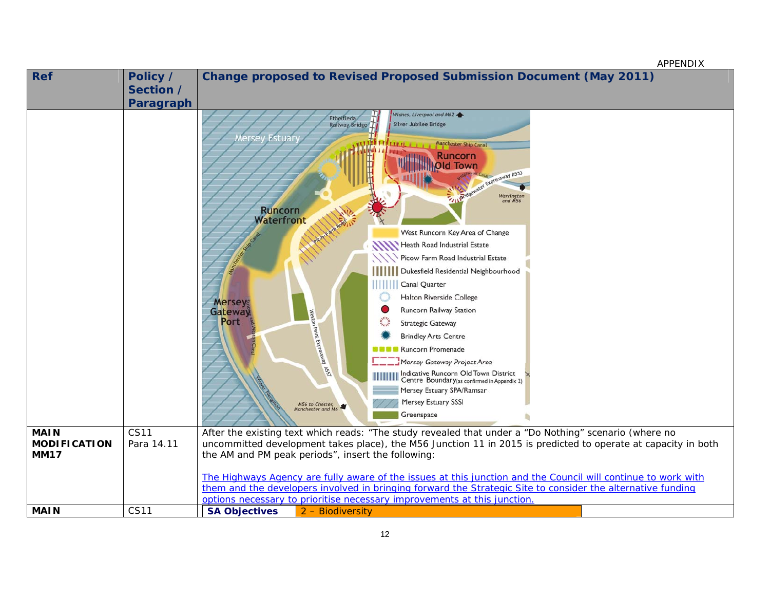| <b>Ref</b>                                        | Policy /<br>Section /<br>Paragraph | <b>Change proposed to Revised Proposed Submission Document (May 2011)</b>                                                                                                                                                                                                                                                                                                                                                                                                                                                                                                                                                                                                                                                                                                                                                                                 |
|---------------------------------------------------|------------------------------------|-----------------------------------------------------------------------------------------------------------------------------------------------------------------------------------------------------------------------------------------------------------------------------------------------------------------------------------------------------------------------------------------------------------------------------------------------------------------------------------------------------------------------------------------------------------------------------------------------------------------------------------------------------------------------------------------------------------------------------------------------------------------------------------------------------------------------------------------------------------|
|                                                   |                                    | Widnes, Liverpool and M62<br>Ethelfleda<br><b>Silver Jubilee Bridge</b><br>Railway Bridge<br>Estuar<br><b>Manchester Ship Canal</b><br><b>Runcorn</b><br><b>Old Town</b><br>Expressway A533<br>Warrington<br>and M56<br><b>Runcorn</b><br><b>Waterfront</b><br>West Runcorn Key Area of Change<br>Heath Road Industrial Estate<br>Picow Farm Road Industrial Estate<br>ШШ<br>Dukesfield Residential Neighbourhood<br>Canal Quarter<br>Halton Riverside College<br>Mersey<br><b>Runcorn Railway Station</b><br>Gateway<br>Weston Point Expressively RED<br>Port<br><b>Strategic Gateway</b><br><b>Brindley Arts Centre</b><br>Runcorn Promenade<br>Mersey Gateway Project Area<br>Indicative Runcorn Old Town District<br>Centre Boundary(as confirmed in Appendix 2)<br>Mersey Estuary SPA/Ramsar<br>Mersey Estuary SSSI<br>M56 to Chester,<br>Greenspace |
| <b>MAIN</b><br><b>MODIFICATION</b><br><b>MM17</b> | <b>CS11</b><br>Para 14.11          | After the existing text which reads: "The study revealed that under a "Do Nothing" scenario (where no<br>uncommitted development takes place), the M56 Junction 11 in 2015 is predicted to operate at capacity in both<br>the AM and PM peak periods", insert the following:<br>The Highways Agency are fully aware of the issues at this junction and the Council will continue to work with<br>them and the developers involved in bringing forward the Strategic Site to consider the alternative funding                                                                                                                                                                                                                                                                                                                                              |
|                                                   |                                    | options necessary to prioritise necessary improvements at this junction.                                                                                                                                                                                                                                                                                                                                                                                                                                                                                                                                                                                                                                                                                                                                                                                  |
| <b>MAIN</b>                                       | <b>CS11</b>                        | <b>SA Objectives</b><br>2 - Biodiversity                                                                                                                                                                                                                                                                                                                                                                                                                                                                                                                                                                                                                                                                                                                                                                                                                  |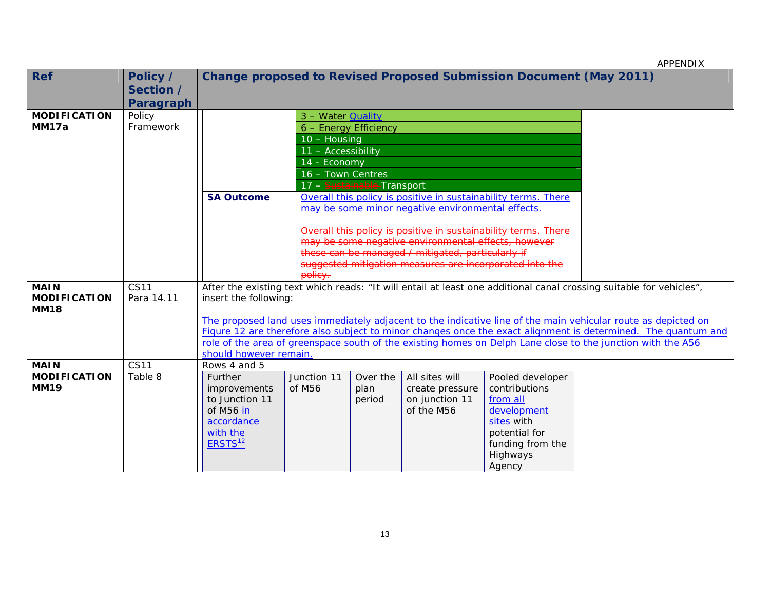| <b>Ref</b>                         | Policy /<br>Section /<br>Paragraph | Change proposed to Revised Proposed Submission Document (May 2011) |                          |                                                                |                                                         |                                                                |                                                                                                                     |
|------------------------------------|------------------------------------|--------------------------------------------------------------------|--------------------------|----------------------------------------------------------------|---------------------------------------------------------|----------------------------------------------------------------|---------------------------------------------------------------------------------------------------------------------|
| <b>MODIFICATION</b>                | Policy                             |                                                                    | 3 - Water <b>Quality</b> |                                                                |                                                         |                                                                |                                                                                                                     |
| MM17a                              | Framework                          |                                                                    | 6 - Energy Efficiency    |                                                                |                                                         |                                                                |                                                                                                                     |
|                                    |                                    |                                                                    | 10 - Housing             |                                                                |                                                         |                                                                |                                                                                                                     |
|                                    |                                    |                                                                    | 11 - Accessibility       |                                                                |                                                         |                                                                |                                                                                                                     |
|                                    |                                    |                                                                    | 14 - Economy             |                                                                |                                                         |                                                                |                                                                                                                     |
|                                    |                                    |                                                                    | 16 - Town Centres        |                                                                |                                                         |                                                                |                                                                                                                     |
|                                    |                                    |                                                                    |                          | 17 - Sustainable-Transport                                     |                                                         |                                                                |                                                                                                                     |
|                                    |                                    | <b>SA Outcome</b>                                                  |                          |                                                                |                                                         | Overall this policy is positive in sustainability terms. There |                                                                                                                     |
|                                    |                                    |                                                                    |                          | may be some minor negative environmental effects.              |                                                         |                                                                |                                                                                                                     |
|                                    |                                    |                                                                    |                          | Overall this policy is positive in sustainability terms. There |                                                         |                                                                |                                                                                                                     |
|                                    |                                    |                                                                    |                          | may be some negative environmental effects, however            |                                                         |                                                                |                                                                                                                     |
|                                    |                                    |                                                                    |                          | these can be managed / mitigated, particularly if              |                                                         |                                                                |                                                                                                                     |
|                                    |                                    |                                                                    |                          |                                                                | suggested mitigation measures are incorporated into the |                                                                |                                                                                                                     |
|                                    |                                    |                                                                    | policy.                  |                                                                |                                                         |                                                                |                                                                                                                     |
| <b>MAIN</b><br><b>MODIFICATION</b> | <b>CS11</b><br>Para 14.11          | insert the following:                                              |                          |                                                                |                                                         |                                                                | After the existing text which reads: "It will entail at least one additional canal crossing suitable for vehicles", |
| <b>MM18</b>                        |                                    |                                                                    |                          |                                                                |                                                         |                                                                |                                                                                                                     |
|                                    |                                    |                                                                    |                          |                                                                |                                                         |                                                                | The proposed land uses immediately adjacent to the indicative line of the main vehicular route as depicted on       |
|                                    |                                    |                                                                    |                          |                                                                |                                                         |                                                                | Figure 12 are therefore also subject to minor changes once the exact alignment is determined. The quantum and       |
|                                    |                                    |                                                                    |                          |                                                                |                                                         |                                                                | role of the area of greenspace south of the existing homes on Delph Lane close to the junction with the A56         |
|                                    |                                    | should however remain.                                             |                          |                                                                |                                                         |                                                                |                                                                                                                     |
| <b>MAIN</b><br><b>MODIFICATION</b> | <b>CS11</b><br>Table 8             | Rows 4 and 5<br>Further                                            | Junction 11              | Over the                                                       | All sites will                                          | Pooled developer                                               |                                                                                                                     |
| <b>MM19</b>                        |                                    | improvements                                                       | of M56                   | plan                                                           |                                                         | contributions                                                  |                                                                                                                     |
|                                    |                                    | to Junction 11                                                     |                          | period                                                         | create pressure<br>on junction 11                       | from all                                                       |                                                                                                                     |
|                                    |                                    | of M56 in                                                          |                          |                                                                | of the M56                                              | development                                                    |                                                                                                                     |
|                                    |                                    | accordance                                                         |                          |                                                                |                                                         | sites with                                                     |                                                                                                                     |
|                                    |                                    | with the                                                           |                          |                                                                |                                                         | potential for                                                  |                                                                                                                     |
|                                    |                                    | ERSTS <sup>12</sup>                                                |                          |                                                                |                                                         | funding from the                                               |                                                                                                                     |
|                                    |                                    |                                                                    |                          |                                                                |                                                         | Highways                                                       |                                                                                                                     |
|                                    |                                    |                                                                    |                          |                                                                |                                                         | Agency                                                         |                                                                                                                     |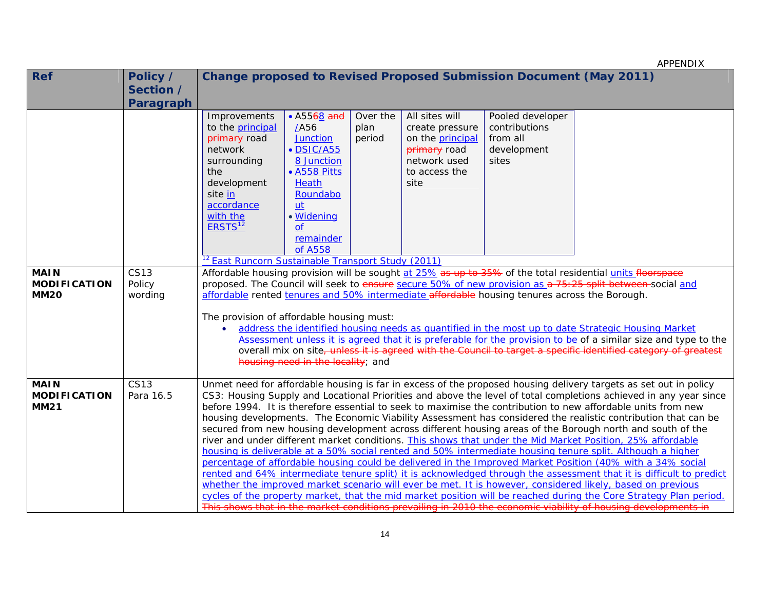|                                                   |                                    |                                                                                                                                                                                                                                                                            |                                                                                                                                                                         |                            |                                                                                                                |                                                                                                                                                                        | APPENDIX                                                                                                                                                                                                                                                                                                                                                                                                                                                                                                                                                                                                                                                                                                                                                                                                                                                                                                                                                                                                                                                                                                                                                                                                                                                                                                                                                                                                 |
|---------------------------------------------------|------------------------------------|----------------------------------------------------------------------------------------------------------------------------------------------------------------------------------------------------------------------------------------------------------------------------|-------------------------------------------------------------------------------------------------------------------------------------------------------------------------|----------------------------|----------------------------------------------------------------------------------------------------------------|------------------------------------------------------------------------------------------------------------------------------------------------------------------------|----------------------------------------------------------------------------------------------------------------------------------------------------------------------------------------------------------------------------------------------------------------------------------------------------------------------------------------------------------------------------------------------------------------------------------------------------------------------------------------------------------------------------------------------------------------------------------------------------------------------------------------------------------------------------------------------------------------------------------------------------------------------------------------------------------------------------------------------------------------------------------------------------------------------------------------------------------------------------------------------------------------------------------------------------------------------------------------------------------------------------------------------------------------------------------------------------------------------------------------------------------------------------------------------------------------------------------------------------------------------------------------------------------|
| <b>Ref</b>                                        | Policy /<br>Section /<br>Paragraph |                                                                                                                                                                                                                                                                            |                                                                                                                                                                         |                            |                                                                                                                | <b>Change proposed to Revised Proposed Submission Document (May 2011)</b>                                                                                              |                                                                                                                                                                                                                                                                                                                                                                                                                                                                                                                                                                                                                                                                                                                                                                                                                                                                                                                                                                                                                                                                                                                                                                                                                                                                                                                                                                                                          |
| <b>MAIN</b><br><b>MODIFICATION</b><br><b>MM20</b> | <b>CS13</b><br>Policy<br>wording   | Improvements<br>to the principal<br>primary road<br>network<br>surrounding<br>the<br>development<br>site in<br>accordance<br>with the<br>ERSTS <sup>12</sup><br><sup>12</sup> East Runcorn Sustainable Transport Study (2011)<br>The provision of affordable housing must: | • A5568 and<br>/A56<br><b>Junction</b><br>· DSIC/A55<br>8 Junction<br>• A558 Pitts<br><b>Heath</b><br>Roundabo<br>ut<br>• Widening<br><b>of</b><br>remainder<br>of A558 | Over the<br>plan<br>period | All sites will<br>create pressure<br>on the principal<br>primary road<br>network used<br>to access the<br>site | Pooled developer<br>contributions<br>from all<br>development<br>sites<br>affordable rented tenures and 50% intermediate affordable housing tenures across the Borough. | Affordable housing provision will be sought at 25% as up to 35% of the total residential units floorspace<br>proposed. The Council will seek to ensure secure 50% of new provision as a 75:25 split between-social and<br>address the identified housing needs as quantified in the most up to date Strategic Housing Market                                                                                                                                                                                                                                                                                                                                                                                                                                                                                                                                                                                                                                                                                                                                                                                                                                                                                                                                                                                                                                                                             |
|                                                   |                                    |                                                                                                                                                                                                                                                                            | housing need in the locality; and                                                                                                                                       |                            |                                                                                                                |                                                                                                                                                                        | Assessment unless it is agreed that it is preferable for the provision to be of a similar size and type to the<br>overall mix on site, unless it is agreed with the Council to target a specific identified category of greatest                                                                                                                                                                                                                                                                                                                                                                                                                                                                                                                                                                                                                                                                                                                                                                                                                                                                                                                                                                                                                                                                                                                                                                         |
| <b>MAIN</b><br><b>MODIFICATION</b><br><b>MM21</b> | <b>CS13</b><br>Para 16.5           |                                                                                                                                                                                                                                                                            |                                                                                                                                                                         |                            |                                                                                                                |                                                                                                                                                                        | Unmet need for affordable housing is far in excess of the proposed housing delivery targets as set out in policy<br>CS3: Housing Supply and Locational Priorities and above the level of total completions achieved in any year since<br>before 1994. It is therefore essential to seek to maximise the contribution to new affordable units from new<br>housing developments. The Economic Viability Assessment has considered the realistic contribution that can be<br>secured from new housing development across different housing areas of the Borough north and south of the<br>river and under different market conditions. This shows that under the Mid Market Position, 25% affordable<br>housing is deliverable at a 50% social rented and 50% intermediate housing tenure split. Although a higher<br>percentage of affordable housing could be delivered in the Improved Market Position (40% with a 34% social<br>rented and 64% intermediate tenure split) it is acknowledged through the assessment that it is difficult to predict<br>whether the improved market scenario will ever be met. It is however, considered likely, based on previous<br>cycles of the property market, that the mid market position will be reached during the Core Strategy Plan period.<br>This shows that in the market conditions prevailing in 2010 the economic viability of housing developments in |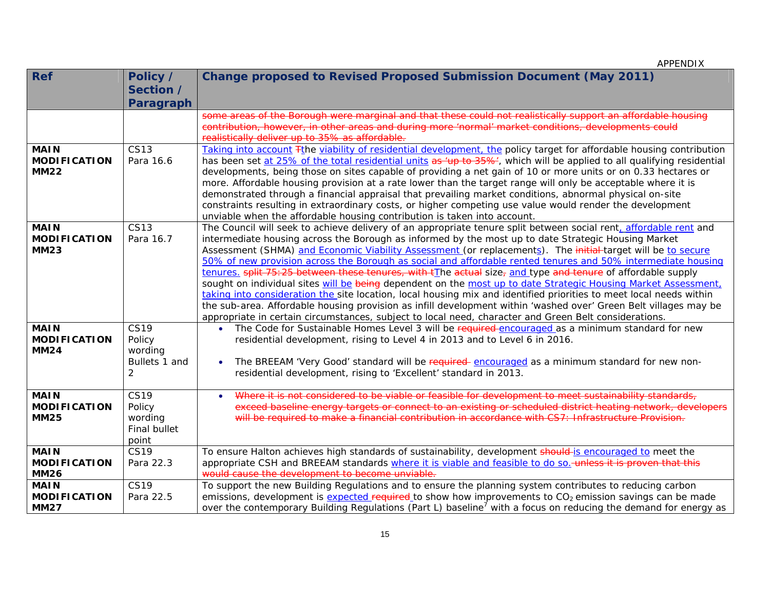| <b>Ref</b>          | Policy /      | <b>Change proposed to Revised Proposed Submission Document (May 2011)</b>                                                                                                                                                             |
|---------------------|---------------|---------------------------------------------------------------------------------------------------------------------------------------------------------------------------------------------------------------------------------------|
|                     | Section /     |                                                                                                                                                                                                                                       |
|                     | Paragraph     |                                                                                                                                                                                                                                       |
|                     |               | some areas of the Borough were marginal and that these could not realistically support an affordable housing                                                                                                                          |
|                     |               | contribution, however, in other areas and during more 'normal' market conditions, developments could                                                                                                                                  |
|                     |               | realistically deliver up to 35% as affordable.                                                                                                                                                                                        |
| <b>MAIN</b>         | <b>CS13</b>   | Taking into account Tthe viability of residential development, the policy target for affordable housing contribution                                                                                                                  |
| <b>MODIFICATION</b> | Para 16.6     | has been set at 25% of the total residential units as 'up to 35%', which will be applied to all qualifying residential                                                                                                                |
| <b>MM22</b>         |               | developments, being those on sites capable of providing a net gain of 10 or more units or on 0.33 hectares or                                                                                                                         |
|                     |               | more. Affordable housing provision at a rate lower than the target range will only be acceptable where it is                                                                                                                          |
|                     |               | demonstrated through a financial appraisal that prevailing market conditions, abnormal physical on-site                                                                                                                               |
|                     |               | constraints resulting in extraordinary costs, or higher competing use value would render the development                                                                                                                              |
|                     |               | unviable when the affordable housing contribution is taken into account.                                                                                                                                                              |
| <b>MAIN</b>         | <b>CS13</b>   | The Council will seek to achieve delivery of an appropriate tenure split between social rent, affordable rent and                                                                                                                     |
| <b>MODIFICATION</b> | Para 16.7     | intermediate housing across the Borough as informed by the most up to date Strategic Housing Market                                                                                                                                   |
| <b>MM23</b>         |               | Assessment (SHMA) and Economic Viability Assessment (or replacements). The initial-target will be to secure                                                                                                                           |
|                     |               | 50% of new provision across the Borough as social and affordable rented tenures and 50% intermediate housing                                                                                                                          |
|                     |               | tenures. split 75:25 between these tenures, with tThe actual size, and type and tenure of affordable supply                                                                                                                           |
|                     |               | sought on individual sites will be being dependent on the most up to date Strategic Housing Market Assessment,<br>taking into consideration the site location, local housing mix and identified priorities to meet local needs within |
|                     |               | the sub-area. Affordable housing provision as infill development within 'washed over' Green Belt villages may be                                                                                                                      |
|                     |               | appropriate in certain circumstances, subject to local need, character and Green Belt considerations.                                                                                                                                 |
| <b>MAIN</b>         | <b>CS19</b>   | The Code for Sustainable Homes Level 3 will be required-encouraged as a minimum standard for new<br>$\bullet$                                                                                                                         |
| <b>MODIFICATION</b> | Policy        | residential development, rising to Level 4 in 2013 and to Level 6 in 2016.                                                                                                                                                            |
| <b>MM24</b>         | wording       |                                                                                                                                                                                                                                       |
|                     | Bullets 1 and | The BREEAM 'Very Good' standard will be required encouraged as a minimum standard for new non-<br>$\bullet$                                                                                                                           |
|                     | 2             | residential development, rising to 'Excellent' standard in 2013.                                                                                                                                                                      |
|                     |               |                                                                                                                                                                                                                                       |
| <b>MAIN</b>         | <b>CS19</b>   | Where it is not considered to be viable or feasible for development to meet sustainability standards,<br>$\bullet$                                                                                                                    |
| <b>MODIFICATION</b> | Policy        | exceed baseline energy targets or connect to an existing or scheduled district heating network, developers                                                                                                                            |
| <b>MM25</b>         | wording       | will be required to make a financial contribution in accordance with CS7: Infrastructure Provision.                                                                                                                                   |
|                     | Final bullet  |                                                                                                                                                                                                                                       |
|                     | point         |                                                                                                                                                                                                                                       |
| <b>MAIN</b>         | <b>CS19</b>   | To ensure Halton achieves high standards of sustainability, development should-is encouraged to meet the                                                                                                                              |
| <b>MODIFICATION</b> | Para 22.3     | appropriate CSH and BREEAM standards where it is viable and feasible to do so. unless it is proven that this                                                                                                                          |
| <b>MM26</b>         |               | would cause the development to become unviable.                                                                                                                                                                                       |
| <b>MAIN</b>         | <b>CS19</b>   | To support the new Building Regulations and to ensure the planning system contributes to reducing carbon                                                                                                                              |
| <b>MODIFICATION</b> | Para 22.5     | emissions, development is expected required to show how improvements to CO <sub>2</sub> emission savings can be made                                                                                                                  |
| <b>MM27</b>         |               | over the contemporary Building Regulations (Part L) baseline <sup>7</sup> with a focus on reducing the demand for energy as                                                                                                           |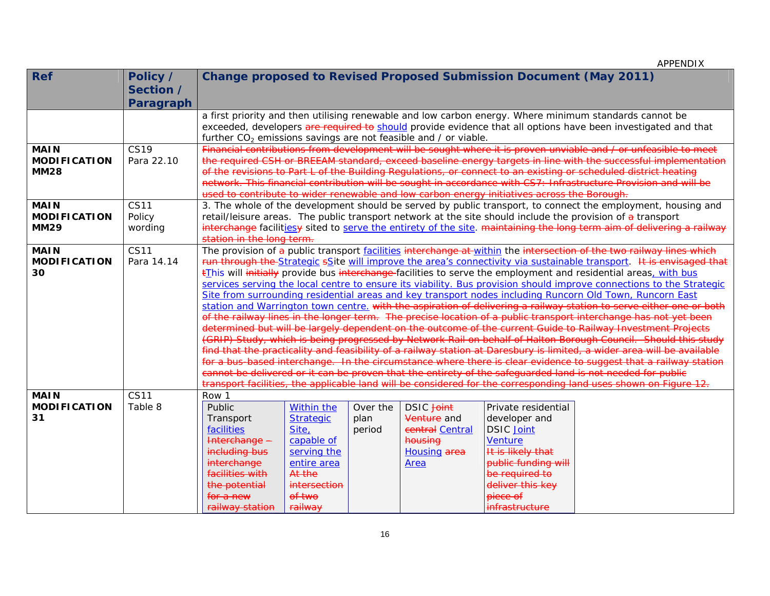| <b>Ref</b>                         | Policy /    |                                                                                                                                                                                                                                               |                   |          |                     | <b>Change proposed to Revised Proposed Submission Document (May 2011)</b>                    |                                                                                                                                                                                                                                             |  |  |
|------------------------------------|-------------|-----------------------------------------------------------------------------------------------------------------------------------------------------------------------------------------------------------------------------------------------|-------------------|----------|---------------------|----------------------------------------------------------------------------------------------|---------------------------------------------------------------------------------------------------------------------------------------------------------------------------------------------------------------------------------------------|--|--|
|                                    | Section /   |                                                                                                                                                                                                                                               |                   |          |                     |                                                                                              |                                                                                                                                                                                                                                             |  |  |
|                                    | Paragraph   |                                                                                                                                                                                                                                               |                   |          |                     |                                                                                              |                                                                                                                                                                                                                                             |  |  |
|                                    |             | a first priority and then utilising renewable and low carbon energy. Where minimum standards cannot be                                                                                                                                        |                   |          |                     |                                                                                              |                                                                                                                                                                                                                                             |  |  |
|                                    |             | exceeded, developers are required to should provide evidence that all options have been investigated and that                                                                                                                                 |                   |          |                     |                                                                                              |                                                                                                                                                                                                                                             |  |  |
|                                    |             | further $CO2$ emissions savings are not feasible and / or viable.                                                                                                                                                                             |                   |          |                     |                                                                                              |                                                                                                                                                                                                                                             |  |  |
| <b>MAIN</b>                        | <b>CS19</b> |                                                                                                                                                                                                                                               |                   |          |                     | Financial contributions from development will be sought where it is proven unviable and / or |                                                                                                                                                                                                                                             |  |  |
| <b>MODIFICATION</b>                | Para 22.10  |                                                                                                                                                                                                                                               |                   |          |                     |                                                                                              | the required CSH or BREEAM standard, exceed baseline energy targets in line with the successful implementation                                                                                                                              |  |  |
| <b>MM28</b>                        |             |                                                                                                                                                                                                                                               |                   |          |                     |                                                                                              | of the revisions to Part L of the Building Regulations, or connect to an existing or scheduled district heating                                                                                                                             |  |  |
|                                    |             |                                                                                                                                                                                                                                               |                   |          |                     |                                                                                              | network. This financial contribution will be sought in accordance with CS7: Infrastructure Provision and will be                                                                                                                            |  |  |
|                                    |             |                                                                                                                                                                                                                                               |                   |          |                     | used to contribute to wider renewable and low carbon energy initiatives across the Borough.  |                                                                                                                                                                                                                                             |  |  |
| <b>MAIN</b>                        | <b>CS11</b> |                                                                                                                                                                                                                                               |                   |          |                     |                                                                                              | 3. The whole of the development should be served by public transport, to connect the employment, housing and                                                                                                                                |  |  |
| <b>MODIFICATION</b><br><b>MM29</b> | Policy      |                                                                                                                                                                                                                                               |                   |          |                     |                                                                                              | retail/leisure areas. The public transport network at the site should include the provision of a transport<br>interchange facilitiesy sited to serve the entirety of the site. maintaining the long term aim of delivering a railway        |  |  |
|                                    | wording     | station in the long term.                                                                                                                                                                                                                     |                   |          |                     |                                                                                              |                                                                                                                                                                                                                                             |  |  |
| <b>MAIN</b>                        | <b>CS11</b> | The provision of a public transport facilities interchange at within the intersection of the two railway lines which                                                                                                                          |                   |          |                     |                                                                                              |                                                                                                                                                                                                                                             |  |  |
| <b>MODIFICATION</b>                | Para 14.14  |                                                                                                                                                                                                                                               |                   |          |                     |                                                                                              |                                                                                                                                                                                                                                             |  |  |
| 30                                 |             | run through the Strategic sSite will improve the area's connectivity via sustainable transport. It is envisaged that<br><b>this will initially</b> provide bus interchange-facilities to serve the employment and residential areas, with bus |                   |          |                     |                                                                                              |                                                                                                                                                                                                                                             |  |  |
|                                    |             |                                                                                                                                                                                                                                               |                   |          |                     |                                                                                              | services serving the local centre to ensure its viability. Bus provision should improve connections to the Strategic                                                                                                                        |  |  |
|                                    |             |                                                                                                                                                                                                                                               |                   |          |                     |                                                                                              | Site from surrounding residential areas and key transport nodes including Runcorn Old Town, Runcorn East                                                                                                                                    |  |  |
|                                    |             |                                                                                                                                                                                                                                               |                   |          |                     |                                                                                              | station and Warrington town centre. with the aspiration of delivering a railway station to serve either one or both                                                                                                                         |  |  |
|                                    |             |                                                                                                                                                                                                                                               |                   |          |                     |                                                                                              | of the railway lines in the longer term. The precise location of a public transport interchange has not yet been                                                                                                                            |  |  |
|                                    |             |                                                                                                                                                                                                                                               |                   |          |                     |                                                                                              | determined but will be largely dependent on the outcome of the current Guide to Railway Investment Projects                                                                                                                                 |  |  |
|                                    |             |                                                                                                                                                                                                                                               |                   |          |                     |                                                                                              | (GRIP) Study, which is being progressed by Network Rail on behalf of Halton Borough Council. Should this study                                                                                                                              |  |  |
|                                    |             |                                                                                                                                                                                                                                               |                   |          |                     |                                                                                              | find that the practicality and feasibility of a railway station at Daresbury is limited, a wider area will be available<br>for a bus-based interchange. In the circumstance where there is clear evidence to suggest that a railway station |  |  |
|                                    |             |                                                                                                                                                                                                                                               |                   |          |                     |                                                                                              | cannot be delivered or it can be proven that the entirety of the safeguarded land is not needed for public                                                                                                                                  |  |  |
|                                    |             |                                                                                                                                                                                                                                               |                   |          |                     |                                                                                              | transport facilities, the applicable land will be considered for the corresponding land uses shown on Figure 12.                                                                                                                            |  |  |
| <b>MAIN</b>                        | <b>CS11</b> | Row 1                                                                                                                                                                                                                                         |                   |          |                     |                                                                                              |                                                                                                                                                                                                                                             |  |  |
| <b>MODIFICATION</b>                | Table 8     | Public                                                                                                                                                                                                                                        | <b>Within the</b> | Over the | <b>DSIC</b> Joint   | Private residential                                                                          |                                                                                                                                                                                                                                             |  |  |
| 31                                 |             | Transport                                                                                                                                                                                                                                     | <b>Strategic</b>  | plan     | Venture and         | developer and                                                                                |                                                                                                                                                                                                                                             |  |  |
|                                    |             | facilities                                                                                                                                                                                                                                    | Site,             | period   | central Central     | <b>DSIC</b> Joint                                                                            |                                                                                                                                                                                                                                             |  |  |
|                                    |             | Interchange -                                                                                                                                                                                                                                 | capable of        |          | housing             | <b>Venture</b>                                                                               |                                                                                                                                                                                                                                             |  |  |
|                                    |             | including bus                                                                                                                                                                                                                                 | serving the       |          | <b>Housing area</b> | It is likely that                                                                            |                                                                                                                                                                                                                                             |  |  |
|                                    |             | interchange                                                                                                                                                                                                                                   | entire area       |          | Area                | public funding will                                                                          |                                                                                                                                                                                                                                             |  |  |
|                                    |             | facilities with                                                                                                                                                                                                                               | At the            |          |                     | be required to                                                                               |                                                                                                                                                                                                                                             |  |  |
|                                    |             | the potential                                                                                                                                                                                                                                 | intersection      |          |                     | deliver this key                                                                             |                                                                                                                                                                                                                                             |  |  |
|                                    |             | for a new                                                                                                                                                                                                                                     | of two            |          |                     | <del>piece of</del>                                                                          |                                                                                                                                                                                                                                             |  |  |
|                                    |             | railway station<br>railway<br><i>infrastructure</i>                                                                                                                                                                                           |                   |          |                     |                                                                                              |                                                                                                                                                                                                                                             |  |  |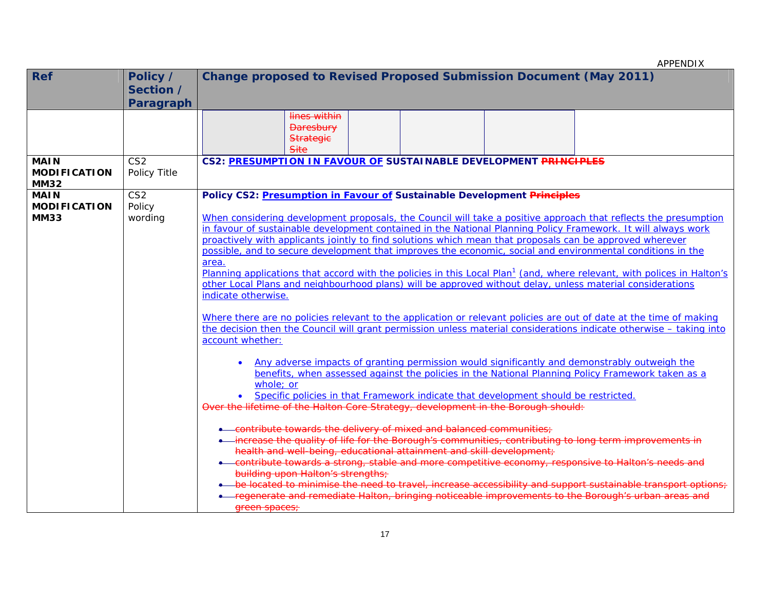APPENDIX Ref **Policy** / **Section / Paragraph Change proposed to Revised Proposed Submission Document (May 2011)**  lines within **Daresbury Strategie** Site**MAIN MODIFICATION MM32** CS2 Policy Title **CS2: PRESUMPTION IN FAVOUR OF SUSTAINABLE DEVELOPMENT PRINCIPLES MAIN MODIFICATION MM33** CS2 Policy wording **Policy CS2: Presumption in Favour of Sustainable Development Principles** When considering development proposals, the Council will take a positive approach that reflects the presumption in favour of sustainable development contained in the National Planning Policy Framework. It will always work proactively with applicants jointly to find solutions which mean that proposals can be approved wherever possible, and to secure development that improves the economic, social and environmental conditions in the area. Planning applications that accord with the policies in this Local Plan<sup>1</sup> (and, where relevant, with polices in Halton's other Local Plans and neighbourhood plans) will be approved without delay, unless material considerations indicate otherwise. Where there are no policies relevant to the application or relevant policies are out of date at the time of making the decision then the Council will grant permission unless material considerations indicate otherwise – taking into account whether:  $\bullet$  Any adverse impacts of granting permission would significantly and demonstrably outweigh the benefits, when assessed against the policies in the National Planning Policy Framework taken as a whole; or • Specific policies in that Framework indicate that development should be restricted. Over the lifetime of the Halton Core Strategy, development in the Borough should:  $\bullet$  -contribute towards the delivery of mixed and balanced communities;  $\overline{\phantom{a}}$  $\bullet$  -increase the quality of life for the Borough's communities, contributing to long term improvements in . health and well-being, educational attainment and skill development; ۰ contribute towards a strong, stable and more competitive economy, responsive to Halton's needs and building upon Halton's strengths; ۰ be located to minimise the need to travel, increase accessibility and support sustainable transport ۰ regenerate and remediate Halton, bringing noticeable improvements to the Borough's urban areas and green spaces;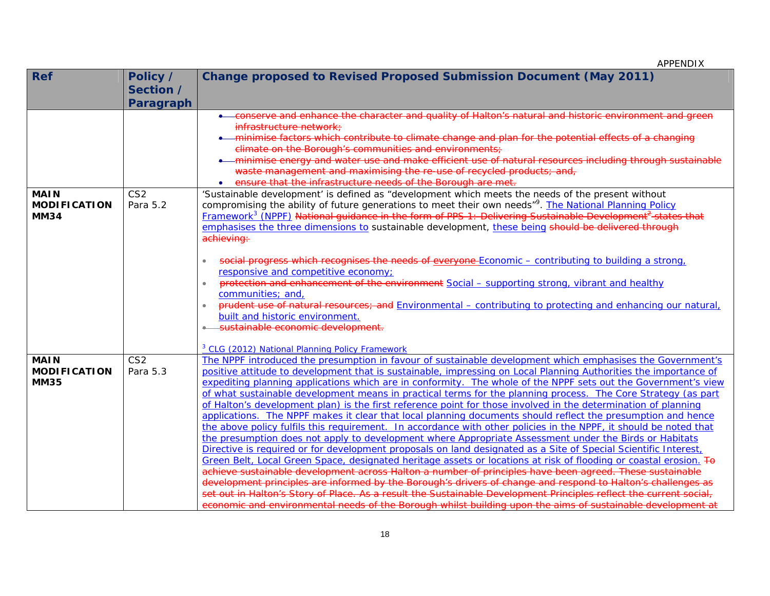| <b>Ref</b>                                        | Policy /                    | <b>Change proposed to Revised Proposed Submission Document (May 2011)</b>                                                                                                                                                                                                                                                                                                                                                                                                                                                                                                                                                                                                                                                                                                                                                                                                                                                            |
|---------------------------------------------------|-----------------------------|--------------------------------------------------------------------------------------------------------------------------------------------------------------------------------------------------------------------------------------------------------------------------------------------------------------------------------------------------------------------------------------------------------------------------------------------------------------------------------------------------------------------------------------------------------------------------------------------------------------------------------------------------------------------------------------------------------------------------------------------------------------------------------------------------------------------------------------------------------------------------------------------------------------------------------------|
|                                                   | Section /                   |                                                                                                                                                                                                                                                                                                                                                                                                                                                                                                                                                                                                                                                                                                                                                                                                                                                                                                                                      |
|                                                   | <b>Paragraph</b>            |                                                                                                                                                                                                                                                                                                                                                                                                                                                                                                                                                                                                                                                                                                                                                                                                                                                                                                                                      |
|                                                   |                             | conserve and enhance the character and quality of Halton's natural and historic environment and green<br>infrastructure network:<br>minimise factors which contribute to climate change and plan for the potential effects of a changing<br>climate on the Borough's communities and environments;                                                                                                                                                                                                                                                                                                                                                                                                                                                                                                                                                                                                                                   |
|                                                   |                             | minimise energy and water use and make efficient use of natural resources including through sustainable<br>waste management and maximising the re-use of recycled products; and,<br>ensure that the infrastructure needs of the Borough are met.<br>$\bullet$                                                                                                                                                                                                                                                                                                                                                                                                                                                                                                                                                                                                                                                                        |
| <b>MAIN</b><br><b>MODIFICATION</b><br><b>MM34</b> | CS <sub>2</sub><br>Para 5.2 | 'Sustainable development' is defined as "development which meets the needs of the present without<br>compromising the ability of future generations to meet their own needs" <sup>9</sup> . The National Planning Policy<br>Framework <sup>3</sup> (NPPF) National guidance in the form of PPS 1: Delivering Sustainable Development <sup>2</sup> states that<br>emphasises the three dimensions to sustainable development, these being should be delivered through<br>achieving:                                                                                                                                                                                                                                                                                                                                                                                                                                                   |
|                                                   |                             | social progress which recognises the needs of everyone Economic - contributing to building a strong,<br>$\bullet$<br>responsive and competitive economy;<br>protection and enhancement of the environment Social - supporting strong, vibrant and healthy<br>$\bullet$<br>communities; and,<br>prudent use of natural resources; and Environmental - contributing to protecting and enhancing our natural,<br>built and historic environment.<br>sustainable economic development.<br><sup>3</sup> CLG (2012) National Planning Policy Framework                                                                                                                                                                                                                                                                                                                                                                                     |
| <b>MAIN</b><br><b>MODIFICATION</b><br><b>MM35</b> | CS <sub>2</sub><br>Para 5.3 | The NPPF introduced the presumption in favour of sustainable development which emphasises the Government's<br>positive attitude to development that is sustainable, impressing on Local Planning Authorities the importance of<br>expediting planning applications which are in conformity. The whole of the NPPF sets out the Government's view<br>of what sustainable development means in practical terms for the planning process. The Core Strategy (as part<br>of Halton's development plan) is the first reference point for those involved in the determination of planning<br>applications. The NPPF makes it clear that local planning documents should reflect the presumption and hence                                                                                                                                                                                                                                  |
|                                                   |                             | the above policy fulfils this requirement. In accordance with other policies in the NPPF, it should be noted that<br>the presumption does not apply to development where Appropriate Assessment under the Birds or Habitats<br>Directive is required or for development proposals on land designated as a Site of Special Scientific Interest,<br>Green Belt, Local Green Space, designated heritage assets or locations at risk of flooding or coastal erosion. To<br>achieve sustainable development across Halton a number of principles have been agreed. These sustainable<br>development principles are informed by the Borough's drivers of change and respond to Halton's challenges as<br>set out in Halton's Story of Place. As a result the Sustainable Development Principles reflect the current social,<br>economic and environmental needs of the Borough whilst building upon the aims of sustainable development at |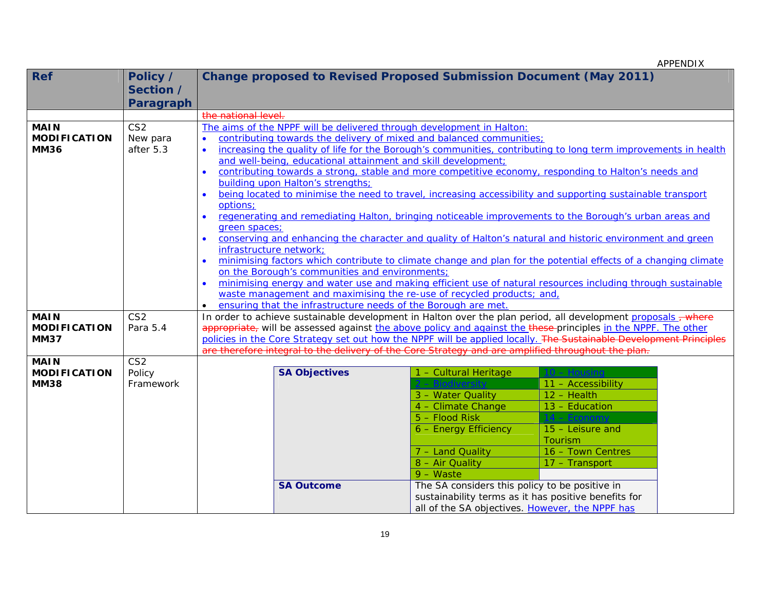| <b>Ref</b>                         | Policy /         |                                                                                                                                                                  | <b>Change proposed to Revised Proposed Submission Document (May 2011)</b>                                          |                                                      |                    |  |  |  |  |
|------------------------------------|------------------|------------------------------------------------------------------------------------------------------------------------------------------------------------------|--------------------------------------------------------------------------------------------------------------------|------------------------------------------------------|--------------------|--|--|--|--|
|                                    | Section /        |                                                                                                                                                                  |                                                                                                                    |                                                      |                    |  |  |  |  |
|                                    | <b>Paragraph</b> |                                                                                                                                                                  |                                                                                                                    |                                                      |                    |  |  |  |  |
|                                    |                  | the national level.                                                                                                                                              |                                                                                                                    |                                                      |                    |  |  |  |  |
| <b>MAIN</b>                        | CS <sub>2</sub>  |                                                                                                                                                                  | The aims of the NPPF will be delivered through development in Halton:                                              |                                                      |                    |  |  |  |  |
| <b>MODIFICATION</b>                | New para         |                                                                                                                                                                  | contributing towards the delivery of mixed and balanced communities;                                               |                                                      |                    |  |  |  |  |
| <b>MM36</b>                        | after 5.3        | $\bullet$                                                                                                                                                        | increasing the quality of life for the Borough's communities, contributing to long term improvements in health     |                                                      |                    |  |  |  |  |
|                                    |                  | and well-being, educational attainment and skill development;                                                                                                    |                                                                                                                    |                                                      |                    |  |  |  |  |
|                                    |                  | contributing towards a strong, stable and more competitive economy, responding to Halton's needs and<br>$\bullet$                                                |                                                                                                                    |                                                      |                    |  |  |  |  |
|                                    |                  |                                                                                                                                                                  | building upon Halton's strengths;                                                                                  |                                                      |                    |  |  |  |  |
|                                    |                  |                                                                                                                                                                  | being located to minimise the need to travel, increasing accessibility and supporting sustainable transport        |                                                      |                    |  |  |  |  |
|                                    |                  | options:                                                                                                                                                         |                                                                                                                    |                                                      |                    |  |  |  |  |
|                                    |                  |                                                                                                                                                                  | regenerating and remediating Halton, bringing noticeable improvements to the Borough's urban areas and             |                                                      |                    |  |  |  |  |
|                                    |                  | green spaces;                                                                                                                                                    |                                                                                                                    |                                                      |                    |  |  |  |  |
|                                    |                  | infrastructure network;                                                                                                                                          | conserving and enhancing the character and quality of Halton's natural and historic environment and green          |                                                      |                    |  |  |  |  |
|                                    |                  |                                                                                                                                                                  |                                                                                                                    |                                                      |                    |  |  |  |  |
|                                    |                  | minimising factors which contribute to climate change and plan for the potential effects of a changing climate<br>on the Borough's communities and environments; |                                                                                                                    |                                                      |                    |  |  |  |  |
|                                    |                  | minimising energy and water use and making efficient use of natural resources including through sustainable                                                      |                                                                                                                    |                                                      |                    |  |  |  |  |
|                                    |                  | waste management and maximising the re-use of recycled products; and,                                                                                            |                                                                                                                    |                                                      |                    |  |  |  |  |
|                                    |                  |                                                                                                                                                                  | ensuring that the infrastructure needs of the Borough are met.                                                     |                                                      |                    |  |  |  |  |
| <b>MAIN</b>                        | CS <sub>2</sub>  |                                                                                                                                                                  | In order to achieve sustainable development in Halton over the plan period, all development proposals - where      |                                                      |                    |  |  |  |  |
| <b>MODIFICATION</b>                | Para 5.4         |                                                                                                                                                                  | appropriate, will be assessed against the above policy and against the these principles in the NPPF. The other     |                                                      |                    |  |  |  |  |
| <b>MM37</b>                        |                  |                                                                                                                                                                  | policies in the Core Strategy set out how the NPPF will be applied locally. The Sustainable Development Principles |                                                      |                    |  |  |  |  |
|                                    |                  |                                                                                                                                                                  | are therefore integral to the delivery of the Core Strategy and are amplified throughout the plan.                 |                                                      |                    |  |  |  |  |
| <b>MAIN</b>                        | CS <sub>2</sub>  |                                                                                                                                                                  |                                                                                                                    |                                                      | $10 -$ Housing     |  |  |  |  |
| <b>MODIFICATION</b><br><b>MM38</b> | Policy           |                                                                                                                                                                  | <b>SA Objectives</b>                                                                                               | 1 - Cultural Heritage                                | 11 - Accessibility |  |  |  |  |
|                                    | Framework        |                                                                                                                                                                  |                                                                                                                    | 3 - Water Quality                                    | $12 - Health$      |  |  |  |  |
|                                    |                  |                                                                                                                                                                  |                                                                                                                    | 4 - Climate Change                                   | 13 - Education     |  |  |  |  |
|                                    |                  |                                                                                                                                                                  |                                                                                                                    | 5 - Flood Risk                                       |                    |  |  |  |  |
|                                    |                  |                                                                                                                                                                  |                                                                                                                    | 6 - Energy Efficiency                                | 15 - Leisure and   |  |  |  |  |
|                                    |                  | Tourism                                                                                                                                                          |                                                                                                                    |                                                      |                    |  |  |  |  |
|                                    |                  |                                                                                                                                                                  | 7 - Land Quality<br>16 - Town Centres                                                                              |                                                      |                    |  |  |  |  |
|                                    |                  |                                                                                                                                                                  | 8 - Air Quality<br>17 - Transport                                                                                  |                                                      |                    |  |  |  |  |
|                                    |                  |                                                                                                                                                                  |                                                                                                                    | $9 - Waste$                                          |                    |  |  |  |  |
|                                    |                  |                                                                                                                                                                  | <b>SA Outcome</b>                                                                                                  | The SA considers this policy to be positive in       |                    |  |  |  |  |
|                                    |                  |                                                                                                                                                                  |                                                                                                                    | sustainability terms as it has positive benefits for |                    |  |  |  |  |
|                                    |                  |                                                                                                                                                                  |                                                                                                                    | all of the SA objectives. However, the NPPF has      |                    |  |  |  |  |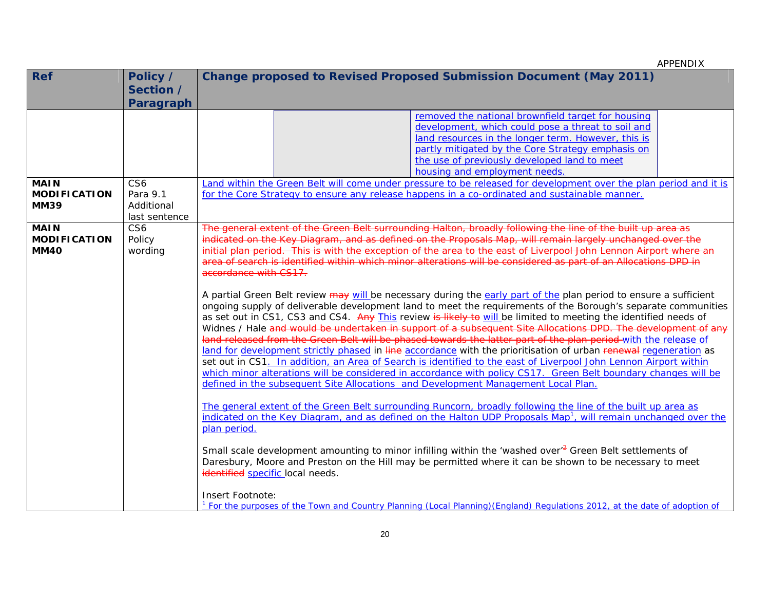| <b>Ref</b>          | Policy /        | <b>Change proposed to Revised Proposed Submission Document (May 2011)</b>                                                                                                                                                          |
|---------------------|-----------------|------------------------------------------------------------------------------------------------------------------------------------------------------------------------------------------------------------------------------------|
|                     | Section /       |                                                                                                                                                                                                                                    |
|                     | Paragraph       |                                                                                                                                                                                                                                    |
|                     |                 | removed the national brownfield target for housing                                                                                                                                                                                 |
|                     |                 | development, which could pose a threat to soil and                                                                                                                                                                                 |
|                     |                 | land resources in the longer term. However, this is                                                                                                                                                                                |
|                     |                 | partly mitigated by the Core Strategy emphasis on                                                                                                                                                                                  |
|                     |                 | the use of previously developed land to meet                                                                                                                                                                                       |
| <b>MAIN</b>         | CS <sub>6</sub> | housing and employment needs.<br>Land within the Green Belt will come under pressure to be released for development over the plan period and it is                                                                                 |
| <b>MODIFICATION</b> | Para 9.1        | for the Core Strategy to ensure any release happens in a co-ordinated and sustainable manner.                                                                                                                                      |
| <b>MM39</b>         | Additional      |                                                                                                                                                                                                                                    |
|                     | last sentence   |                                                                                                                                                                                                                                    |
| <b>MAIN</b>         | CS <sub>6</sub> | The general extent of the Green Belt surrounding Halton, broadly following the line of the built up area as                                                                                                                        |
| <b>MODIFICATION</b> | Policy          | indicated on the Key Diagram, and as defined on the Proposals Map, will remain largely unchanged over the                                                                                                                          |
| <b>MM40</b>         | wording         | initial plan period. This is with the exception of the area to the east of Liverpool John Lennon Airport where an                                                                                                                  |
|                     |                 | area of search is identified within which minor alterations will be considered as part of an Allocations DPD in                                                                                                                    |
|                     |                 | accordance with CS17.                                                                                                                                                                                                              |
|                     |                 |                                                                                                                                                                                                                                    |
|                     |                 | A partial Green Belt review may will be necessary during the early part of the plan period to ensure a sufficient                                                                                                                  |
|                     |                 | ongoing supply of deliverable development land to meet the requirements of the Borough's separate communities                                                                                                                      |
|                     |                 | as set out in CS1, CS3 and CS4. Any This review is likely to will be limited to meeting the identified needs of                                                                                                                    |
|                     |                 | Widnes / Hale and would be undertaken in support of a subsequent Site Allocations DPD. The development of any                                                                                                                      |
|                     |                 | land released from the Green Belt will be phased towards the latter part of the plan period-with the release of                                                                                                                    |
|                     |                 | land for development strictly phased in line accordance with the prioritisation of urban renewal regeneration as                                                                                                                   |
|                     |                 | set out in CS1. In addition, an Area of Search is identified to the east of Liverpool John Lennon Airport within<br>which minor alterations will be considered in accordance with policy CS17. Green Belt boundary changes will be |
|                     |                 | defined in the subsequent Site Allocations and Development Management Local Plan.                                                                                                                                                  |
|                     |                 |                                                                                                                                                                                                                                    |
|                     |                 | The general extent of the Green Belt surrounding Runcorn, broadly following the line of the built up area as                                                                                                                       |
|                     |                 | indicated on the Key Diagram, and as defined on the Halton UDP Proposals Map <sup>1</sup> , will remain unchanged over the                                                                                                         |
|                     |                 | plan period.                                                                                                                                                                                                                       |
|                     |                 |                                                                                                                                                                                                                                    |
|                     |                 | Small scale development amounting to minor infilling within the 'washed over' <sup>2</sup> Green Belt settlements of                                                                                                               |
|                     |                 | Daresbury, Moore and Preston on the Hill may be permitted where it can be shown to be necessary to meet                                                                                                                            |
|                     |                 | identified specific local needs.                                                                                                                                                                                                   |
|                     |                 |                                                                                                                                                                                                                                    |
|                     |                 | Insert Footnote:<br><sup>1</sup> For the purposes of the Town and Country Planning (Local Planning) (England) Regulations 2012, at the date of adoption of                                                                         |
|                     |                 |                                                                                                                                                                                                                                    |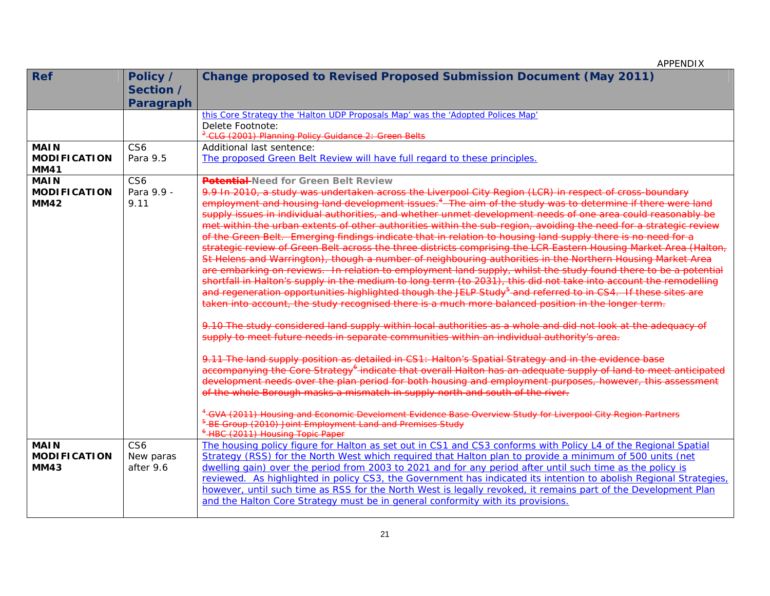| <b>Ref</b>                         | Policy /        | <b>Change proposed to Revised Proposed Submission Document (May 2011)</b>                                                   |
|------------------------------------|-----------------|-----------------------------------------------------------------------------------------------------------------------------|
|                                    | Section /       |                                                                                                                             |
|                                    | Paragraph       |                                                                                                                             |
|                                    |                 | this Core Strategy the 'Halton UDP Proposals Map' was the 'Adopted Polices Map'                                             |
|                                    |                 | Delete Footnote:                                                                                                            |
|                                    |                 | <sup>2</sup> -CLG (2001) Planning Policy Guidance 2: Green Belts                                                            |
| <b>MAIN</b>                        | CS <sub>6</sub> | Additional last sentence:                                                                                                   |
| <b>MODIFICATION</b><br><b>MM41</b> | Para 9.5        | The proposed Green Belt Review will have full regard to these principles.                                                   |
| <b>MAIN</b>                        | CS6             | <b>Potential-</b> Need for Green Belt Review                                                                                |
| <b>MODIFICATION</b>                | Para 9.9 -      | 9.9 In 2010, a study was undertaken across the Liverpool City Region (LCR) in respect of cross-boundary                     |
| <b>MM42</b>                        | 9.11            | employment and housing land development issues. <sup>4</sup> The aim of the study was to determine if there were land       |
|                                    |                 | supply issues in individual authorities, and whether unmet development needs of one area could reasonably be                |
|                                    |                 | met within the urban extents of other authorities within the sub-region, avoiding the need for a strategic review           |
|                                    |                 | of the Green Belt. Emerging findings indicate that in relation to housing land supply there is no need for a                |
|                                    |                 | strategic review of Green Belt across the three districts comprising the LCR Eastern Housing Market Area (Halton,           |
|                                    |                 | St Helens and Warrington), though a number of neighbouring authorities in the Northern Housing Market Area                  |
|                                    |                 | are embarking on reviews. In relation to employment land supply, whilst the study found there to be a potential             |
|                                    |                 | shortfall in Halton's supply in the medium to long term (to 2031), this did not take into account the remodelling           |
|                                    |                 | and regeneration opportunities highlighted though the JELP Study <sup>5</sup> and referred to in CS4. If these sites are    |
|                                    |                 | taken into account, the study recognised there is a much more balanced position in the longer term.                         |
|                                    |                 | 9.10 The study considered land supply within local authorities as a whole and did not look at the adequacy of               |
|                                    |                 | supply to meet future needs in separate communities within an individual authority's area.                                  |
|                                    |                 |                                                                                                                             |
|                                    |                 | 9.11 The land supply position as detailed in CS1: Halton's Spatial Strategy and in the evidence base                        |
|                                    |                 | accompanying the Core Strategy <sup>6</sup> indicate that overall Halton has an adequate supply of land to meet anticipated |
|                                    |                 | development needs over the plan period for both housing and employment purposes, however, this assessment                   |
|                                    |                 | of the whole Borough masks a mismatch in supply north and south of the river.                                               |
|                                    |                 | <sup>4</sup> -GVA (2011) Housing and Economic Develoment Evidence Base Overview Study for Liverpool City Region Partners    |
|                                    |                 | <sup>5</sup> -BE Group (2010) Joint Employment Land and Premises Study                                                      |
|                                    |                 | <sup>6</sup> HBC (2011) Housing Topic Paper                                                                                 |
| <b>MAIN</b>                        | CS <sub>6</sub> | The housing policy figure for Halton as set out in CS1 and CS3 conforms with Policy L4 of the Regional Spatial              |
| <b>MODIFICATION</b>                | New paras       | Strategy (RSS) for the North West which required that Halton plan to provide a minimum of 500 units (net                    |
| <b>MM43</b>                        | after 9.6       | dwelling gain) over the period from 2003 to 2021 and for any period after until such time as the policy is                  |
|                                    |                 | reviewed. As highlighted in policy CS3, the Government has indicated its intention to abolish Regional Strategies,          |
|                                    |                 | however, until such time as RSS for the North West is legally revoked, it remains part of the Development Plan              |
|                                    |                 | and the Halton Core Strategy must be in general conformity with its provisions.                                             |
|                                    |                 |                                                                                                                             |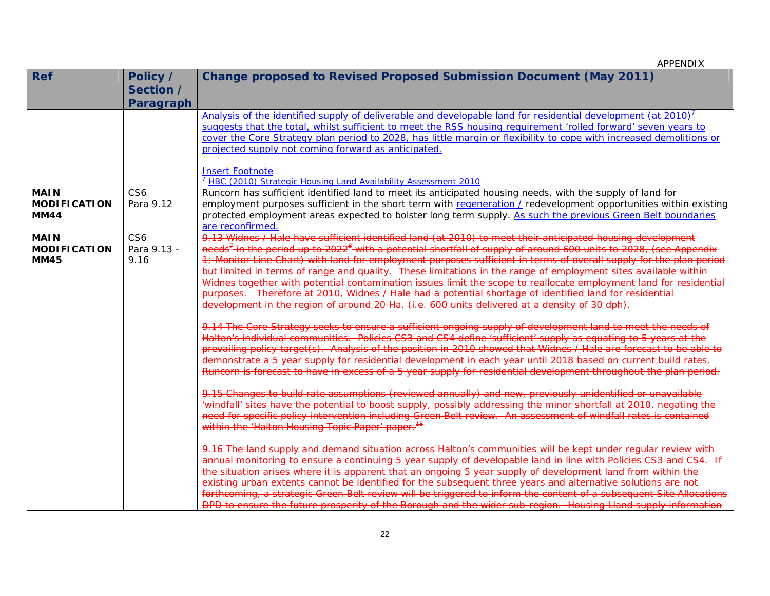| <b>Ref</b>          | Policy /         | <b>Change proposed to Revised Proposed Submission Document (May 2011)</b>                                                                                                                                                           |
|---------------------|------------------|-------------------------------------------------------------------------------------------------------------------------------------------------------------------------------------------------------------------------------------|
|                     | Section /        |                                                                                                                                                                                                                                     |
|                     | <b>Paragraph</b> |                                                                                                                                                                                                                                     |
|                     |                  | Analysis of the identified supply of deliverable and developable land for residential development (at 2010) <sup>7</sup>                                                                                                            |
|                     |                  | suggests that the total, whilst sufficient to meet the RSS housing requirement 'rolled forward' seven years to                                                                                                                      |
|                     |                  | cover the Core Strategy plan period to 2028, has little margin or flexibility to cope with increased demolitions or                                                                                                                 |
|                     |                  | projected supply not coming forward as anticipated.                                                                                                                                                                                 |
|                     |                  | <b>Insert Footnote</b>                                                                                                                                                                                                              |
|                     |                  | <sup>7</sup> HBC (2010) Strategic Housing Land Availability Assessment 2010                                                                                                                                                         |
| <b>MAIN</b>         | CS <sub>6</sub>  | Runcorn has sufficient identified land to meet its anticipated housing needs, with the supply of land for                                                                                                                           |
| <b>MODIFICATION</b> | Para 9.12        | employment purposes sufficient in the short term with regeneration / redevelopment opportunities within existing                                                                                                                    |
| <b>MM44</b>         |                  | protected employment areas expected to bolster long term supply. As such the previous Green Belt boundaries                                                                                                                         |
|                     |                  | are reconfirmed.                                                                                                                                                                                                                    |
| <b>MAIN</b>         | CS <sub>6</sub>  | 9.13 Widnes / Hale have sufficient identified land (at 2010) to meet their anticipated housing development                                                                                                                          |
| <b>MODIFICATION</b> | Para 9.13 -      | needs <sup>7</sup> in the period up to 2022 <sup>8</sup> with a potential shortfall of supply of around 600 units to 2028, (see Appendix                                                                                            |
| <b>MM45</b>         | 9.16             | 1; Monitor Line Chart) with land for employment purposes sufficient in terms of overall supply for the plan period                                                                                                                  |
|                     |                  | but limited in terms of range and quality. These limitations in the range of employment sites available within<br>Widnes together with potential contamination issues limit the scope to reallocate employment land for residential |
|                     |                  | purposes. Therefore at 2010, Widnes / Hale had a potential shortage of identified land for residential                                                                                                                              |
|                     |                  | development in the region of around 20 Ha. (i.e. 600 units delivered at a density of 30 dph).                                                                                                                                       |
|                     |                  |                                                                                                                                                                                                                                     |
|                     |                  | 9.14 The Core Strategy seeks to ensure a sufficient ongoing supply of development land to meet the needs of                                                                                                                         |
|                     |                  | Halton's individual communities. Policies CS3 and CS4 define 'sufficient' supply as equating to 5 years at the                                                                                                                      |
|                     |                  | prevailing policy target(s). Analysis of the position in 2010 showed that Widnes / Hale are forecast to be able to                                                                                                                  |
|                     |                  | demonstrate a 5 year supply for residential development in each year until 2018 based on current build rates.                                                                                                                       |
|                     |                  | Runcorn is forecast to have in excess of a 5 year supply for residential development throughout the plan period.                                                                                                                    |
|                     |                  | 9.15 Changes to build rate assumptions (reviewed annually) and new, previously unidentified or unavailable                                                                                                                          |
|                     |                  | 'windfall' sites have the potential to boost supply, possibly addressing the minor shortfall at 2010, negating the                                                                                                                  |
|                     |                  | need for specific policy intervention including Green Belt review. An assessment of windfall rates is contained                                                                                                                     |
|                     |                  | within the 'Halton Housing Topic Paper' paper. <sup>18</sup>                                                                                                                                                                        |
|                     |                  | 9.16 The land supply and demand situation across Halton's communities will be kept under reqular review with                                                                                                                        |
|                     |                  | annual monitoring to ensure a continuing 5 year supply of developable land in line with Policies CS3 and CS4. If                                                                                                                    |
|                     |                  | the situation arises where it is apparent that an ongoing 5 year supply of development land from within the                                                                                                                         |
|                     |                  | existing urban extents cannot be identified for the subsequent three years and alternative solutions are not                                                                                                                        |
|                     |                  | forthcoming, a strategic Green Belt review will be triggered to inform the content of a subsequent Site Allocations                                                                                                                 |
|                     |                  | DPD to ensure the future prosperity of the Borough and the wider sub-region. Housing Lland supply information                                                                                                                       |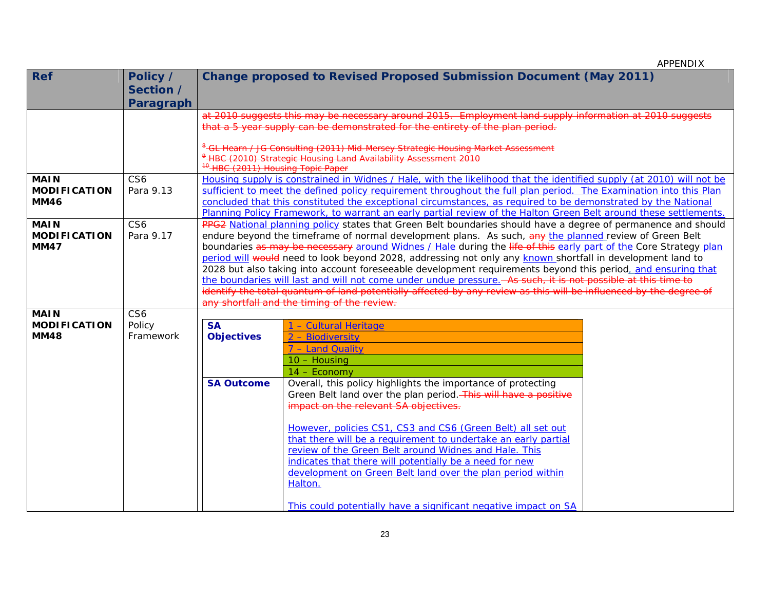| <b>Ref</b>          | Policy /<br>Section / |                                                                                                                                                                                                                              | <b>Change proposed to Revised Proposed Submission Document (May 2011)</b>                                                                                                                |  |  |  |  |  |  |  |
|---------------------|-----------------------|------------------------------------------------------------------------------------------------------------------------------------------------------------------------------------------------------------------------------|------------------------------------------------------------------------------------------------------------------------------------------------------------------------------------------|--|--|--|--|--|--|--|
|                     | Paragraph             |                                                                                                                                                                                                                              |                                                                                                                                                                                          |  |  |  |  |  |  |  |
|                     |                       |                                                                                                                                                                                                                              | at 2010 suggests this may be necessary around 2015. Employment land supply information at 2010 suggests<br>that a 5 year supply can be demonstrated for the entirety of the plan period. |  |  |  |  |  |  |  |
|                     |                       |                                                                                                                                                                                                                              |                                                                                                                                                                                          |  |  |  |  |  |  |  |
|                     |                       | <sup>10</sup> -HBC (2011) Housing Topic Paper                                                                                                                                                                                | <sup>8</sup> -GL Hearn / JG Consulting (2011) Mid-Mersey Strategic Housing Market Assessment<br><sup>9</sup> -HBC (2010) Strategic Housing Land Availability Assessment 2010             |  |  |  |  |  |  |  |
| <b>MAIN</b>         | CS <sub>6</sub>       |                                                                                                                                                                                                                              | Housing supply is constrained in Widnes / Hale, with the likelihood that the identified supply (at 2010) will not be                                                                     |  |  |  |  |  |  |  |
| <b>MODIFICATION</b> | Para 9.13             |                                                                                                                                                                                                                              | sufficient to meet the defined policy requirement throughout the full plan period. The Examination into this Plan                                                                        |  |  |  |  |  |  |  |
| <b>MM46</b>         |                       |                                                                                                                                                                                                                              | concluded that this constituted the exceptional circumstances, as required to be demonstrated by the National                                                                            |  |  |  |  |  |  |  |
|                     |                       |                                                                                                                                                                                                                              | Planning Policy Framework, to warrant an early partial review of the Halton Green Belt around these settlements.                                                                         |  |  |  |  |  |  |  |
| <b>MAIN</b>         | CS <sub>6</sub>       |                                                                                                                                                                                                                              | PPG2 National planning policy states that Green Belt boundaries should have a degree of permanence and should                                                                            |  |  |  |  |  |  |  |
| <b>MODIFICATION</b> | Para 9.17             | endure beyond the timeframe of normal development plans. As such, any the planned review of Green Belt                                                                                                                       |                                                                                                                                                                                          |  |  |  |  |  |  |  |
| <b>MM47</b>         |                       | boundaries as may be necessary around Widnes / Hale during the life of this early part of the Core Strategy plan                                                                                                             |                                                                                                                                                                                          |  |  |  |  |  |  |  |
|                     |                       | period will would need to look beyond 2028, addressing not only any known shortfall in development land to                                                                                                                   |                                                                                                                                                                                          |  |  |  |  |  |  |  |
|                     |                       | 2028 but also taking into account foreseeable development requirements beyond this period, and ensuring that<br>the boundaries will last and will not come under undue pressure. As such, it is not possible at this time to |                                                                                                                                                                                          |  |  |  |  |  |  |  |
|                     |                       |                                                                                                                                                                                                                              | identify the total quantum of land potentially affected by any review as this will be influenced by the degree of                                                                        |  |  |  |  |  |  |  |
|                     |                       |                                                                                                                                                                                                                              | any shortfall and the timing of the review.                                                                                                                                              |  |  |  |  |  |  |  |
| <b>MAIN</b>         | CS <sub>6</sub>       |                                                                                                                                                                                                                              |                                                                                                                                                                                          |  |  |  |  |  |  |  |
| <b>MODIFICATION</b> | Policy                | <b>SA</b>                                                                                                                                                                                                                    | 1 - Cultural Heritage                                                                                                                                                                    |  |  |  |  |  |  |  |
| <b>MM48</b>         | Framework             | <b>Objectives</b>                                                                                                                                                                                                            | 2 - Biodiversity                                                                                                                                                                         |  |  |  |  |  |  |  |
|                     |                       |                                                                                                                                                                                                                              | 7 - Land Quality                                                                                                                                                                         |  |  |  |  |  |  |  |
|                     |                       |                                                                                                                                                                                                                              | 10 - Housing                                                                                                                                                                             |  |  |  |  |  |  |  |
|                     |                       |                                                                                                                                                                                                                              | $14 - Economy$                                                                                                                                                                           |  |  |  |  |  |  |  |
|                     |                       | <b>SA Outcome</b>                                                                                                                                                                                                            | Overall, this policy highlights the importance of protecting                                                                                                                             |  |  |  |  |  |  |  |
|                     |                       |                                                                                                                                                                                                                              | Green Belt land over the plan period. This will have a positive                                                                                                                          |  |  |  |  |  |  |  |
|                     |                       |                                                                                                                                                                                                                              | impact on the relevant SA objectives.                                                                                                                                                    |  |  |  |  |  |  |  |
|                     |                       |                                                                                                                                                                                                                              | However, policies CS1, CS3 and CS6 (Green Belt) all set out                                                                                                                              |  |  |  |  |  |  |  |
|                     |                       |                                                                                                                                                                                                                              | that there will be a requirement to undertake an early partial                                                                                                                           |  |  |  |  |  |  |  |
|                     |                       |                                                                                                                                                                                                                              | review of the Green Belt around Widnes and Hale. This                                                                                                                                    |  |  |  |  |  |  |  |
|                     |                       |                                                                                                                                                                                                                              | indicates that there will potentially be a need for new                                                                                                                                  |  |  |  |  |  |  |  |
|                     |                       |                                                                                                                                                                                                                              | development on Green Belt land over the plan period within                                                                                                                               |  |  |  |  |  |  |  |
|                     |                       |                                                                                                                                                                                                                              | Halton.                                                                                                                                                                                  |  |  |  |  |  |  |  |
|                     |                       |                                                                                                                                                                                                                              |                                                                                                                                                                                          |  |  |  |  |  |  |  |
|                     |                       |                                                                                                                                                                                                                              | This could potentially have a significant negative impact on SA                                                                                                                          |  |  |  |  |  |  |  |